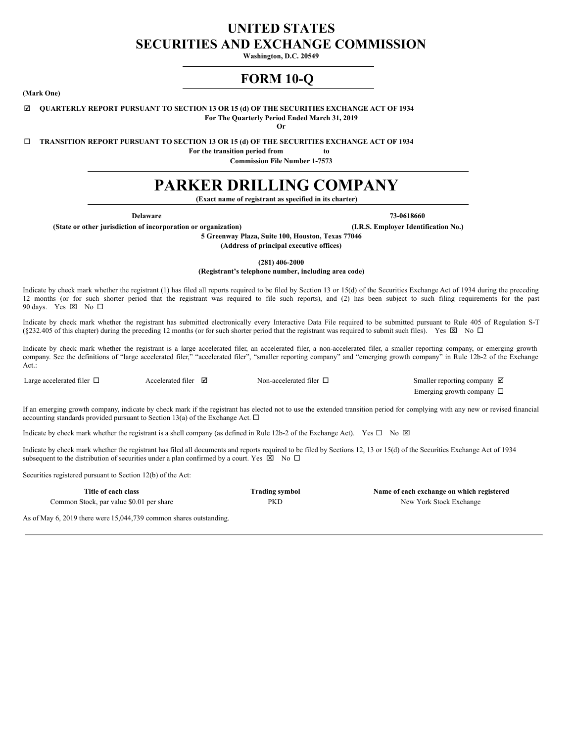# **UNITED STATES SECURITIES AND EXCHANGE COMMISSION**

**Washington, D.C. 20549**

# **FORM 10-Q**

<span id="page-0-0"></span>**(Mark One)**

# þ **QUARTERLY REPORT PURSUANT TO SECTION 13 OR 15 (d) OF THE SECURITIES EXCHANGE ACT OF 1934**

**For The Quarterly Period Ended March 31, 2019 Or**

¨ **TRANSITION REPORT PURSUANT TO SECTION 13 OR 15 (d) OF THE SECURITIES EXCHANGE ACT OF 1934**

**For the transition period from to**

**Commission File Number 1-7573**

# **PARKER DRILLING COMPANY**

**(Exact name of registrant as specified in its charter)**

**Delaware 73-0618660**

**(State or other jurisdiction of incorporation or organization) (I.R.S. Employer Identification No.)**

**5 Greenway Plaza, Suite 100, Houston, Texas 77046 (Address of principal executive offices)**

**(281) 406-2000**

**(Registrant's telephone number, including area code)**

Indicate by check mark whether the registrant (1) has filed all reports required to be filed by Section 13 or 15(d) of the Securities Exchange Act of 1934 during the preceding 12 months (or for such shorter period that the registrant was required to file such reports), and (2) has been subject to such filing requirements for the past 90 days. Yes  $\boxtimes$  No  $\square$ 

Indicate by check mark whether the registrant has submitted electronically every Interactive Data File required to be submitted pursuant to Rule 405 of Regulation S-T (§232.405 of this chapter) during the preceding 12 months (or for such shorter period that the registrant was required to submit such files). Yes  $\boxtimes$  No  $\Box$ 

Indicate by check mark whether the registrant is a large accelerated filer, an accelerated filer, a non-accelerated filer, a smaller reporting company, or emerging growth company. See the definitions of "large accelerated filer," "accelerated filer", "smaller reporting company" and "emerging growth company" in Rule 12b-2 of the Exchange Act.:

Large accelerated filer  $\square$  Accelerated filer  $\square$  Non-accelerated filer  $\square$  Smaller reporting company  $\square$ Emerging growth company  $\square$ 

If an emerging growth company, indicate by check mark if the registrant has elected not to use the extended transition period for complying with any new or revised financial accounting standards provided pursuant to Section 13(a) of the Exchange Act.  $\Box$ 

Indicate by check mark whether the registrant is a shell company (as defined in Rule 12b-2 of the Exchange Act). Yes  $\Box$  No  $\boxtimes$ 

Indicate by check mark whether the registrant has filed all documents and reports required to be filed by Sections 12, 13 or 15(d) of the Securities Exchange Act of 1934 subsequent to the distribution of securities under a plan confirmed by a court. Yes  $\boxtimes$  No  $\Box$ 

Securities registered pursuant to Section 12(b) of the Act:

| Title of each class                      | Trading symbol | Name of each exchange on which registered |
|------------------------------------------|----------------|-------------------------------------------|
| Common Stock, par value \$0.01 per share | PKD.           | New York Stock Exchange                   |

As of May 6, 2019 there were 15,044,739 common shares outstanding.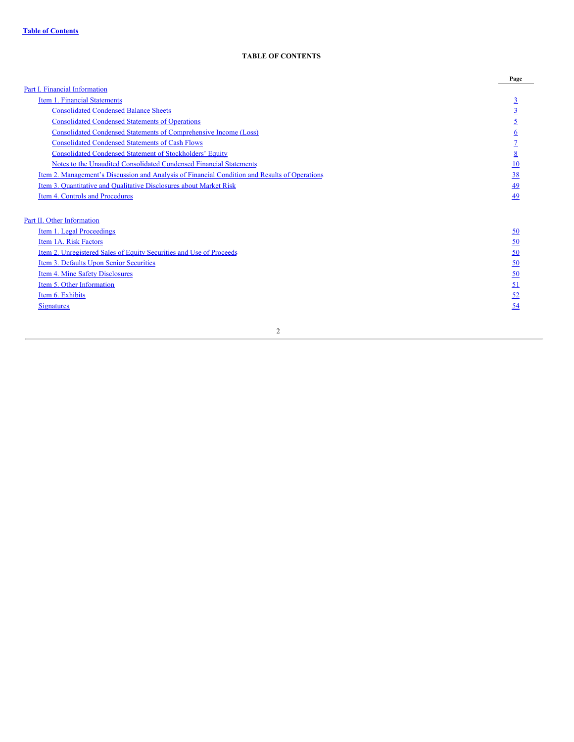# **TABLE OF CONTENTS**

|                                                                                                      | Page                    |
|------------------------------------------------------------------------------------------------------|-------------------------|
| Part I. Financial Information                                                                        |                         |
| Item 1. Financial Statements                                                                         | <u>3</u>                |
| <b>Consolidated Condensed Balance Sheets</b>                                                         | $\overline{\mathbf{3}}$ |
| <b>Consolidated Condensed Statements of Operations</b>                                               | <u>٤</u>                |
| <b>Consolidated Condensed Statements of Comprehensive Income (Loss)</b>                              | $\overline{6}$          |
| <b>Consolidated Condensed Statements of Cash Flows</b>                                               |                         |
| <b>Consolidated Condensed Statement of Stockholders' Equity</b>                                      | 8                       |
| Notes to the Unaudited Consolidated Condensed Financial Statements                                   | <u>10</u>               |
| <u>Item 2. Management's Discussion and Analysis of Financial Condition and Results of Operations</u> | <u>38</u>               |
| Item 3. Quantitative and Qualitative Disclosures about Market Risk                                   | 49                      |
| Item 4. Controls and Procedures                                                                      | 49                      |
| Part II. Other Information                                                                           |                         |
| Item 1. Legal Proceedings                                                                            | <u>50</u>               |
| Item 1A. Risk Factors                                                                                | $\underline{50}$        |
| <u>Item 2. Unregistered Sales of Equity Securities and Use of Proceeds</u>                           | <u>50</u>               |
| Item 3. Defaults Upon Senior Securities                                                              | <u>50</u>               |
| Item 4. Mine Safety Disclosures                                                                      | <u>50</u>               |
| Item 5. Other Information                                                                            | <u>51</u>               |
| Item 6. Exhibits                                                                                     | <u>52</u>               |
| <b>Signatures</b>                                                                                    | <u>54</u>               |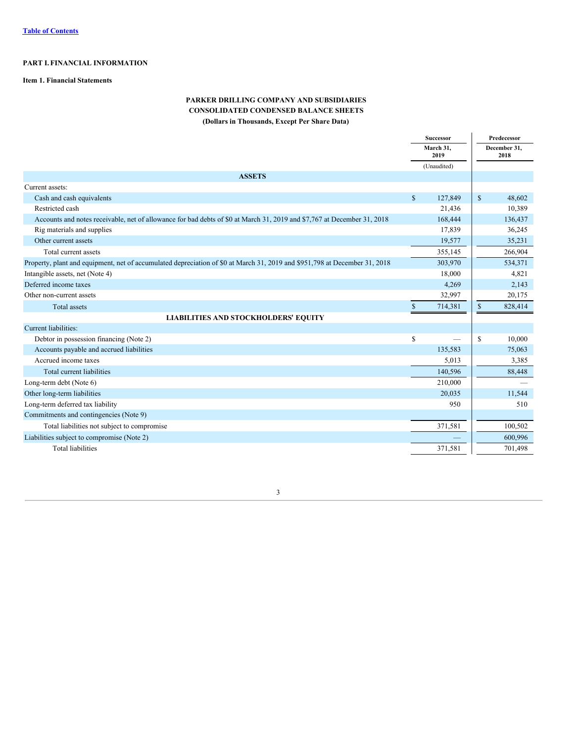# **PART I. FINANCIAL INFORMATION**

# **Item 1. Financial Statements**

# **PARKER DRILLING COMPANY AND SUBSIDIARIES CONSOLIDATED CONDENSED BALANCE SHEETS (Dollars in Thousands, Except Per Share Data)**

|                                                                                                                            |              | <b>Successor</b>  |               | Predecessor          |
|----------------------------------------------------------------------------------------------------------------------------|--------------|-------------------|---------------|----------------------|
|                                                                                                                            |              | March 31.<br>2019 |               | December 31,<br>2018 |
|                                                                                                                            |              | (Unaudited)       |               |                      |
| <b>ASSETS</b>                                                                                                              |              |                   |               |                      |
| Current assets:                                                                                                            |              |                   |               |                      |
| Cash and cash equivalents                                                                                                  | $\mathbb{S}$ | 127,849           | $\mathbb{S}$  | 48,602               |
| Restricted cash                                                                                                            |              | 21,436            |               | 10,389               |
| Accounts and notes receivable, net of allowance for bad debts of \$0 at March 31, 2019 and \$7,767 at December 31, 2018    |              | 168,444           |               | 136,437              |
| Rig materials and supplies                                                                                                 |              | 17,839            |               | 36,245               |
| Other current assets                                                                                                       |              | 19,577            |               | 35,231               |
| Total current assets                                                                                                       |              | 355,145           |               | 266,904              |
| Property, plant and equipment, net of accumulated depreciation of \$0 at March 31, 2019 and \$951,798 at December 31, 2018 |              | 303,970           |               | 534,371              |
| Intangible assets, net (Note 4)                                                                                            |              | 18,000            |               | 4,821                |
| Deferred income taxes                                                                                                      |              | 4,269             |               | 2,143                |
| Other non-current assets                                                                                                   |              | 32,997            |               | 20,175               |
| <b>Total</b> assets                                                                                                        | $\mathbb{S}$ | 714,381           | \$            | 828,414              |
| <b>LIABILITIES AND STOCKHOLDERS' EQUITY</b>                                                                                |              |                   |               |                      |
| Current liabilities:                                                                                                       |              |                   |               |                      |
| Debtor in possession financing (Note 2)                                                                                    | \$           |                   | <sup>\$</sup> | 10,000               |
| Accounts payable and accrued liabilities                                                                                   |              | 135,583           |               | 75,063               |
| Accrued income taxes                                                                                                       |              | 5,013             |               | 3,385                |
| Total current liabilities                                                                                                  |              | 140,596           |               | 88,448               |
| Long-term debt (Note 6)                                                                                                    |              | 210,000           |               |                      |
| Other long-term liabilities                                                                                                |              | 20,035            |               | 11,544               |
| Long-term deferred tax liability                                                                                           |              | 950               |               | 510                  |
| Commitments and contingencies (Note 9)                                                                                     |              |                   |               |                      |
| Total liabilities not subject to compromise                                                                                |              | 371,581           |               | 100,502              |
| Liabilities subject to compromise (Note 2)                                                                                 |              |                   |               | 600,996              |
| <b>Total liabilities</b>                                                                                                   |              | 371,581           |               | 701,498              |
|                                                                                                                            |              |                   |               |                      |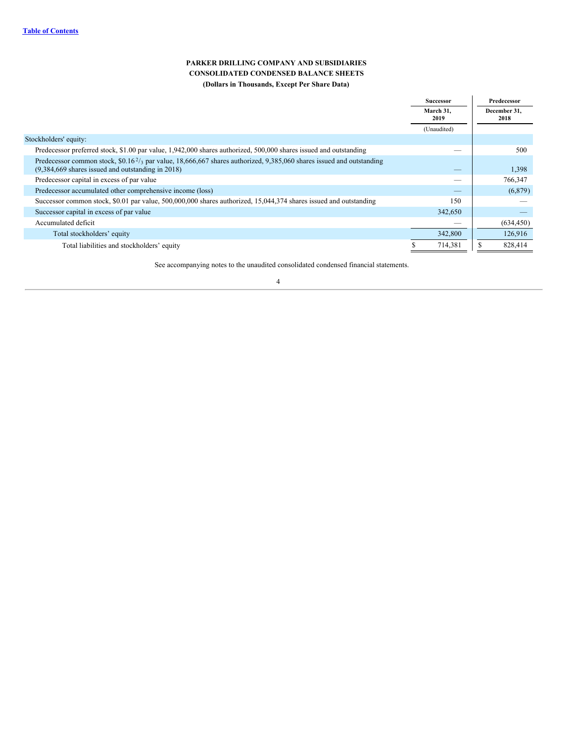# **PARKER DRILLING COMPANY AND SUBSIDIARIES CONSOLIDATED CONDENSED BALANCE SHEETS (Dollars in Thousands, Except Per Share Data)**

|                                                                                                                                                                                      | Successor         | Predecessor          |
|--------------------------------------------------------------------------------------------------------------------------------------------------------------------------------------|-------------------|----------------------|
|                                                                                                                                                                                      | March 31.<br>2019 | December 31,<br>2018 |
|                                                                                                                                                                                      | (Unaudited)       |                      |
| Stockholders' equity:                                                                                                                                                                |                   |                      |
| Predecessor preferred stock, \$1.00 par value, 1,942,000 shares authorized, 500,000 shares issued and outstanding                                                                    |                   | 500                  |
| Predecessor common stock, $$0.16\frac{2}{3}$ par value, 18,666,667 shares authorized, 9,385,060 shares issued and outstanding<br>$(9,384,669$ shares issued and outstanding in 2018) |                   | 1,398                |
| Predecessor capital in excess of par value                                                                                                                                           |                   | 766,347              |
| Predecessor accumulated other comprehensive income (loss)                                                                                                                            |                   | (6, 879)             |
| Successor common stock, \$0.01 par value, 500,000,000 shares authorized, 15,044,374 shares issued and outstanding                                                                    | 150               |                      |
| Successor capital in excess of par value                                                                                                                                             | 342,650           |                      |
| Accumulated deficit                                                                                                                                                                  |                   | (634, 450)           |
| Total stockholders' equity                                                                                                                                                           | 342,800           | 126,916              |
| Total liabilities and stockholders' equity                                                                                                                                           | 714.381           | 828,414              |

See accompanying notes to the unaudited consolidated condensed financial statements.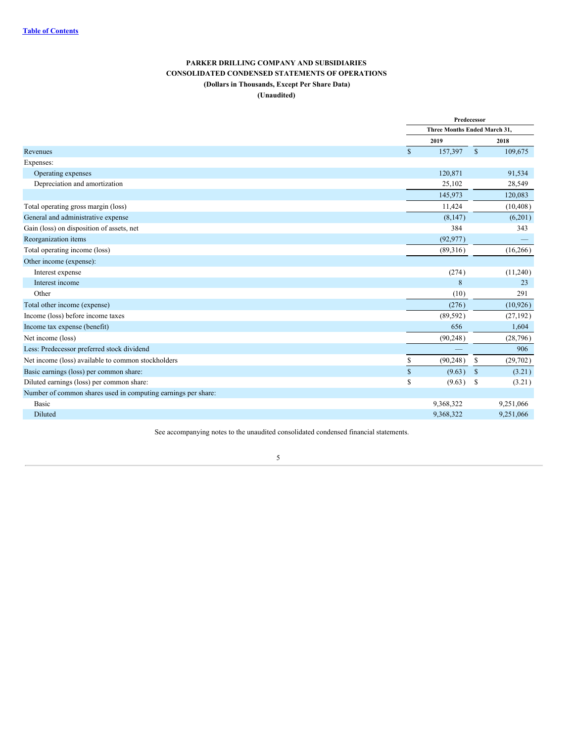# **PARKER DRILLING COMPANY AND SUBSIDIARIES CONSOLIDATED CONDENSED STATEMENTS OF OPERATIONS (Dollars in Thousands, Except Per Share Data) (Unaudited)**

|                                                               |                        | Predecessor                  |  |  |  |
|---------------------------------------------------------------|------------------------|------------------------------|--|--|--|
|                                                               |                        | Three Months Ended March 31. |  |  |  |
|                                                               | 2019                   | 2018                         |  |  |  |
| Revenues                                                      | $\mathbf S$<br>157,397 | $\mathbb{S}$<br>109,675      |  |  |  |
| Expenses:                                                     |                        |                              |  |  |  |
| Operating expenses                                            | 120,871                | 91,534                       |  |  |  |
| Depreciation and amortization                                 | 25,102                 | 28,549                       |  |  |  |
|                                                               | 145,973                | 120,083                      |  |  |  |
| Total operating gross margin (loss)                           | 11,424                 | (10, 408)                    |  |  |  |
| General and administrative expense                            | (8,147)                | (6,201)                      |  |  |  |
| Gain (loss) on disposition of assets, net                     | 384                    | 343                          |  |  |  |
| Reorganization items                                          | (92, 977)              |                              |  |  |  |
| Total operating income (loss)                                 | (89,316)               | (16, 266)                    |  |  |  |
| Other income (expense):                                       |                        |                              |  |  |  |
| Interest expense                                              | (274)                  | (11,240)                     |  |  |  |
| Interest income                                               | 8                      | 23                           |  |  |  |
| Other                                                         | (10)                   | 291                          |  |  |  |
| Total other income (expense)                                  | (276)                  | (10,926)                     |  |  |  |
| Income (loss) before income taxes                             | (89, 592)              | (27, 192)                    |  |  |  |
| Income tax expense (benefit)                                  | 656                    | 1,604                        |  |  |  |
| Net income (loss)                                             | (90, 248)              | (28, 796)                    |  |  |  |
| Less: Predecessor preferred stock dividend                    |                        | 906                          |  |  |  |
| Net income (loss) available to common stockholders            | \$<br>(90, 248)        | \$<br>(29,702)               |  |  |  |
| Basic earnings (loss) per common share:                       | $\mathbb{S}$<br>(9.63) | $\mathbb{S}$<br>(3.21)       |  |  |  |
| Diluted earnings (loss) per common share:                     | \$<br>(9.63)           | \$<br>(3.21)                 |  |  |  |
| Number of common shares used in computing earnings per share: |                        |                              |  |  |  |
| Basic                                                         | 9,368,322              | 9,251,066                    |  |  |  |
| Diluted                                                       | 9,368,322              | 9,251,066                    |  |  |  |
|                                                               |                        |                              |  |  |  |

See accompanying notes to the unaudited consolidated condensed financial statements.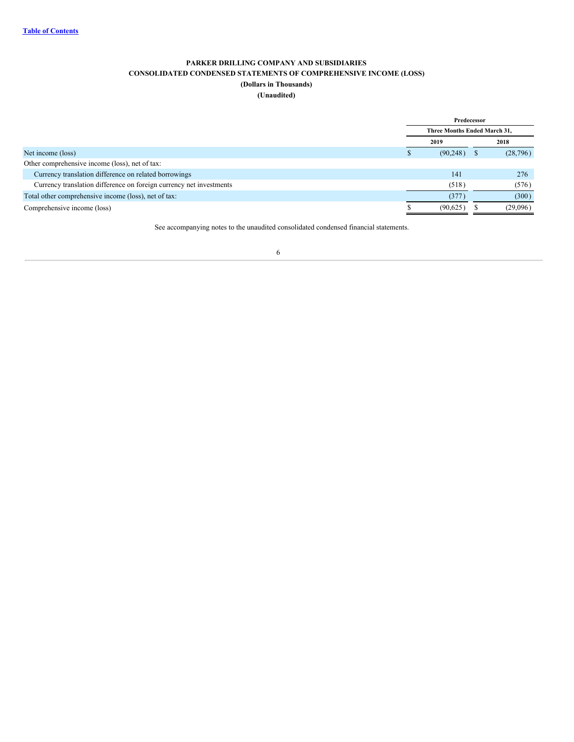# **PARKER DRILLING COMPANY AND SUBSIDIARIES CONSOLIDATED CONDENSED STATEMENTS OF COMPREHENSIVE INCOME (LOSS) (Dollars in Thousands)**

# **(Unaudited)**

|                                                                     | Predecessor                  |  |           |  |  |
|---------------------------------------------------------------------|------------------------------|--|-----------|--|--|
|                                                                     | Three Months Ended March 31, |  |           |  |  |
|                                                                     | 2019                         |  | 2018      |  |  |
| Net income (loss)                                                   | (90,248)                     |  | (28, 796) |  |  |
| Other comprehensive income (loss), net of tax:                      |                              |  |           |  |  |
| Currency translation difference on related borrowings               | 141                          |  | 276       |  |  |
| Currency translation difference on foreign currency net investments | (518)                        |  | (576)     |  |  |
| Total other comprehensive income (loss), net of tax:                | (377)                        |  | (300)     |  |  |
| Comprehensive income (loss)                                         | (90,625)                     |  | (29,096)  |  |  |
|                                                                     |                              |  |           |  |  |

See accompanying notes to the unaudited consolidated condensed financial statements.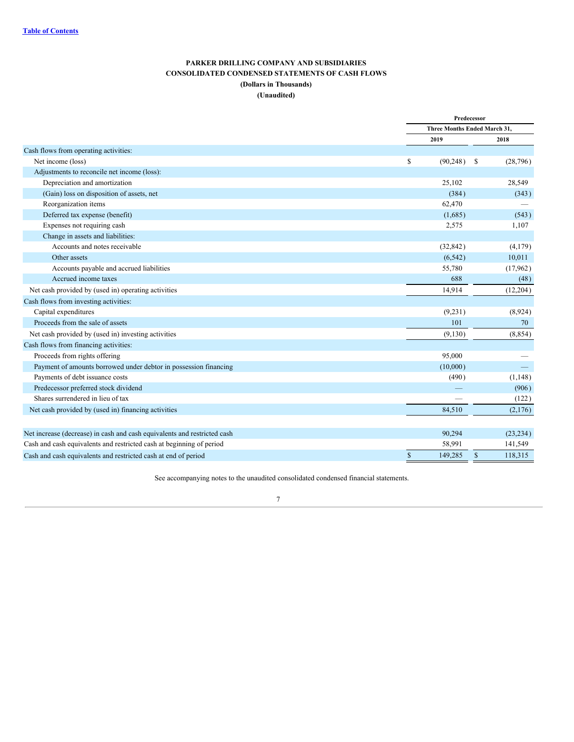# **PARKER DRILLING COMPANY AND SUBSIDIARIES CONSOLIDATED CONDENSED STATEMENTS OF CASH FLOWS (Dollars in Thousands) (Unaudited)**

|                                                                          |              | <b>Predecessor</b><br>Three Months Ended March 31. |              |           |  |
|--------------------------------------------------------------------------|--------------|----------------------------------------------------|--------------|-----------|--|
|                                                                          |              |                                                    |              |           |  |
|                                                                          |              | 2019                                               |              | 2018      |  |
| Cash flows from operating activities:                                    |              |                                                    |              |           |  |
| Net income (loss)                                                        | $\mathbb{S}$ | (90, 248)                                          | S.           | (28, 796) |  |
| Adjustments to reconcile net income (loss):                              |              |                                                    |              |           |  |
| Depreciation and amortization                                            |              | 25,102                                             |              | 28,549    |  |
| (Gain) loss on disposition of assets, net                                |              | (384)                                              |              | (343)     |  |
| Reorganization items                                                     |              | 62,470                                             |              |           |  |
| Deferred tax expense (benefit)                                           |              | (1,685)                                            |              | (543)     |  |
| Expenses not requiring cash                                              |              | 2,575                                              |              | 1,107     |  |
| Change in assets and liabilities:                                        |              |                                                    |              |           |  |
| Accounts and notes receivable                                            |              | (32, 842)                                          |              | (4,179)   |  |
| Other assets                                                             |              | (6, 542)                                           |              | 10,011    |  |
| Accounts payable and accrued liabilities                                 |              | 55,780                                             |              | (17,962)  |  |
| Accrued income taxes                                                     |              | 688                                                |              | (48)      |  |
| Net cash provided by (used in) operating activities                      |              | 14,914                                             |              | (12,204)  |  |
| Cash flows from investing activities:                                    |              |                                                    |              |           |  |
| Capital expenditures                                                     |              | (9,231)                                            |              | (8,924)   |  |
| Proceeds from the sale of assets                                         |              | 101                                                |              | 70        |  |
| Net cash provided by (used in) investing activities                      |              | (9,130)                                            |              | (8, 854)  |  |
| Cash flows from financing activities:                                    |              |                                                    |              |           |  |
| Proceeds from rights offering                                            |              | 95,000                                             |              |           |  |
| Payment of amounts borrowed under debtor in possession financing         |              | (10,000)                                           |              |           |  |
| Payments of debt issuance costs                                          |              | (490)                                              |              | (1,148)   |  |
| Predecessor preferred stock dividend                                     |              |                                                    |              | (906)     |  |
| Shares surrendered in lieu of tax                                        |              |                                                    |              | (122)     |  |
| Net cash provided by (used in) financing activities                      |              | 84,510                                             |              | (2,176)   |  |
|                                                                          |              |                                                    |              |           |  |
| Net increase (decrease) in cash and cash equivalents and restricted cash |              | 90,294                                             |              | (23, 234) |  |
| Cash and cash equivalents and restricted cash at beginning of period     |              | 58,991                                             |              | 141,549   |  |
| Cash and cash equivalents and restricted cash at end of period           | $\mathbb{S}$ | 149,285                                            | $\mathbb{S}$ | 118,315   |  |

See accompanying notes to the unaudited consolidated condensed financial statements.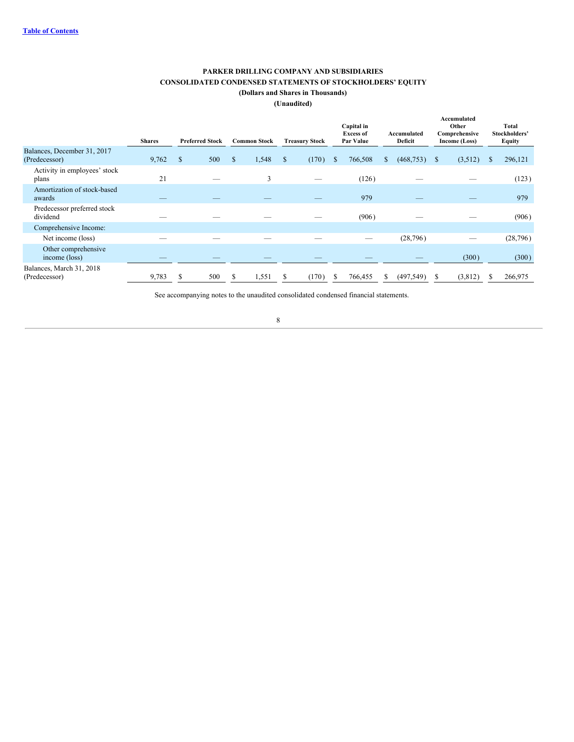# **PARKER DRILLING COMPANY AND SUBSIDIARIES CONSOLIDATED CONDENSED STATEMENTS OF STOCKHOLDERS' EQUITY**

# **(Dollars and Shares in Thousands)**

# **(Unaudited)**

|                                              | <b>Shares</b> |    | <b>Preferred Stock</b> |    | <b>Common Stock</b> |    | <b>Treasury Stock</b> |              | Capital in<br><b>Excess of</b><br>Par Value |    |            |    |         |               |  |  |  |  | Accumulated<br>Deficit |  | Accumulated<br>Other<br>Comprehensive<br>Income (Loss) | Total<br>Stockholders'<br><b>Equity</b> |
|----------------------------------------------|---------------|----|------------------------|----|---------------------|----|-----------------------|--------------|---------------------------------------------|----|------------|----|---------|---------------|--|--|--|--|------------------------|--|--------------------------------------------------------|-----------------------------------------|
| Balances, December 31, 2017<br>(Predecessor) | 9,762         | \$ | 500                    | \$ | 1,548               | \$ | (170)                 | <sup>8</sup> | 766,508                                     | \$ | (468, 753) | S. | (3,512) | \$<br>296,121 |  |  |  |  |                        |  |                                                        |                                         |
| Activity in employees' stock<br>plans        | 21            |    |                        |    | 3                   |    |                       |              | (126)                                       |    |            |    |         | (123)         |  |  |  |  |                        |  |                                                        |                                         |
| Amortization of stock-based<br>awards        |               |    |                        |    |                     |    |                       |              | 979                                         |    |            |    |         | 979           |  |  |  |  |                        |  |                                                        |                                         |
| Predecessor preferred stock<br>dividend      |               |    |                        |    |                     |    |                       |              | (906)                                       |    |            |    |         | (906)         |  |  |  |  |                        |  |                                                        |                                         |
| Comprehensive Income:                        |               |    |                        |    |                     |    |                       |              |                                             |    |            |    |         |               |  |  |  |  |                        |  |                                                        |                                         |
| Net income (loss)                            |               |    |                        |    |                     |    |                       |              |                                             |    | (28, 796)  |    |         | (28, 796)     |  |  |  |  |                        |  |                                                        |                                         |
| Other comprehensive<br>income (loss)         |               |    |                        |    |                     |    |                       |              |                                             |    |            |    | (300)   | (300)         |  |  |  |  |                        |  |                                                        |                                         |
| Balances, March 31, 2018<br>(Predecessor)    | 9,783         | S  | 500                    | S  | 1,551               | S  | (170)                 |              | 766,455                                     | S  | (497, 549) | S  | (3,812) | 266,975       |  |  |  |  |                        |  |                                                        |                                         |

See accompanying notes to the unaudited consolidated condensed financial statements.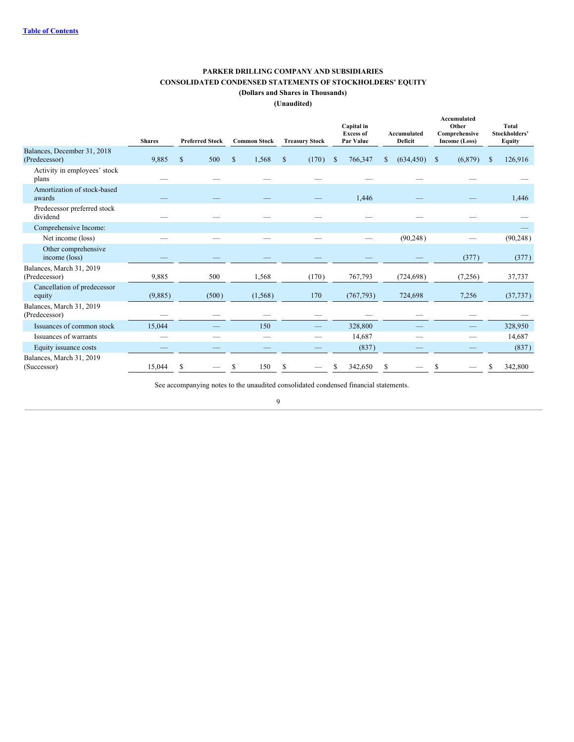# **PARKER DRILLING COMPANY AND SUBSIDIARIES CONSOLIDATED CONDENSED STATEMENTS OF STOCKHOLDERS' EQUITY**

# **(Dollars and Shares in Thousands)**

# **(Unaudited)**

|                                              | <b>Shares</b> | <b>Preferred Stock</b> | <b>Common Stock</b><br><b>Treasury Stock</b> |             | Capital in<br><b>Excess of</b><br>Accumulated<br>Par Value<br><b>Deficit</b> |                             | Accumulated<br>Other<br>Comprehensive<br>Income (Loss) | <b>Total</b><br>Stockholders'<br>Equity |
|----------------------------------------------|---------------|------------------------|----------------------------------------------|-------------|------------------------------------------------------------------------------|-----------------------------|--------------------------------------------------------|-----------------------------------------|
| Balances, December 31, 2018<br>(Predecessor) | 9,885         | $\mathbf S$<br>500     | $\mathbf S$<br>1,568                         | (170)<br>\$ | 766,347<br><sup>\$</sup>                                                     | (634, 450)<br><sup>\$</sup> | (6,879)<br>-S                                          | 126,916<br>$\mathbf S$                  |
| Activity in employees' stock<br>plans        |               |                        |                                              |             |                                                                              |                             |                                                        |                                         |
| Amortization of stock-based<br>awards        |               |                        |                                              |             | 1,446                                                                        |                             |                                                        | 1,446                                   |
| Predecessor preferred stock<br>dividend      |               |                        |                                              |             |                                                                              |                             |                                                        |                                         |
| Comprehensive Income:                        |               |                        |                                              |             |                                                                              |                             |                                                        |                                         |
| Net income (loss)                            |               |                        |                                              |             |                                                                              | (90, 248)                   |                                                        | (90, 248)                               |
| Other comprehensive<br>income (loss)         |               |                        |                                              |             |                                                                              |                             | (377)                                                  | (377)                                   |
| Balances, March 31, 2019<br>(Predecessor)    | 9,885         | 500                    | 1,568                                        | (170)       | 767,793                                                                      | (724, 698)                  | (7,256)                                                | 37,737                                  |
| Cancellation of predecessor<br>equity        | (9,885)       | (500)                  | (1, 568)                                     | 170         | (767, 793)                                                                   | 724,698                     | 7,256                                                  | (37, 737)                               |
| Balances, March 31, 2019<br>(Predecessor)    |               |                        |                                              |             |                                                                              |                             |                                                        |                                         |
| Issuances of common stock                    | 15,044        |                        | 150                                          |             | 328,800                                                                      |                             |                                                        | 328,950                                 |
| Issuances of warrants                        |               |                        |                                              |             | 14,687                                                                       |                             |                                                        | 14,687                                  |
| Equity issuance costs                        |               |                        |                                              |             | (837)                                                                        |                             |                                                        | (837)                                   |
| Balances, March 31, 2019<br>(Successor)      | 15.044        | S                      | S<br>150                                     | S           | 342,650<br>S                                                                 | S.                          | S                                                      | 342,800<br>\$                           |

See accompanying notes to the unaudited consolidated condensed financial statements.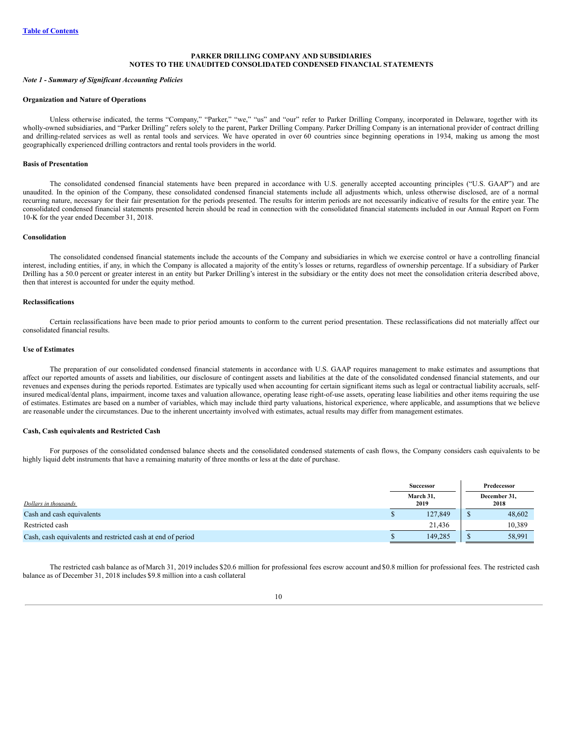# **PARKER DRILLING COMPANY AND SUBSIDIARIES NOTES TO THE UNAUDITED CONSOLIDATED CONDENSED FINANCIAL STATEMENTS**

#### *Note 1 - Summary of Significant Accounting Policies*

#### **Organization and Nature of Operations**

Unless otherwise indicated, the terms "Company," "Parker," "we," "us" and "our" refer to Parker Drilling Company, incorporated in Delaware, together with its wholly-owned subsidiaries, and "Parker Drilling" refers solely to the parent, Parker Drilling Company. Parker Drilling Company is an international provider of contract drilling and drilling-related services as well as rental tools and services. We have operated in over 60 countries since beginning operations in 1934, making us among the most geographically experienced drilling contractors and rental tools providers in the world.

### **Basis of Presentation**

The consolidated condensed financial statements have been prepared in accordance with U.S. generally accepted accounting principles ("U.S. GAAP") and are unaudited. In the opinion of the Company, these consolidated condensed financial statements include all adjustments which, unless otherwise disclosed, are of a normal recurring nature, necessary for their fair presentation for the periods presented. The results for interim periods are not necessarily indicative of results for the entire year. The consolidated condensed financial statements presented herein should be read in connection with the consolidated financial statements included in our Annual Report on Form 10-K for the year ended December 31, 2018.

### **Consolidation**

The consolidated condensed financial statements include the accounts of the Company and subsidiaries in which we exercise control or have a controlling financial interest, including entities, if any, in which the Company is allocated a majority of the entity's losses or returns, regardless of ownership percentage. If a subsidiary of Parker Drilling has a 50.0 percent or greater interest in an entity but Parker Drilling's interest in the subsidiary or the entity does not meet the consolidation criteria described above, then that interest is accounted for under the equity method.

# **Reclassifications**

Certain reclassifications have been made to prior period amounts to conform to the current period presentation. These reclassifications did not materially affect our consolidated financial results.

# **Use of Estimates**

The preparation of our consolidated condensed financial statements in accordance with U.S. GAAP requires management to make estimates and assumptions that affect our reported amounts of assets and liabilities, our disclosure of contingent assets and liabilities at the date of the consolidated condensed financial statements, and our revenues and expenses during the periods reported. Estimates are typically used when accounting for certain significant items such as legal or contractual liability accruals, selfinsured medical/dental plans, impairment, income taxes and valuation allowance, operating lease right-of-use assets, operating lease liabilities and other items requiring the use of estimates. Estimates are based on a number of variables, which may include third party valuations, historical experience, where applicable, and assumptions that we believe are reasonable under the circumstances. Due to the inherent uncertainty involved with estimates, actual results may differ from management estimates.

# **Cash, Cash equivalents and Restricted Cash**

For purposes of the consolidated condensed balance sheets and the consolidated condensed statements of cash flows, the Company considers cash equivalents to be highly liquid debt instruments that have a remaining maturity of three months or less at the date of purchase.

|                                                             |                   | <b>Successor</b> | Predecessor          |        |  |
|-------------------------------------------------------------|-------------------|------------------|----------------------|--------|--|
| Dollars in thousands                                        | March 31,<br>2019 |                  | December 31,<br>2018 |        |  |
| Cash and cash equivalents                                   |                   | 127,849          |                      | 48,602 |  |
| Restricted cash                                             |                   | 21,436           |                      | 10,389 |  |
| Cash, cash equivalents and restricted cash at end of period |                   | 149.285          |                      | 58,991 |  |

The restricted cash balance as ofMarch 31, 2019 includes \$20.6 million for professional fees escrow account and \$0.8 million for professional fees. The restricted cash balance as of December 31, 2018 includes \$9.8 million into a cash collateral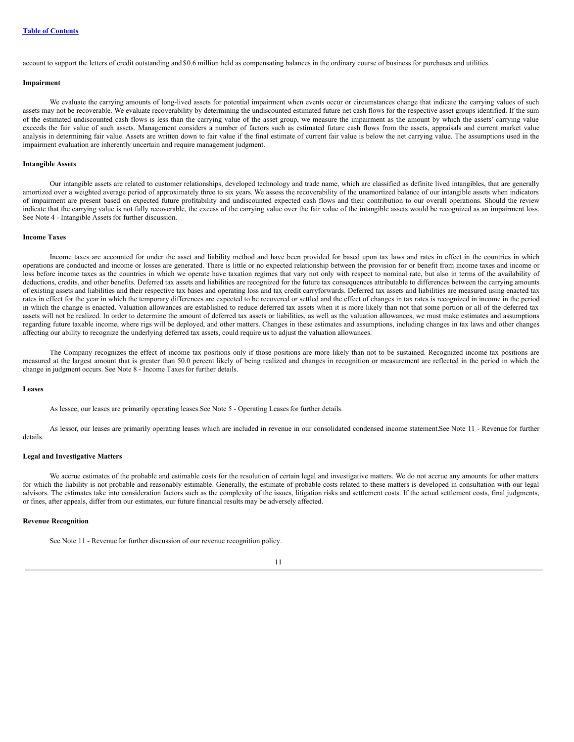account to support the letters of credit outstanding and \$0.6 million held as compensating balances in the ordinary course of business for purchases and utilities.

#### **Impairment**

We evaluate the carrying amounts of long-lived assets for potential impairment when events occur or circumstances change that indicate the carrying values of such assets may not be recoverable. We evaluate recoverability by determining the undiscounted estimated future net cash flows for the respective asset groups identified. If the sum of the estimated undiscounted cash flows is less than the carrying value of the asset group, we measure the impairment as the amount by which the assets' carrying value exceeds the fair value of such assets. Management considers a number of factors such as estimated future cash flows from the assets, appraisals and current market value analysis in determining fair value. Assets are written down to fair value if the final estimate of current fair value is below the net carrying value. The assumptions used in the impairment evaluation are inherently uncertain and require management judgment.

### **Intangible Assets**

Our intangible assets are related to customer relationships, developed technology and trade name, which are classified as definite lived intangibles, that are generally amortized over a weighted average period of approximately three to six years. We assess the recoverability of the unamortized balance of our intangible assets when indicators of impairment are present based on expected future profitability and undiscounted expected cash flows and their contribution to our overall operations. Should the review indicate that the carrying value is not fully recoverable, the excess of the carrying value over the fair value of the intangible assets would be recognized as an impairment loss. See Note 4 - Intangible Assets for further discussion.

### **Income Taxes**

Income taxes are accounted for under the asset and liability method and have been provided for based upon tax laws and rates in effect in the countries in which operations are conducted and income or losses are generated. There is little or no expected relationship between the provision for or benefit from income taxes and income or loss before income taxes as the countries in which we operate have taxation regimes that vary not only with respect to nominal rate, but also in terms of the availability of deductions, credits, and other benefits. Deferred tax assets and liabilities are recognized for the future tax consequences attributable to differences between the carrying amounts of existing assets and liabilities and their respective tax bases and operating loss and tax credit carryforwards. Deferred tax assets and liabilities are measured using enacted tax rates in effect for the year in which the temporary differences are expected to be recovered or settled and the effect of changes in tax rates is recognized in income in the period in which the change is enacted. Valuation allowances are established to reduce deferred tax assets when it is more likely than not that some portion or all of the deferred tax assets will not be realized. In order to determine the amount of deferred tax assets or liabilities, as well as the valuation allowances, we must make estimates and assumptions regarding future taxable income, where rigs will be deployed, and other matters. Changes in these estimates and assumptions, including changes in tax laws and other changes affecting our ability to recognize the underlying deferred tax assets, could require us to adjust the valuation allowances.

The Company recognizes the effect of income tax positions only if those positions are more likely than not to be sustained. Recognized income tax positions are measured at the largest amount that is greater than 50.0 percent likely of being realized and changes in recognition or measurement are reflected in the period in which the change in judgment occurs. See Note 8 - Income Taxesfor further details.

#### **Leases**

As lessee, our leases are primarily operating leases.See Note 5 - Operating Leasesfor further details.

As lessor, our leases are primarily operating leases which are included in revenue in our consolidated condensed income statement.See Note 11 - Revenue for further details.

#### **Legal and Investigative Matters**

We accrue estimates of the probable and estimable costs for the resolution of certain legal and investigative matters. We do not accrue any amounts for other matters for which the liability is not probable and reasonably estimable. Generally, the estimate of probable costs related to these matters is developed in consultation with our legal advisors. The estimates take into consideration factors such as the complexity of the issues, litigation risks and settlement costs. If the actual settlement costs, final judgments, or fines, after appeals, differ from our estimates, our future financial results may be adversely affected.

# **Revenue Recognition**

See Note 11 - Revenue for further discussion of our revenue recognition policy.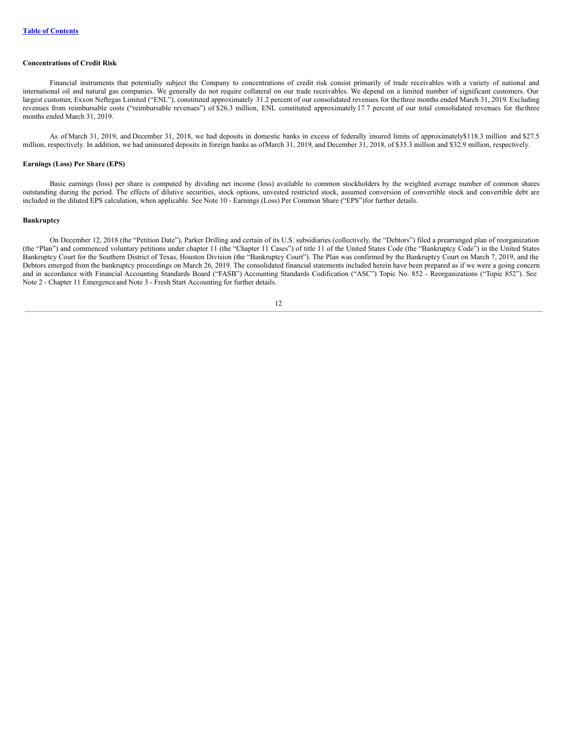# **Concentrations of Credit Risk**

Financial instruments that potentially subject the Company to concentrations of credit risk consist primarily of trade receivables with a variety of national and international oil and natural gas companies. We generally do not require collateral on our trade receivables. We depend on a limited number of significant customers. Our largest customer, Exxon Neftegas Limited ("ENL"), constituted approximately 31.2 percent of our consolidated revenues for the three months ended March 31, 2019. Excluding revenues from reimbursable costs ("reimbursable revenues") of \$26.3 million, ENL constituted approximately 17.7 percent of our total consolidated revenues for thethree months ended March 31, 2019.

As of March 31, 2019, and December 31, 2018, we had deposits in domestic banks in excess of federally insured limits of approximately\$118.3 million and \$27.5 million, respectively. In addition, we had uninsured deposits in foreign banks as ofMarch 31, 2019, and December 31, 2018, of \$35.3 million and \$32.9 million, respectively.

## **Earnings (Loss) Per Share (EPS)**

Basic earnings (loss) per share is computed by dividing net income (loss) available to common stockholders by the weighted average number of common shares outstanding during the period. The effects of dilutive securities, stock options, unvested restricted stock, assumed conversion of convertible stock and convertible debt are included in the diluted EPS calculation, when applicable. See Note 10 - Earnings (Loss) Per Common Share ("EPS")for further details.

# **Bankruptcy**

On December 12, 2018 (the "Petition Date"), Parker Drilling and certain of its U.S. subsidiaries (collectively, the "Debtors") filed a prearranged plan of reorganization (the "Plan") and commenced voluntary petitions under chapter 11 (the "Chapter 11 Cases") of title 11 of the United States Code (the "Bankruptcy Code") in the United States Bankruptcy Court for the Southern District of Texas, Houston Division (the "Bankruptcy Court"). The Plan was confirmed by the Bankruptcy Court on March 7, 2019, and the Debtors emerged from the bankruptcy proceedings on March 26, 2019. The consolidated financial statements included herein have been prepared as if we were a going concern and in accordance with Financial Accounting Standards Board ("FASB") Accounting Standards Codification ("ASC") Topic No. 852 - Reorganizations ("Topic 852"). See Note 2 - Chapter 11 Emergenceand Note 3 - Fresh Start Accounting for further details.

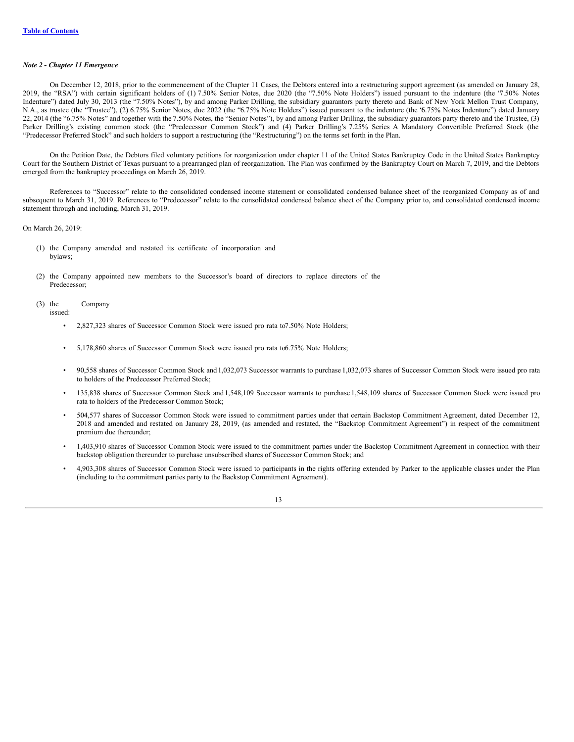#### *Note 2 - Chapter 11 Emergence*

On December 12, 2018, prior to the commencement of the Chapter 11 Cases, the Debtors entered into a restructuring support agreement (as amended on January 28, 2019, the "RSA") with certain significant holders of (1) 7.50% Senior Notes, due 2020 (the "7.50% Note Holders") issued pursuant to the indenture (the "7.50% Notes Indenture") dated July 30, 2013 (the "7.50% Notes"), by and among Parker Drilling, the subsidiary guarantors party thereto and Bank of New York Mellon Trust Company, N.A., as trustee (the "Trustee"), (2) 6.75% Senior Notes, due 2022 (the "6.75% Note Holders") issued pursuant to the indenture (the "6.75% Notes Indenture") dated January 22, 2014 (the "6.75% Notes" and together with the 7.50% Notes, the "Senior Notes"), by and among Parker Drilling, the subsidiary guarantors party thereto and the Trustee, (3) Parker Drilling's existing common stock (the "Predecessor Common Stock") and (4) Parker Drilling's 7.25% Series A Mandatory Convertible Preferred Stock (the "Predecessor Preferred Stock" and such holders to support a restructuring (the "Restructuring") on the terms set forth in the Plan.

On the Petition Date, the Debtors filed voluntary petitions for reorganization under chapter 11 of the United States Bankruptcy Code in the United States Bankruptcy Court for the Southern District of Texas pursuant to a prearranged plan of reorganization. The Plan was confirmed by the Bankruptcy Court on March 7, 2019, and the Debtors emerged from the bankruptcy proceedings on March 26, 2019.

References to "Successor" relate to the consolidated condensed income statement or consolidated condensed balance sheet of the reorganized Company as of and subsequent to March 31, 2019. References to "Predecessor" relate to the consolidated condensed balance sheet of the Company prior to, and consolidated condensed income statement through and including, March 31, 2019.

On March 26, 2019:

- (1) the Company amended and restated its certificate of incorporation and bylaws;
- (2) the Company appointed new members to the Successor's board of directors to replace directors of the Predecessor;
- (3) the Company

issued:

- 2,827,323 shares of Successor Common Stock were issued pro rata to7.50% Note Holders;
- 5,178,860 shares of Successor Common Stock were issued pro rata to6.75% Note Holders;
- 90,558 shares of Successor Common Stock and1,032,073 Successor warrants to purchase 1,032,073 shares of Successor Common Stock were issued pro rata to holders of the Predecessor Preferred Stock;
- 135,838 shares of Successor Common Stock and1,548,109 Successor warrants to purchase 1,548,109 shares of Successor Common Stock were issued pro rata to holders of the Predecessor Common Stock;
- 504,577 shares of Successor Common Stock were issued to commitment parties under that certain Backstop Commitment Agreement, dated December 12, 2018 and amended and restated on January 28, 2019, (as amended and restated, the "Backstop Commitment Agreement") in respect of the commitment premium due thereunder;
- 1,403,910 shares of Successor Common Stock were issued to the commitment parties under the Backstop Commitment Agreement in connection with their backstop obligation thereunder to purchase unsubscribed shares of Successor Common Stock; and
- 4,903,308 shares of Successor Common Stock were issued to participants in the rights offering extended by Parker to the applicable classes under the Plan (including to the commitment parties party to the Backstop Commitment Agreement).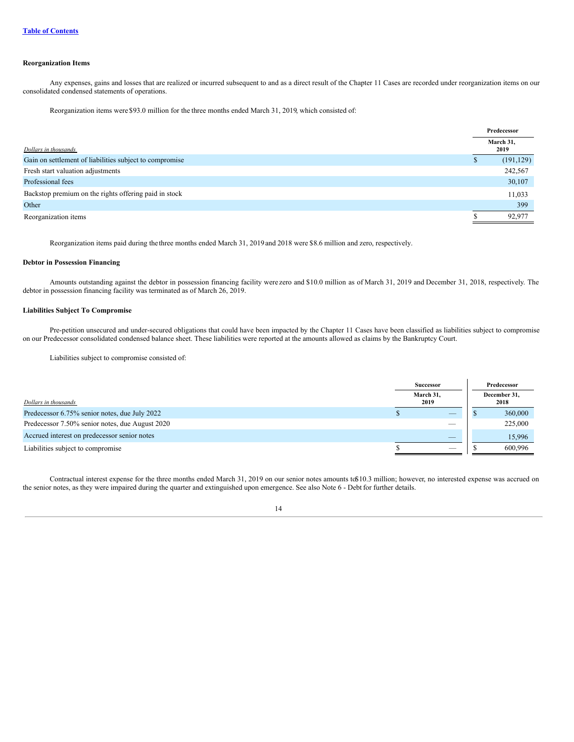# **Reorganization Items**

Any expenses, gains and losses that are realized or incurred subsequent to and as a direct result of the Chapter 11 Cases are recorded under reorganization items on our consolidated condensed statements of operations.

Reorganization items were \$93.0 million for the three months ended March 31, 2019, which consisted of:

| Predecessor       |  |
|-------------------|--|
| March 31,<br>2019 |  |
| (191, 129)        |  |
| 242,567           |  |
| 30,107            |  |
| 11,033            |  |
| 399               |  |
| 92,977            |  |
|                   |  |

Reorganization items paid during thethree months ended March 31, 2019 and 2018 were \$8.6 million and zero, respectively.

# **Debtor in Possession Financing**

Amounts outstanding against the debtor in possession financing facility were zero and \$10.0 million as of March 31, 2019 and December 31, 2018, respectively. The debtor in possession financing facility was terminated as of March 26, 2019.

# **Liabilities Subject To Compromise**

Pre-petition unsecured and under-secured obligations that could have been impacted by the Chapter 11 Cases have been classified as liabilities subject to compromise on our Predecessor consolidated condensed balance sheet. These liabilities were reported at the amounts allowed as claims by the Bankruptcy Court.

Liabilities subject to compromise consisted of:

|                                                 | <b>Successor</b>  |                          | Predecessor |                      |  |
|-------------------------------------------------|-------------------|--------------------------|-------------|----------------------|--|
| Dollars in thousands                            | March 31.<br>2019 |                          |             | December 31,<br>2018 |  |
| Predecessor 6.75% senior notes, due July 2022   |                   |                          |             | 360,000              |  |
| Predecessor 7.50% senior notes, due August 2020 |                   | $\overline{\phantom{a}}$ |             | 225,000              |  |
| Accrued interest on predecessor senior notes    |                   |                          |             | 15.996               |  |
| Liabilities subject to compromise               |                   | $\sim$                   |             | 600,996              |  |

Contractual interest expense for the three months ended March 31, 2019 on our senior notes amounts to\$10.3 million; however, no interested expense was accrued on the senior notes, as they were impaired during the quarter and extinguished upon emergence. See also Note 6 - Debt for further details.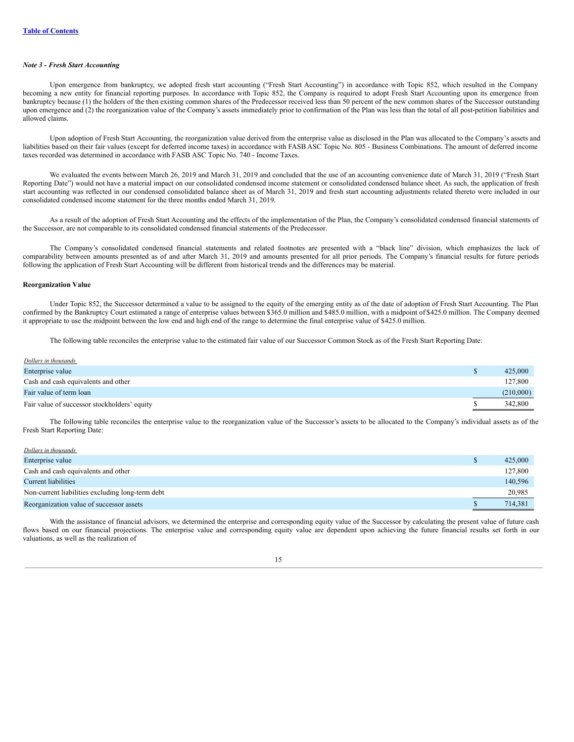# *Note 3 - Fresh Start Accounting*

Upon emergence from bankruptcy, we adopted fresh start accounting ("Fresh Start Accounting") in accordance with Topic 852, which resulted in the Company becoming a new entity for financial reporting purposes. In accordance with Topic 852, the Company is required to adopt Fresh Start Accounting upon its emergence from bankruptcy because (1) the holders of the then existing common shares of the Predecessor received less than 50 percent of the new common shares of the Successor outstanding upon emergence and (2) the reorganization value of the Company's assets immediately prior to confirmation of the Plan was less than the total of all post-petition liabilities and allowed claims.

Upon adoption of Fresh Start Accounting, the reorganization value derived from the enterprise value as disclosed in the Plan was allocated to the Company's assets and liabilities based on their fair values (except for deferred income taxes) in accordance with FASB ASC Topic No. 805 - Business Combinations. The amount of deferred income taxes recorded was determined in accordance with FASB ASC Topic No. 740 - Income Taxes.

We evaluated the events between March 26, 2019 and March 31, 2019 and concluded that the use of an accounting convenience date of March 31, 2019 ("Fresh Start Reporting Date") would not have a material impact on our consolidated condensed income statement or consolidated condensed balance sheet. As such, the application of fresh start accounting was reflected in our condensed consolidated balance sheet as of March 31, 2019 and fresh start accounting adjustments related thereto were included in our consolidated condensed income statement for the three months ended March 31, 2019.

As a result of the adoption of Fresh Start Accounting and the effects of the implementation of the Plan, the Company's consolidated condensed financial statements of the Successor, are not comparable to its consolidated condensed financial statements of the Predecessor.

The Company's consolidated condensed financial statements and related footnotes are presented with a "black line" division, which emphasizes the lack of comparability between amounts presented as of and after March 31, 2019 and amounts presented for all prior periods. The Company's financial results for future periods following the application of Fresh Start Accounting will be different from historical trends and the differences may be material.

# **Reorganization Value**

Under Topic 852, the Successor determined a value to be assigned to the equity of the emerging entity as of the date of adoption of Fresh Start Accounting. The Plan confirmed by the Bankruptcy Court estimated a range of enterprise values between \$365.0 million and \$485.0 million, with a midpoint of \$425.0 million. The Company deemed it appropriate to use the midpoint between the low end and high end of the range to determine the final enterprise value of \$425.0 million.

The following table reconciles the enterprise value to the estimated fair value of our Successor Common Stock as of the Fresh Start Reporting Date:

| Dollars in thousands                         |           |
|----------------------------------------------|-----------|
| Enterprise value                             | 425,000   |
| Cash and cash equivalents and other          | 127,800   |
| Fair value of term loan                      | (210,000) |
| Fair value of successor stockholders' equity | 342,800   |

The following table reconciles the enterprise value to the reorganization value of the Successor's assets to be allocated to the Company's individual assets as of the Fresh Start Reporting Date:

| 425,000 |
|---------|
| 127,800 |
| 140,596 |
| 20,985  |
| 714,381 |
|         |

With the assistance of financial advisors, we determined the enterprise and corresponding equity value of the Successor by calculating the present value of future cash flows based on our financial projections. The enterprise value and corresponding equity value are dependent upon achieving the future financial results set forth in our valuations, as well as the realization of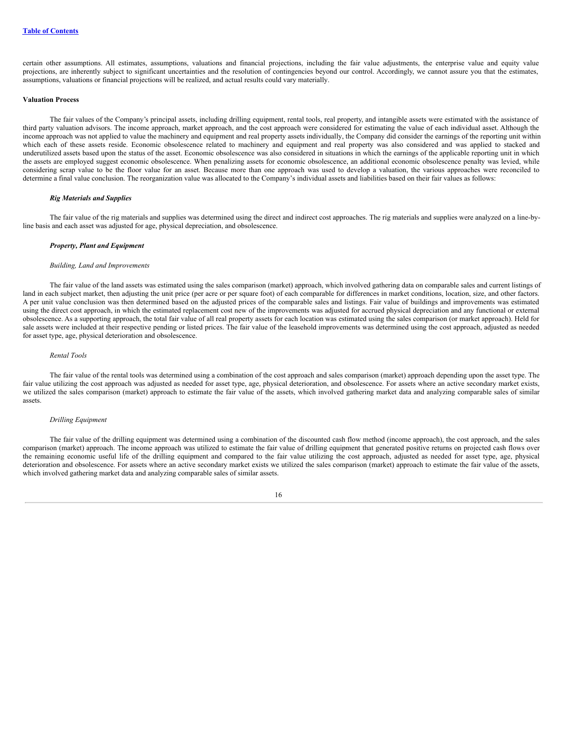certain other assumptions. All estimates, assumptions, valuations and financial projections, including the fair value adjustments, the enterprise value and equity value projections, are inherently subject to significant uncertainties and the resolution of contingencies beyond our control. Accordingly, we cannot assure you that the estimates, assumptions, valuations or financial projections will be realized, and actual results could vary materially.

# **Valuation Process**

The fair values of the Company's principal assets, including drilling equipment, rental tools, real property, and intangible assets were estimated with the assistance of third party valuation advisors. The income approach, market approach, and the cost approach were considered for estimating the value of each individual asset. Although the income approach was not applied to value the machinery and equipment and real property assets individually, the Company did consider the earnings of the reporting unit within which each of these assets reside. Economic obsolescence related to machinery and equipment and real property was also considered and was applied to stacked and underutilized assets based upon the status of the asset. Economic obsolescence was also considered in situations in which the earnings of the applicable reporting unit in which the assets are employed suggest economic obsolescence. When penalizing assets for economic obsolescence, an additional economic obsolescence penalty was levied, while considering scrap value to be the floor value for an asset. Because more than one approach was used to develop a valuation, the various approaches were reconciled to determine a final value conclusion. The reorganization value was allocated to the Company's individual assets and liabilities based on their fair values as follows:

#### *Rig Materials and Supplies*

The fair value of the rig materials and supplies was determined using the direct and indirect cost approaches. The rig materials and supplies were analyzed on a line-byline basis and each asset was adjusted for age, physical depreciation, and obsolescence.

## *Property, Plant and Equipment*

#### *Building, Land and Improvements*

The fair value of the land assets was estimated using the sales comparison (market) approach, which involved gathering data on comparable sales and current listings of land in each subject market, then adjusting the unit price (per acre or per square foot) of each comparable for differences in market conditions, location, size, and other factors. A per unit value conclusion was then determined based on the adjusted prices of the comparable sales and listings. Fair value of buildings and improvements was estimated using the direct cost approach, in which the estimated replacement cost new of the improvements was adjusted for accrued physical depreciation and any functional or external obsolescence. As a supporting approach, the total fair value of all real property assets for each location was estimated using the sales comparison (or market approach). Held for sale assets were included at their respective pending or listed prices. The fair value of the leasehold improvements was determined using the cost approach, adjusted as needed for asset type, age, physical deterioration and obsolescence.

#### *Rental Tools*

The fair value of the rental tools was determined using a combination of the cost approach and sales comparison (market) approach depending upon the asset type. The fair value utilizing the cost approach was adjusted as needed for asset type, age, physical deterioration, and obsolescence. For assets where an active secondary market exists, we utilized the sales comparison (market) approach to estimate the fair value of the assets, which involved gathering market data and analyzing comparable sales of similar assets.

#### *Drilling Equipment*

The fair value of the drilling equipment was determined using a combination of the discounted cash flow method (income approach), the cost approach, and the sales comparison (market) approach. The income approach was utilized to estimate the fair value of drilling equipment that generated positive returns on projected cash flows over the remaining economic useful life of the drilling equipment and compared to the fair value utilizing the cost approach, adjusted as needed for asset type, age, physical deterioration and obsolescence. For assets where an active secondary market exists we utilized the sales comparison (market) approach to estimate the fair value of the assets, which involved gathering market data and analyzing comparable sales of similar assets.

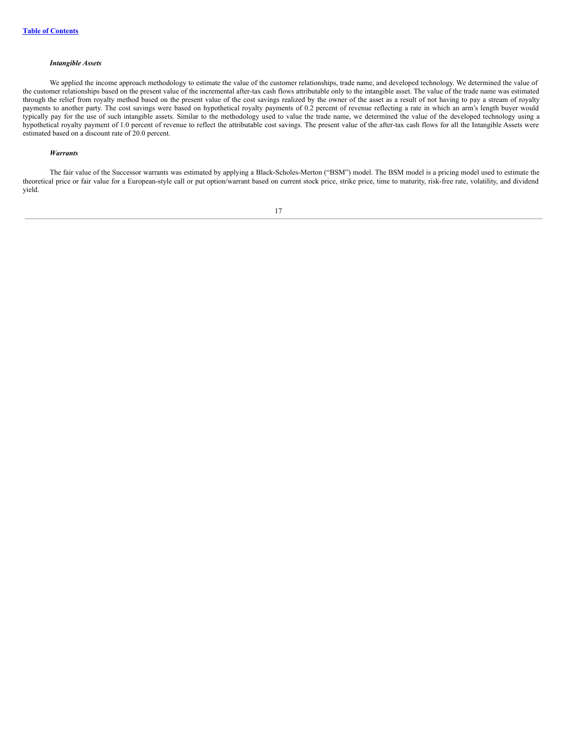# *Intangible Assets*

We applied the income approach methodology to estimate the value of the customer relationships, trade name, and developed technology. We determined the value of the customer relationships based on the present value of the incremental after-tax cash flows attributable only to the intangible asset. The value of the trade name was estimated through the relief from royalty method based on the present value of the cost savings realized by the owner of the asset as a result of not having to pay a stream of royalty payments to another party. The cost savings were based on hypothetical royalty payments of 0.2 percent of revenue reflecting a rate in which an arm's length buyer would typically pay for the use of such intangible assets. Similar to the methodology used to value the trade name, we determined the value of the developed technology using a hypothetical royalty payment of 1.0 percent of revenue to reflect the attributable cost savings. The present value of the after-tax cash flows for all the Intangible Assets were estimated based on a discount rate of 20.0 percent.

# *Warrants*

The fair value of the Successor warrants was estimated by applying a Black-Scholes-Merton ("BSM") model. The BSM model is a pricing model used to estimate the theoretical price or fair value for a European-style call or put option/warrant based on current stock price, strike price, time to maturity, risk-free rate, volatility, and dividend yield.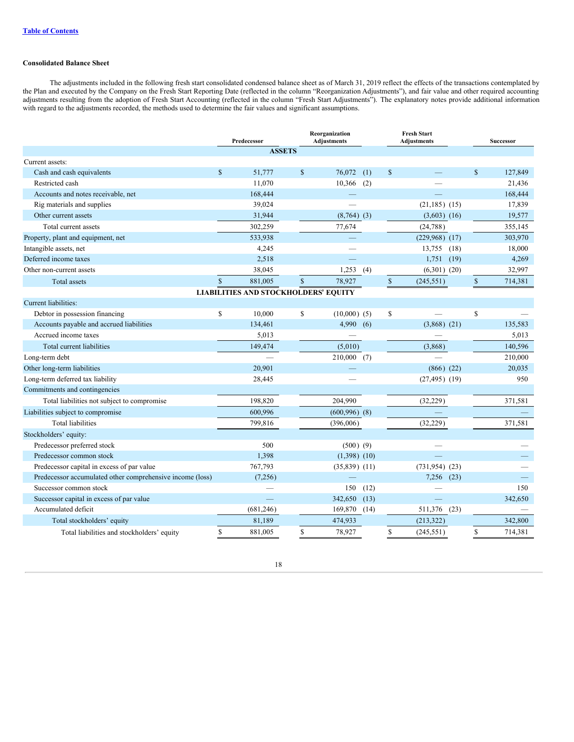# **Consolidated Balance Sheet**

The adjustments included in the following fresh start consolidated condensed balance sheet as of March 31, 2019 reflect the effects of the transactions contemplated by the Plan and executed by the Company on the Fresh Start Reporting Date (reflected in the column "Reorganization Adjustments"), and fair value and other required accounting adjustments resulting from the adoption of Fresh Start Accounting (reflected in the column "Fresh Start Adjustments"). The explanatory notes provide additional information with regard to the adjustments recorded, the methods used to determine the fair values and significant assumptions.

|                                                           |              | Predecessor                                 |              | Reorganization<br><b>Fresh Start</b><br><b>Adjustments</b><br>Adjustments |      |                             |                |               | Successor |
|-----------------------------------------------------------|--------------|---------------------------------------------|--------------|---------------------------------------------------------------------------|------|-----------------------------|----------------|---------------|-----------|
|                                                           |              | <b>ASSETS</b>                               |              |                                                                           |      |                             |                |               |           |
| Current assets:                                           |              |                                             |              |                                                                           |      |                             |                |               |           |
| Cash and cash equivalents                                 | $\mathbb{S}$ | 51,777                                      | $\mathbb{S}$ | 76,072<br>(1)                                                             |      | $\mathbf S$                 |                | \$            | 127,849   |
| Restricted cash                                           |              | 11,070                                      |              | 10,366<br>(2)                                                             |      |                             |                |               | 21,436    |
| Accounts and notes receivable, net                        |              | 168,444                                     |              |                                                                           |      |                             |                |               | 168,444   |
| Rig materials and supplies                                |              | 39,024                                      |              |                                                                           |      | $(21,185)$ $(15)$           |                |               | 17,839    |
| Other current assets                                      |              | 31,944                                      |              | $(8,764)$ (3)                                                             |      | $(3,603)$ $(16)$            |                |               | 19,577    |
| Total current assets                                      |              | 302,259                                     |              | 77,674                                                                    |      | (24, 788)                   |                |               | 355,145   |
| Property, plant and equipment, net                        |              | 533,938                                     |              |                                                                           |      | $(229,968)$ $(17)$          |                |               | 303,970   |
| Intangible assets, net                                    |              | 4,245                                       |              |                                                                           |      | 13,755                      | (18)           |               | 18,000    |
| Deferred income taxes                                     |              | 2,518                                       |              |                                                                           |      | 1,751                       | (19)           |               | 4,269     |
| Other non-current assets                                  |              | 38,045                                      |              | 1,253<br>(4)                                                              |      | $(6,301)$ $(20)$            |                |               | 32,997    |
| <b>Total assets</b>                                       | $\mathbf S$  | 881,005                                     | $\mathbf S$  | 78,927                                                                    |      | $\mathsf{\$}$<br>(245, 551) |                | $\mathcal{S}$ | 714,381   |
|                                                           |              | <b>LIABILITIES AND STOCKHOLDERS' EQUITY</b> |              |                                                                           |      |                             |                |               |           |
| Current liabilities:                                      |              |                                             |              |                                                                           |      |                             |                |               |           |
| Debtor in possession financing                            | \$           | 10,000                                      | \$           | $(10,000)$ $(5)$                                                          |      | <sup>\$</sup>               |                | \$            |           |
| Accounts payable and accrued liabilities                  |              | 134,461                                     |              | 4,990<br>(6)                                                              |      | $(3,868)$ $(21)$            |                |               | 135,583   |
| Accrued income taxes                                      |              | 5,013                                       |              |                                                                           |      |                             |                |               | 5.013     |
| Total current liabilities                                 |              | 149,474                                     |              | (5,010)                                                                   |      | (3,868)                     |                |               | 140,596   |
| Long-term debt                                            |              |                                             |              | 210,000 (7)                                                               |      |                             |                |               | 210,000   |
| Other long-term liabilities                               |              | 20,901                                      |              |                                                                           |      |                             | $(866)$ $(22)$ |               | 20,035    |
| Long-term deferred tax liability                          |              | 28,445                                      |              |                                                                           |      | $(27, 495)$ $(19)$          |                |               | 950       |
| Commitments and contingencies                             |              |                                             |              |                                                                           |      |                             |                |               |           |
| Total liabilities not subject to compromise               |              | 198,820                                     |              | 204,990                                                                   |      | (32, 229)                   |                |               | 371,581   |
| Liabilities subject to compromise                         |              | 600,996                                     |              | $(600,996)$ $(8)$                                                         |      |                             |                |               |           |
| <b>Total liabilities</b>                                  |              | 799,816                                     |              | (396,006)                                                                 |      | (32, 229)                   |                |               | 371,581   |
| Stockholders' equity:                                     |              |                                             |              |                                                                           |      |                             |                |               |           |
| Predecessor preferred stock                               |              | 500                                         |              | $(500)$ $(9)$                                                             |      |                             |                |               |           |
| Predecessor common stock                                  |              | 1.398                                       |              | $(1,398)$ $(10)$                                                          |      |                             |                |               |           |
| Predecessor capital in excess of par value                |              | 767,793                                     |              | $(35,839)$ $(11)$                                                         |      | $(731, 954)$ $(23)$         |                |               |           |
| Predecessor accumulated other comprehensive income (loss) |              | (7,256)                                     |              |                                                                           |      | 7.256                       | (23)           |               |           |
| Successor common stock                                    |              |                                             |              | 150                                                                       | (12) |                             |                |               | 150       |
| Successor capital in excess of par value                  |              |                                             |              | 342,650                                                                   | (13) |                             |                |               | 342,650   |
| Accumulated deficit                                       |              | (681, 246)                                  |              | 169,870 (14)                                                              |      | 511,376                     | (23)           |               |           |
| Total stockholders' equity                                |              | 81,189                                      |              | 474,933                                                                   |      | (213, 322)                  |                |               | 342,800   |
| Total liabilities and stockholders' equity                | \$           | 881,005                                     | \$           | 78,927                                                                    |      | \$<br>(245, 551)            |                | \$            | 714,381   |

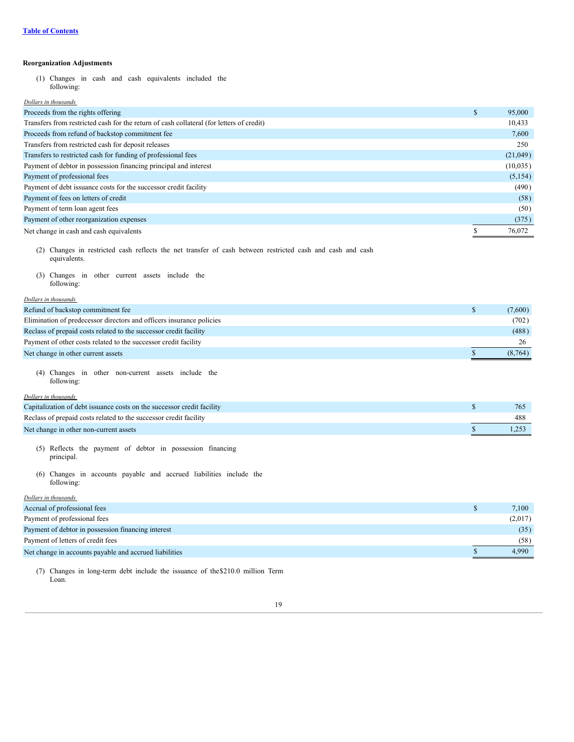# **Reorganization Adjustments**

(1) Changes in cash and cash equivalents included the following:

# *Dollars in thousands*

| Proceeds from the rights offering                                                        | Ф | 95,000   |
|------------------------------------------------------------------------------------------|---|----------|
| Transfers from restricted cash for the return of cash collateral (for letters of credit) |   | 10,433   |
| Proceeds from refund of backstop commitment fee                                          |   | 7,600    |
| Transfers from restricted cash for deposit releases                                      |   | 250      |
| Transfers to restricted cash for funding of professional fees                            |   | (21,049) |
| Payment of debtor in possession financing principal and interest                         |   | (10,035) |
| Payment of professional fees                                                             |   | (5,154)  |
| Payment of debt issuance costs for the successor credit facility                         |   | (490)    |
| Payment of fees on letters of credit                                                     |   | (58)     |
| Payment of term loan agent fees                                                          |   | (50)     |
| Payment of other reorganization expenses                                                 |   | (375)    |
| Net change in cash and cash equivalents                                                  |   | 76,072   |

- (2) Changes in restricted cash reflects the net transfer of cash between restricted cash and cash and cash equivalents.
- (3) Changes in other current assets include the following:

# *Dollars in thousands* Refund of backstop commitment fee  $\sim$  (7,600) Elimination of predecessor directors and officers insurance policies (702) Reclass of prepaid costs related to the successor credit facility (488) Payment of other costs related to the successor credit facility 26 Net change in other current assets  $\qquad \qquad$  (8,764)

(4) Changes in other non-current assets include the following:

# *Dollars in thousands*

| Capitalization of debt issuance costs on the successor credit facility | 765 |
|------------------------------------------------------------------------|-----|
| Reclass of prepaid costs related to the successor credit facility      | 488 |
| Net change in other non-current assets                                 |     |

- (5) Reflects the payment of debtor in possession financing principal.
- (6) Changes in accounts payable and accrued liabilities include the following:

*Dollars in thousands*

| Accrual of professional fees                           | 7.100   |
|--------------------------------------------------------|---------|
| Payment of professional fees                           | (2,017) |
| Payment of debtor in possession financing interest     | (35)    |
| Payment of letters of credit fees                      | (58)    |
| Net change in accounts payable and accrued liabilities | 4.990   |

(7) Changes in long-term debt include the issuance of the\$210.0 million Term Loan.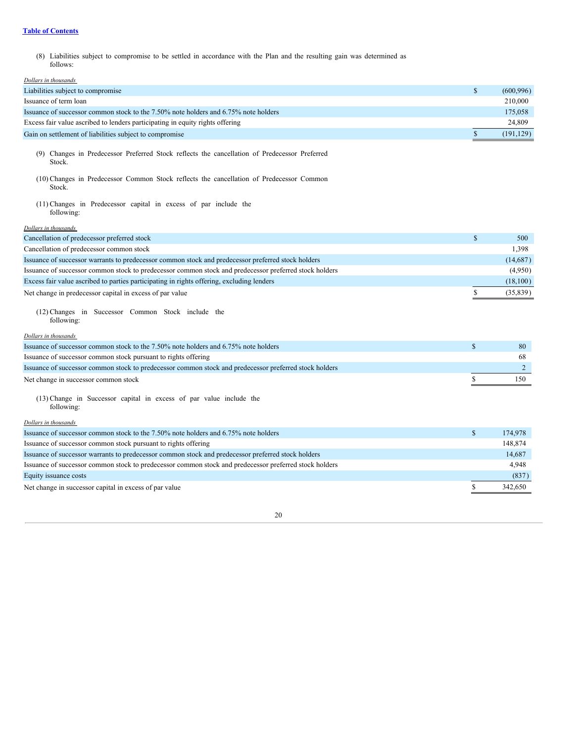(8) Liabilities subject to compromise to be settled in accordance with the Plan and the resulting gain was determined as follows:

| Liabilities subject to compromise<br>$\mathbb{S}$<br>Issuance of term loan<br>210,000<br>Issuance of successor common stock to the 7.50% note holders and 6.75% note holders<br>175,058<br>Excess fair value ascribed to lenders participating in equity rights offering<br>24,809<br>$\mathbb{S}$<br>Gain on settlement of liabilities subject to compromise<br>(9) Changes in Predecessor Preferred Stock reflects the cancellation of Predecessor Preferred<br>Stock.<br>(10) Changes in Predecessor Common Stock reflects the cancellation of Predecessor Common<br>Stock.<br>(11) Changes in Predecessor capital in excess of par include the<br>following:<br>Dollars in thousands<br>Cancellation of predecessor preferred stock<br>$\mathbb{S}$<br>500<br>Cancellation of predecessor common stock<br>1,398<br>Issuance of successor warrants to predecessor common stock and predecessor preferred stock holders<br>Issuance of successor common stock to predecessor common stock and predecessor preferred stock holders<br>Excess fair value ascribed to parties participating in rights offering, excluding lenders<br>\$<br>Net change in predecessor capital in excess of par value<br>(12) Changes in Successor Common Stock include the<br>following:<br>Dollars in thousands<br>Issuance of successor common stock to the 7.50% note holders and 6.75% note holders<br>$\mathbb{S}$<br>80<br>Issuance of successor common stock pursuant to rights offering<br>68<br>Issuance of successor common stock to predecessor common stock and predecessor preferred stock holders<br>2<br>S<br>150<br>Net change in successor common stock<br>(13) Change in Successor capital in excess of par value include the<br>following:<br>Dollars in thousands<br>$\mathbb{S}$<br>Issuance of successor common stock to the 7.50% note holders and 6.75% note holders<br>174,978<br>148,874<br>Issuance of successor common stock pursuant to rights offering<br>Issuance of successor warrants to predecessor common stock and predecessor preferred stock holders<br>14,687<br>Issuance of successor common stock to predecessor common stock and predecessor preferred stock holders<br>4,948 | Dollars in thousands |            |
|-------------------------------------------------------------------------------------------------------------------------------------------------------------------------------------------------------------------------------------------------------------------------------------------------------------------------------------------------------------------------------------------------------------------------------------------------------------------------------------------------------------------------------------------------------------------------------------------------------------------------------------------------------------------------------------------------------------------------------------------------------------------------------------------------------------------------------------------------------------------------------------------------------------------------------------------------------------------------------------------------------------------------------------------------------------------------------------------------------------------------------------------------------------------------------------------------------------------------------------------------------------------------------------------------------------------------------------------------------------------------------------------------------------------------------------------------------------------------------------------------------------------------------------------------------------------------------------------------------------------------------------------------------------------------------------------------------------------------------------------------------------------------------------------------------------------------------------------------------------------------------------------------------------------------------------------------------------------------------------------------------------------------------------------------------------------------------------------------------------------------------------------------------------------------------------------------------|----------------------|------------|
|                                                                                                                                                                                                                                                                                                                                                                                                                                                                                                                                                                                                                                                                                                                                                                                                                                                                                                                                                                                                                                                                                                                                                                                                                                                                                                                                                                                                                                                                                                                                                                                                                                                                                                                                                                                                                                                                                                                                                                                                                                                                                                                                                                                                       |                      | (600, 996) |
|                                                                                                                                                                                                                                                                                                                                                                                                                                                                                                                                                                                                                                                                                                                                                                                                                                                                                                                                                                                                                                                                                                                                                                                                                                                                                                                                                                                                                                                                                                                                                                                                                                                                                                                                                                                                                                                                                                                                                                                                                                                                                                                                                                                                       |                      |            |
|                                                                                                                                                                                                                                                                                                                                                                                                                                                                                                                                                                                                                                                                                                                                                                                                                                                                                                                                                                                                                                                                                                                                                                                                                                                                                                                                                                                                                                                                                                                                                                                                                                                                                                                                                                                                                                                                                                                                                                                                                                                                                                                                                                                                       |                      |            |
|                                                                                                                                                                                                                                                                                                                                                                                                                                                                                                                                                                                                                                                                                                                                                                                                                                                                                                                                                                                                                                                                                                                                                                                                                                                                                                                                                                                                                                                                                                                                                                                                                                                                                                                                                                                                                                                                                                                                                                                                                                                                                                                                                                                                       |                      |            |
|                                                                                                                                                                                                                                                                                                                                                                                                                                                                                                                                                                                                                                                                                                                                                                                                                                                                                                                                                                                                                                                                                                                                                                                                                                                                                                                                                                                                                                                                                                                                                                                                                                                                                                                                                                                                                                                                                                                                                                                                                                                                                                                                                                                                       |                      | (191, 129) |
|                                                                                                                                                                                                                                                                                                                                                                                                                                                                                                                                                                                                                                                                                                                                                                                                                                                                                                                                                                                                                                                                                                                                                                                                                                                                                                                                                                                                                                                                                                                                                                                                                                                                                                                                                                                                                                                                                                                                                                                                                                                                                                                                                                                                       |                      |            |
|                                                                                                                                                                                                                                                                                                                                                                                                                                                                                                                                                                                                                                                                                                                                                                                                                                                                                                                                                                                                                                                                                                                                                                                                                                                                                                                                                                                                                                                                                                                                                                                                                                                                                                                                                                                                                                                                                                                                                                                                                                                                                                                                                                                                       |                      |            |
|                                                                                                                                                                                                                                                                                                                                                                                                                                                                                                                                                                                                                                                                                                                                                                                                                                                                                                                                                                                                                                                                                                                                                                                                                                                                                                                                                                                                                                                                                                                                                                                                                                                                                                                                                                                                                                                                                                                                                                                                                                                                                                                                                                                                       |                      |            |
|                                                                                                                                                                                                                                                                                                                                                                                                                                                                                                                                                                                                                                                                                                                                                                                                                                                                                                                                                                                                                                                                                                                                                                                                                                                                                                                                                                                                                                                                                                                                                                                                                                                                                                                                                                                                                                                                                                                                                                                                                                                                                                                                                                                                       |                      |            |
|                                                                                                                                                                                                                                                                                                                                                                                                                                                                                                                                                                                                                                                                                                                                                                                                                                                                                                                                                                                                                                                                                                                                                                                                                                                                                                                                                                                                                                                                                                                                                                                                                                                                                                                                                                                                                                                                                                                                                                                                                                                                                                                                                                                                       |                      |            |
|                                                                                                                                                                                                                                                                                                                                                                                                                                                                                                                                                                                                                                                                                                                                                                                                                                                                                                                                                                                                                                                                                                                                                                                                                                                                                                                                                                                                                                                                                                                                                                                                                                                                                                                                                                                                                                                                                                                                                                                                                                                                                                                                                                                                       |                      |            |
|                                                                                                                                                                                                                                                                                                                                                                                                                                                                                                                                                                                                                                                                                                                                                                                                                                                                                                                                                                                                                                                                                                                                                                                                                                                                                                                                                                                                                                                                                                                                                                                                                                                                                                                                                                                                                                                                                                                                                                                                                                                                                                                                                                                                       |                      | (14,687)   |
|                                                                                                                                                                                                                                                                                                                                                                                                                                                                                                                                                                                                                                                                                                                                                                                                                                                                                                                                                                                                                                                                                                                                                                                                                                                                                                                                                                                                                                                                                                                                                                                                                                                                                                                                                                                                                                                                                                                                                                                                                                                                                                                                                                                                       |                      | (4,950)    |
|                                                                                                                                                                                                                                                                                                                                                                                                                                                                                                                                                                                                                                                                                                                                                                                                                                                                                                                                                                                                                                                                                                                                                                                                                                                                                                                                                                                                                                                                                                                                                                                                                                                                                                                                                                                                                                                                                                                                                                                                                                                                                                                                                                                                       |                      | (18,100)   |
|                                                                                                                                                                                                                                                                                                                                                                                                                                                                                                                                                                                                                                                                                                                                                                                                                                                                                                                                                                                                                                                                                                                                                                                                                                                                                                                                                                                                                                                                                                                                                                                                                                                                                                                                                                                                                                                                                                                                                                                                                                                                                                                                                                                                       |                      | (35, 839)  |
|                                                                                                                                                                                                                                                                                                                                                                                                                                                                                                                                                                                                                                                                                                                                                                                                                                                                                                                                                                                                                                                                                                                                                                                                                                                                                                                                                                                                                                                                                                                                                                                                                                                                                                                                                                                                                                                                                                                                                                                                                                                                                                                                                                                                       |                      |            |
|                                                                                                                                                                                                                                                                                                                                                                                                                                                                                                                                                                                                                                                                                                                                                                                                                                                                                                                                                                                                                                                                                                                                                                                                                                                                                                                                                                                                                                                                                                                                                                                                                                                                                                                                                                                                                                                                                                                                                                                                                                                                                                                                                                                                       |                      |            |
|                                                                                                                                                                                                                                                                                                                                                                                                                                                                                                                                                                                                                                                                                                                                                                                                                                                                                                                                                                                                                                                                                                                                                                                                                                                                                                                                                                                                                                                                                                                                                                                                                                                                                                                                                                                                                                                                                                                                                                                                                                                                                                                                                                                                       |                      |            |
|                                                                                                                                                                                                                                                                                                                                                                                                                                                                                                                                                                                                                                                                                                                                                                                                                                                                                                                                                                                                                                                                                                                                                                                                                                                                                                                                                                                                                                                                                                                                                                                                                                                                                                                                                                                                                                                                                                                                                                                                                                                                                                                                                                                                       |                      |            |
|                                                                                                                                                                                                                                                                                                                                                                                                                                                                                                                                                                                                                                                                                                                                                                                                                                                                                                                                                                                                                                                                                                                                                                                                                                                                                                                                                                                                                                                                                                                                                                                                                                                                                                                                                                                                                                                                                                                                                                                                                                                                                                                                                                                                       |                      |            |
|                                                                                                                                                                                                                                                                                                                                                                                                                                                                                                                                                                                                                                                                                                                                                                                                                                                                                                                                                                                                                                                                                                                                                                                                                                                                                                                                                                                                                                                                                                                                                                                                                                                                                                                                                                                                                                                                                                                                                                                                                                                                                                                                                                                                       |                      |            |
|                                                                                                                                                                                                                                                                                                                                                                                                                                                                                                                                                                                                                                                                                                                                                                                                                                                                                                                                                                                                                                                                                                                                                                                                                                                                                                                                                                                                                                                                                                                                                                                                                                                                                                                                                                                                                                                                                                                                                                                                                                                                                                                                                                                                       |                      |            |
|                                                                                                                                                                                                                                                                                                                                                                                                                                                                                                                                                                                                                                                                                                                                                                                                                                                                                                                                                                                                                                                                                                                                                                                                                                                                                                                                                                                                                                                                                                                                                                                                                                                                                                                                                                                                                                                                                                                                                                                                                                                                                                                                                                                                       |                      |            |
|                                                                                                                                                                                                                                                                                                                                                                                                                                                                                                                                                                                                                                                                                                                                                                                                                                                                                                                                                                                                                                                                                                                                                                                                                                                                                                                                                                                                                                                                                                                                                                                                                                                                                                                                                                                                                                                                                                                                                                                                                                                                                                                                                                                                       |                      |            |
|                                                                                                                                                                                                                                                                                                                                                                                                                                                                                                                                                                                                                                                                                                                                                                                                                                                                                                                                                                                                                                                                                                                                                                                                                                                                                                                                                                                                                                                                                                                                                                                                                                                                                                                                                                                                                                                                                                                                                                                                                                                                                                                                                                                                       |                      |            |
|                                                                                                                                                                                                                                                                                                                                                                                                                                                                                                                                                                                                                                                                                                                                                                                                                                                                                                                                                                                                                                                                                                                                                                                                                                                                                                                                                                                                                                                                                                                                                                                                                                                                                                                                                                                                                                                                                                                                                                                                                                                                                                                                                                                                       |                      |            |
|                                                                                                                                                                                                                                                                                                                                                                                                                                                                                                                                                                                                                                                                                                                                                                                                                                                                                                                                                                                                                                                                                                                                                                                                                                                                                                                                                                                                                                                                                                                                                                                                                                                                                                                                                                                                                                                                                                                                                                                                                                                                                                                                                                                                       |                      |            |
| Equity issuance costs<br>(837)                                                                                                                                                                                                                                                                                                                                                                                                                                                                                                                                                                                                                                                                                                                                                                                                                                                                                                                                                                                                                                                                                                                                                                                                                                                                                                                                                                                                                                                                                                                                                                                                                                                                                                                                                                                                                                                                                                                                                                                                                                                                                                                                                                        |                      |            |
| S.<br>342,650<br>Net change in successor capital in excess of par value                                                                                                                                                                                                                                                                                                                                                                                                                                                                                                                                                                                                                                                                                                                                                                                                                                                                                                                                                                                                                                                                                                                                                                                                                                                                                                                                                                                                                                                                                                                                                                                                                                                                                                                                                                                                                                                                                                                                                                                                                                                                                                                               |                      |            |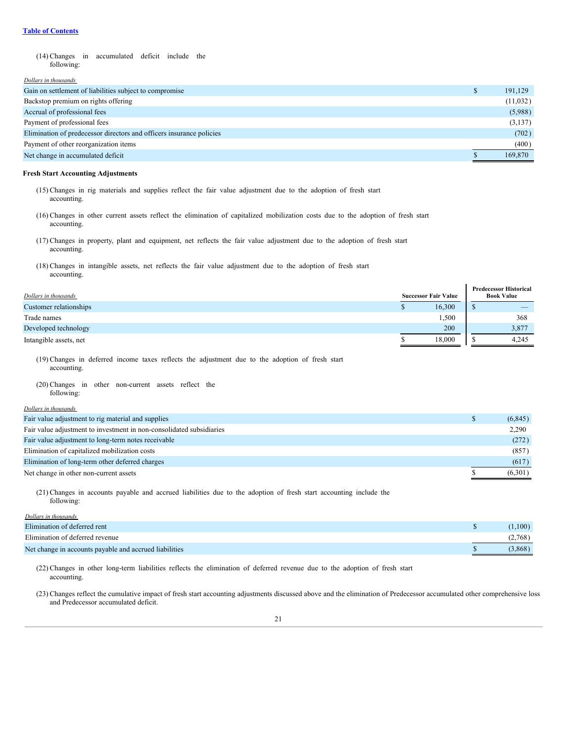(14) Changes in accumulated deficit include the following:

### *Dollars in thousands*

| Gain on settlement of liabilities subject to compromise              | 191,129  |
|----------------------------------------------------------------------|----------|
| Backstop premium on rights offering                                  | (11,032) |
| Accrual of professional fees                                         | (5,988)  |
| Payment of professional fees                                         | (3,137)  |
| Elimination of predecessor directors and officers insurance policies | (702)    |
| Payment of other reorganization items                                | (400)    |
| Net change in accumulated deficit                                    | 169,870  |

## **Fresh Start Accounting Adjustments**

- (15) Changes in rig materials and supplies reflect the fair value adjustment due to the adoption of fresh start accounting.
- (16) Changes in other current assets reflect the elimination of capitalized mobilization costs due to the adoption of fresh start accounting.
- (17) Changes in property, plant and equipment, net reflects the fair value adjustment due to the adoption of fresh start accounting.
- (18) Changes in intangible assets, net reflects the fair value adjustment due to the adoption of fresh start accounting.

| Dollars in thousands   | <b>Successor Fair Value</b> |        | <b>Predecessor Historical</b><br><b>Book Value</b> |
|------------------------|-----------------------------|--------|----------------------------------------------------|
| Customer relationships |                             | 16,300 | $-$                                                |
| Trade names            |                             | 1,500  | 368                                                |
| Developed technology   |                             | 200    | 3,877                                              |
| Intangible assets, net |                             | 18.000 | 4.245                                              |

(19) Changes in deferred income taxes reflects the adjustment due to the adoption of fresh start accounting.

- (20) Changes in other non-current assets reflect the
- following:

# *Dollars in thousands*

| Fair value adjustment to rig material and supplies                   | (6, 845) |
|----------------------------------------------------------------------|----------|
| Fair value adjustment to investment in non-consolidated subsidiaries | 2,290    |
| Fair value adjustment to long-term notes receivable                  | (272)    |
| Elimination of capitalized mobilization costs                        | (857)    |
| Elimination of long-term other deferred charges                      | (617)    |
| Net change in other non-current assets                               | (6,301)  |

(21) Changes in accounts payable and accrued liabilities due to the adoption of fresh start accounting include the following:

#### *Dollars in thousands*

| Elimination of deferred rent                           | (1,100) |
|--------------------------------------------------------|---------|
| Elimination of deferred revenue                        | (2,768) |
| Net change in accounts payable and accrued liabilities | (3,868) |

(22) Changes in other long-term liabilities reflects the elimination of deferred revenue due to the adoption of fresh start accounting.

(23) Changes reflect the cumulative impact of fresh start accounting adjustments discussed above and the elimination of Predecessor accumulated other comprehensive loss and Predecessor accumulated deficit.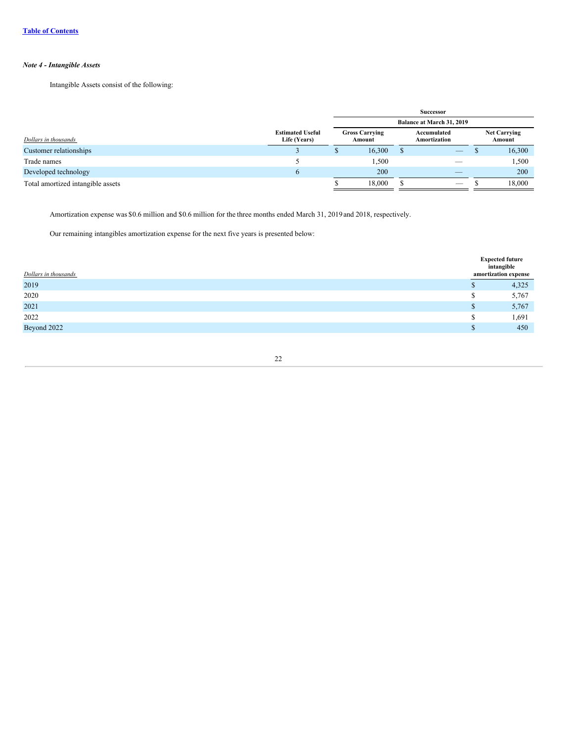# *Note 4 - Intangible Assets*

Intangible Assets consist of the following:

|                                   |                                         | <b>Successor</b>          |                                 |                             |                                 |                               |        |
|-----------------------------------|-----------------------------------------|---------------------------|---------------------------------|-----------------------------|---------------------------------|-------------------------------|--------|
|                                   |                                         | Balance at March 31, 2019 |                                 |                             |                                 |                               |        |
| Dollars in thousands              | <b>Estimated Useful</b><br>Life (Years) |                           | <b>Gross Carrying</b><br>Amount | Accumulated<br>Amortization |                                 | <b>Net Carrying</b><br>Amount |        |
| Customer relationships            |                                         |                           | 16,300                          |                             |                                 |                               | 16,300 |
| Trade names                       |                                         |                           | 1.500                           |                             | $\overline{\phantom{a}}$        |                               | 1,500  |
| Developed technology              | 6                                       |                           | 200                             |                             | $\overline{\phantom{a}}$        |                               | 200    |
| Total amortized intangible assets |                                         |                           | 18,000                          |                             | $\hspace{0.1mm}-\hspace{0.1mm}$ |                               | 18,000 |

Amortization expense was \$0.6 million and \$0.6 million for the three months ended March 31, 2019 and 2018, respectively.

Our remaining intangibles amortization expense for the next five years is presented below:

| Dollars in thousands | <b>Expected future</b><br>intangible<br>amortization expense |       |
|----------------------|--------------------------------------------------------------|-------|
| 2019                 | $\mathcal{D}$                                                | 4,325 |
| 2020                 | S                                                            | 5,767 |
| 2021                 | D.                                                           | 5,767 |
| 2022                 | -S                                                           | 1,691 |
| Beyond 2022          | $\mathbf{s}$                                                 | 450   |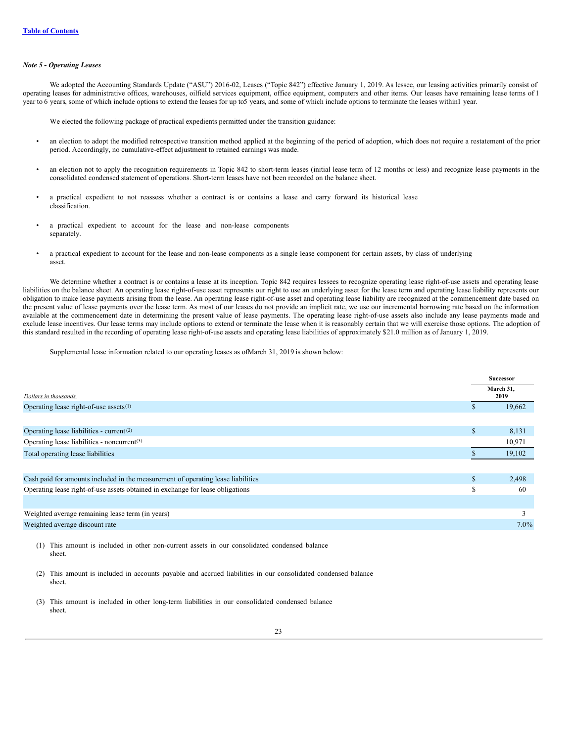# *Note 5 - Operating Leases*

We adopted the Accounting Standards Update ("ASU") 2016-02, Leases ("Topic 842") effective January 1, 2019. As lessee, our leasing activities primarily consist of operating leases for administrative offices, warehouses, oilfield services equipment, office equipment, computers and other items. Our leases have remaining lease terms of 1 year to 6 years, some of which include options to extend the leases for up to5 years, and some of which include options to terminate the leases within1 year.

We elected the following package of practical expedients permitted under the transition guidance:

- an election to adopt the modified retrospective transition method applied at the beginning of the period of adoption, which does not require a restatement of the prior period. Accordingly, no cumulative-effect adjustment to retained earnings was made.
- an election not to apply the recognition requirements in Topic 842 to short-term leases (initial lease term of 12 months or less) and recognize lease payments in the consolidated condensed statement of operations. Short-term leases have not been recorded on the balance sheet.
- a practical expedient to not reassess whether a contract is or contains a lease and carry forward its historical lease classification.
- a practical expedient to account for the lease and non-lease components separately.
- a practical expedient to account for the lease and non-lease components as a single lease component for certain assets, by class of underlying asset.

We determine whether a contract is or contains a lease at its inception. Topic 842 requires lessees to recognize operating lease right-of-use assets and operating lease liabilities on the balance sheet. An operating lease right-of-use asset represents our right to use an underlying asset for the lease term and operating lease liability represents our obligation to make lease payments arising from the lease. An operating lease right-of-use asset and operating lease liability are recognized at the commencement date based on the present value of lease payments over the lease term. As most of our leases do not provide an implicit rate, we use our incremental borrowing rate based on the information available at the commencement date in determining the present value of lease payments. The operating lease right-of-use assets also include any lease payments made and exclude lease incentives. Our lease terms may include options to extend or terminate the lease when it is reasonably certain that we will exercise those options. The adoption of this standard resulted in the recording of operating lease right-of-use assets and operating lease liabilities of approximately \$21.0 million as of January 1, 2019.

Supplemental lease information related to our operating leases as ofMarch 31, 2019 is shown below:

|                                                                                  | Successor    |                   |
|----------------------------------------------------------------------------------|--------------|-------------------|
| Dollars in thousands                                                             |              | March 31,<br>2019 |
| Operating lease right-of-use assets $(1)$                                        | \$.          | 19,662            |
|                                                                                  |              |                   |
| Operating lease liabilities - current <sup>(2)</sup>                             | $\mathbb{S}$ | 8,131             |
| Operating lease liabilities - noncurrent <sup>(3)</sup>                          |              | 10,971            |
| Total operating lease liabilities                                                |              | 19,102            |
|                                                                                  |              |                   |
| Cash paid for amounts included in the measurement of operating lease liabilities | $\mathbf{s}$ | 2,498             |
| Operating lease right-of-use assets obtained in exchange for lease obligations   | S            | 60                |
|                                                                                  |              |                   |
| Weighted average remaining lease term (in years)                                 |              | 3                 |
| Weighted average discount rate                                                   |              | $7.0\%$           |
|                                                                                  |              |                   |

(1) This amount is included in other non-current assets in our consolidated condensed balance sheet.

- (2) This amount is included in accounts payable and accrued liabilities in our consolidated condensed balance sheet.
- (3) This amount is included in other long-term liabilities in our consolidated condensed balance sheet.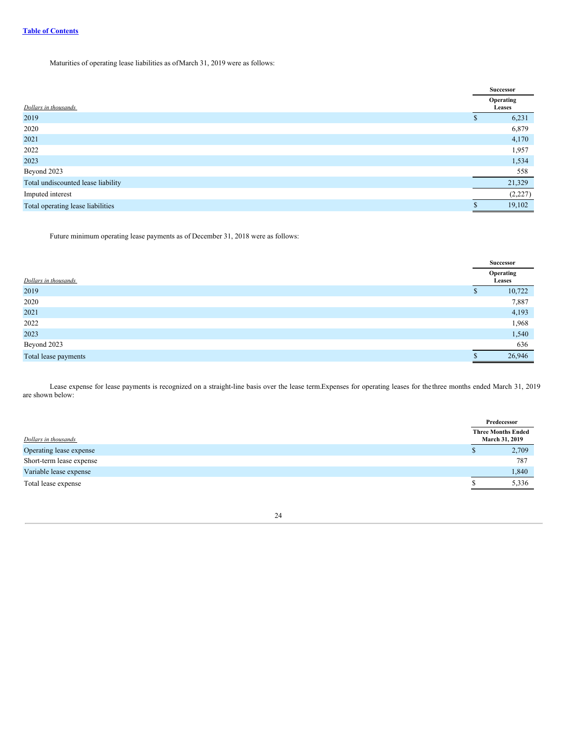Maturities of operating lease liabilities as ofMarch 31, 2019 were as follows:

|                                    | Successor |                     |
|------------------------------------|-----------|---------------------|
| Dollars in thousands               |           | Operating<br>Leases |
| 2019                               | D         | 6,231               |
| 2020                               |           | 6,879               |
| 2021                               |           | 4,170               |
| 2022                               |           | 1,957               |
| 2023                               |           | 1,534               |
| Beyond 2023                        |           | 558                 |
| Total undiscounted lease liability |           | 21,329              |
| Imputed interest                   |           | (2,227)             |
| Total operating lease liabilities  |           | 19,102              |

Future minimum operating lease payments as of December 31, 2018 were as follows:

|                      | Successor |                     |
|----------------------|-----------|---------------------|
| Dollars in thousands |           | Operating<br>Leases |
| 2019                 | ۵D        | 10,722              |
| 2020                 |           | 7,887               |
| 2021                 |           | 4,193               |
| 2022                 |           | 1,968               |
| 2023                 |           | 1,540               |
| Beyond 2023          |           | 636                 |
| Total lease payments |           | 26,946              |

Lease expense for lease payments is recognized on a straight-line basis over the lease term.Expenses for operating leases for the three months ended March 31, 2019 are shown below:

|                          | Predecessor                                 |       |
|--------------------------|---------------------------------------------|-------|
| Dollars in thousands     | <b>Three Months Ended</b><br>March 31, 2019 |       |
| Operating lease expense  |                                             | 2,709 |
| Short-term lease expense |                                             | 787   |
| Variable lease expense   |                                             | 1,840 |
| Total lease expense      |                                             | 5,336 |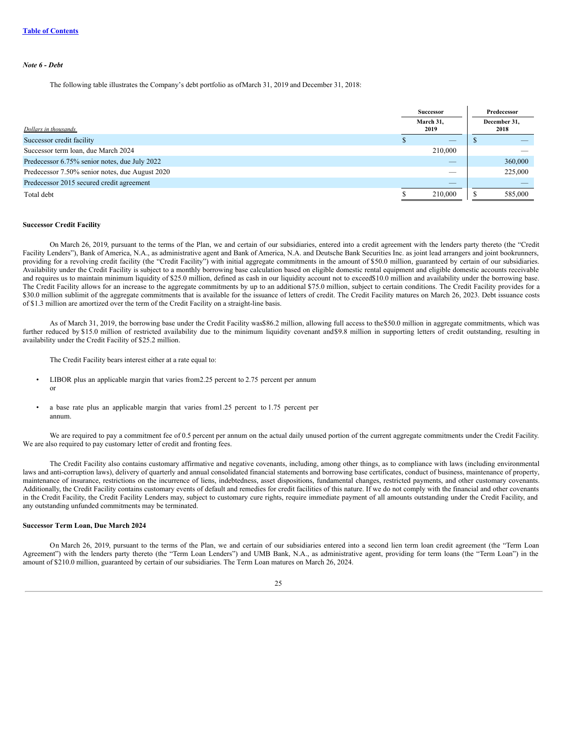## *Note 6 - Debt*

The following table illustrates the Company's debt portfolio as ofMarch 31, 2019 and December 31, 2018:

|                                                 | <b>Successor</b>  |         | Predecessor |         |  |                      |
|-------------------------------------------------|-------------------|---------|-------------|---------|--|----------------------|
| Dollars in thousands                            | March 31,<br>2019 |         |             |         |  | December 31,<br>2018 |
| Successor credit facility                       |                   | _       |             |         |  |                      |
| Successor term loan, due March 2024             |                   | 210,000 |             |         |  |                      |
| Predecessor 6.75% senior notes, due July 2022   |                   | __      |             | 360,000 |  |                      |
| Predecessor 7.50% senior notes, due August 2020 |                   |         |             | 225,000 |  |                      |
| Predecessor 2015 secured credit agreement       |                   | _       |             |         |  |                      |
| Total debt                                      |                   | 210,000 |             | 585,000 |  |                      |

# **Successor Credit Facility**

On March 26, 2019, pursuant to the terms of the Plan, we and certain of our subsidiaries, entered into a credit agreement with the lenders party thereto (the "Credit Facility Lenders"), Bank of America, N.A., as administrative agent and Bank of America, N.A. and Deutsche Bank Securities Inc. as joint lead arrangers and joint bookrunners, providing for a revolving credit facility (the "Credit Facility") with initial aggregate commitments in the amount of \$50.0 million, guaranteed by certain of our subsidiaries. Availability under the Credit Facility is subject to a monthly borrowing base calculation based on eligible domestic rental equipment and eligible domestic accounts receivable and requires us to maintain minimum liquidity of \$25.0 million, defined as cash in our liquidity account not to exceed\$10.0 million and availability under the borrowing base. The Credit Facility allows for an increase to the aggregate commitments by up to an additional \$75.0 million, subject to certain conditions. The Credit Facility provides for a \$30.0 million sublimit of the aggregate commitments that is available for the issuance of letters of credit. The Credit Facility matures on March 26, 2023. Debt issuance costs of \$1.3 million are amortized over the term of the Credit Facility on a straight-line basis.

As of March 31, 2019, the borrowing base under the Credit Facility was\$86.2 million, allowing full access to the\$50.0 million in aggregate commitments, which was further reduced by \$15.0 million of restricted availability due to the minimum liquidity covenant and\$9.8 million in supporting letters of credit outstanding, resulting in availability under the Credit Facility of \$25.2 million.

The Credit Facility bears interest either at a rate equal to:

- LIBOR plus an applicable margin that varies from 2.25 percent to 2.75 percent per annum or
- a base rate plus an applicable margin that varies from1.25 percent to 1.75 percent per annum.

We are required to pay a commitment fee of 0.5 percent per annum on the actual daily unused portion of the current aggregate commitments under the Credit Facility. We are also required to pay customary letter of credit and fronting fees.

The Credit Facility also contains customary affirmative and negative covenants, including, among other things, as to compliance with laws (including environmental laws and anti-corruption laws), delivery of quarterly and annual consolidated financial statements and borrowing base certificates, conduct of business, maintenance of property, maintenance of insurance, restrictions on the incurrence of liens, indebtedness, asset dispositions, fundamental changes, restricted payments, and other customary covenants. Additionally, the Credit Facility contains customary events of default and remedies for credit facilities of this nature. If we do not comply with the financial and other covenants in the Credit Facility, the Credit Facility Lenders may, subject to customary cure rights, require immediate payment of all amounts outstanding under the Credit Facility, and any outstanding unfunded commitments may be terminated.

### **Successor Term Loan, Due March 2024**

On March 26, 2019, pursuant to the terms of the Plan, we and certain of our subsidiaries entered into a second lien term loan credit agreement (the "Term Loan Agreement") with the lenders party thereto (the "Term Loan Lenders") and UMB Bank, N.A., as administrative agent, providing for term loans (the "Term Loan") in the amount of \$210.0 million, guaranteed by certain of our subsidiaries. The Term Loan matures on March 26, 2024.

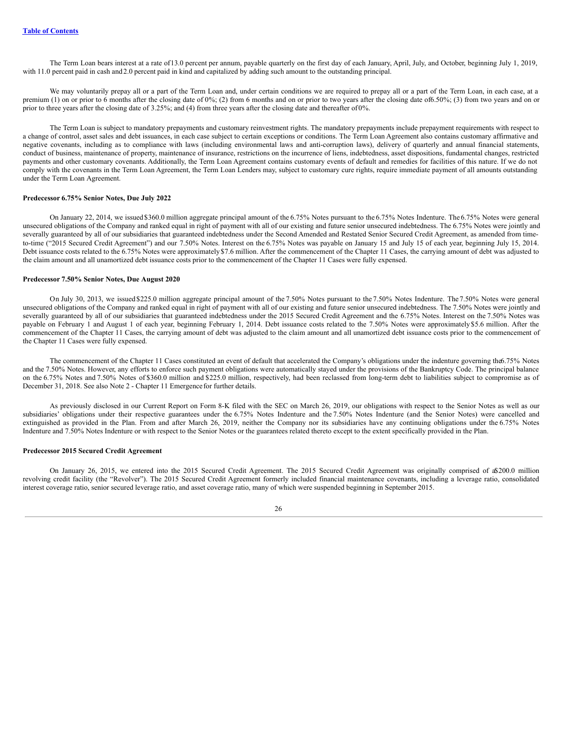The Term Loan bears interest at a rate of13.0 percent per annum, payable quarterly on the first day of each January, April, July, and October, beginning July 1, 2019, with 11.0 percent paid in cash and 2.0 percent paid in kind and capitalized by adding such amount to the outstanding principal.

We may voluntarily prepay all or a part of the Term Loan and, under certain conditions we are required to prepay all or a part of the Term Loan, in each case, at a premium (1) on or prior to 6 months after the closing date of 0%; (2) from 6 months and on or prior to two years after the closing date of6.50%; (3) from two years and on or prior to three years after the closing date of 3.25%; and (4) from three years after the closing date and thereafter of 0%.

The Term Loan is subject to mandatory prepayments and customary reinvestment rights. The mandatory prepayments include prepayment requirements with respect to a change of control, asset sales and debt issuances, in each case subject to certain exceptions or conditions. The Term Loan Agreement also contains customary affirmative and negative covenants, including as to compliance with laws (including environmental laws and anti-corruption laws), delivery of quarterly and annual financial statements, conduct of business, maintenance of property, maintenance of insurance, restrictions on the incurrence of liens, indebtedness, asset dispositions, fundamental changes, restricted payments and other customary covenants. Additionally, the Term Loan Agreement contains customary events of default and remedies for facilities of this nature. If we do not comply with the covenants in the Term Loan Agreement, the Term Loan Lenders may, subject to customary cure rights, require immediate payment of all amounts outstanding under the Term Loan Agreement.

#### **Predecessor 6.75% Senior Notes, Due July 2022**

On January 22, 2014, we issued \$360.0 million aggregate principal amount of the 6.75% Notes pursuant to the 6.75% Notes Indenture. The 6.75% Notes were general unsecured obligations of the Company and ranked equal in right of payment with all of our existing and future senior unsecured indebtedness. The 6.75% Notes were jointly and severally guaranteed by all of our subsidiaries that guaranteed indebtedness under the Second Amended and Restated Senior Secured Credit Agreement, as amended from timeto-time ("2015 Secured Credit Agreement") and our 7.50% Notes. Interest on the 6.75% Notes was payable on January 15 and July 15 of each year, beginning July 15, 2014. Debt issuance costs related to the 6.75% Notes were approximately \$7.6 million. After the commencement of the Chapter 11 Cases, the carrying amount of debt was adjusted to the claim amount and all unamortized debt issuance costs prior to the commencement of the Chapter 11 Cases were fully expensed.

## **Predecessor 7.50% Senior Notes, Due August 2020**

On July 30, 2013, we issued \$225.0 million aggregate principal amount of the 7.50% Notes pursuant to the 7.50% Notes Indenture. The 7.50% Notes were general unsecured obligations of the Company and ranked equal in right of payment with all of our existing and future senior unsecured indebtedness. The 7.50% Notes were jointly and severally guaranteed by all of our subsidiaries that guaranteed indebtedness under the 2015 Secured Credit Agreement and the 6.75% Notes. Interest on the 7.50% Notes was payable on February 1 and August 1 of each year, beginning February 1, 2014. Debt issuance costs related to the 7.50% Notes were approximately \$5.6 million. After the commencement of the Chapter 11 Cases, the carrying amount of debt was adjusted to the claim amount and all unamortized debt issuance costs prior to the commencement of the Chapter 11 Cases were fully expensed.

The commencement of the Chapter 11 Cases constituted an event of default that accelerated the Company's obligations under the indenture governing the6.75% Notes and the 7.50% Notes. However, any efforts to enforce such payment obligations were automatically stayed under the provisions of the Bankruptcy Code. The principal balance on the 6.75% Notes and 7.50% Notes of \$360.0 million and \$225.0 million, respectively, had been reclassed from long-term debt to liabilities subject to compromise as of December 31, 2018. See also Note 2 - Chapter 11 Emergencefor further details.

As previously disclosed in our Current Report on Form 8-K filed with the SEC on March 26, 2019, our obligations with respect to the Senior Notes as well as our subsidiaries' obligations under their respective guarantees under the 6.75% Notes Indenture and the 7.50% Notes Indenture (and the Senior Notes) were cancelled and extinguished as provided in the Plan. From and after March 26, 2019, neither the Company nor its subsidiaries have any continuing obligations under the 6.75% Notes Indenture and 7.50% Notes Indenture or with respect to the Senior Notes or the guarantees related thereto except to the extent specifically provided in the Plan.

# **Predecessor 2015 Secured Credit Agreement**

On January 26, 2015, we entered into the 2015 Secured Credit Agreement. The 2015 Secured Credit Agreement was originally comprised of a\$200.0 million revolving credit facility (the "Revolver"). The 2015 Secured Credit Agreement formerly included financial maintenance covenants, including a leverage ratio, consolidated interest coverage ratio, senior secured leverage ratio, and asset coverage ratio, many of which were suspended beginning in September 2015.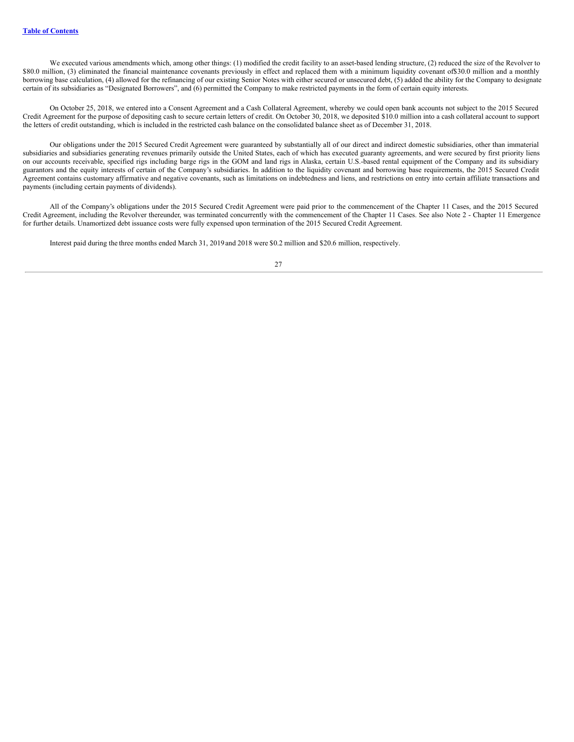We executed various amendments which, among other things: (1) modified the credit facility to an asset-based lending structure, (2) reduced the size of the Revolver to \$80.0 million, (3) eliminated the financial maintenance covenants previously in effect and replaced them with a minimum liquidity covenant of\$30.0 million and a monthly borrowing base calculation, (4) allowed for the refinancing of our existing Senior Notes with either secured or unsecured debt, (5) added the ability for the Company to designate certain of its subsidiaries as "Designated Borrowers", and (6) permitted the Company to make restricted payments in the form of certain equity interests.

On October 25, 2018, we entered into a Consent Agreement and a Cash Collateral Agreement, whereby we could open bank accounts not subject to the 2015 Secured Credit Agreement for the purpose of depositing cash to secure certain letters of credit. On October 30, 2018, we deposited \$10.0 million into a cash collateral account to support the letters of credit outstanding, which is included in the restricted cash balance on the consolidated balance sheet as of December 31, 2018.

Our obligations under the 2015 Secured Credit Agreement were guaranteed by substantially all of our direct and indirect domestic subsidiaries, other than immaterial subsidiaries and subsidiaries generating revenues primarily outside the United States, each of which has executed guaranty agreements, and were secured by first priority liens on our accounts receivable, specified rigs including barge rigs in the GOM and land rigs in Alaska, certain U.S.-based rental equipment of the Company and its subsidiary guarantors and the equity interests of certain of the Company's subsidiaries. In addition to the liquidity covenant and borrowing base requirements, the 2015 Secured Credit Agreement contains customary affirmative and negative covenants, such as limitations on indebtedness and liens, and restrictions on entry into certain affiliate transactions and payments (including certain payments of dividends).

All of the Company's obligations under the 2015 Secured Credit Agreement were paid prior to the commencement of the Chapter 11 Cases, and the 2015 Secured Credit Agreement, including the Revolver thereunder, was terminated concurrently with the commencement of the Chapter 11 Cases. See also Note 2 - Chapter 11 Emergence for further details. Unamortized debt issuance costs were fully expensed upon termination of the 2015 Secured Credit Agreement.

Interest paid during the three months ended March 31, 2019 and 2018 were \$0.2 million and \$20.6 million, respectively.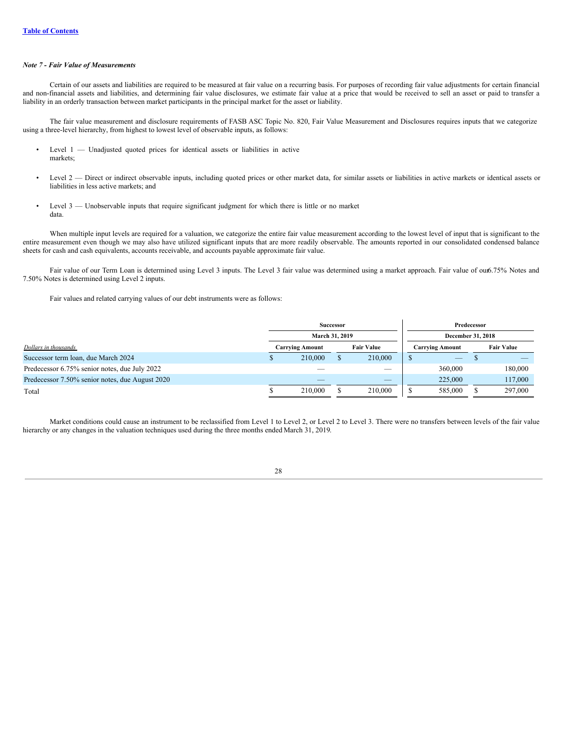# *Note 7 - Fair Value of Measurements*

Certain of our assets and liabilities are required to be measured at fair value on a recurring basis. For purposes of recording fair value adjustments for certain financial and non-financial assets and liabilities, and determining fair value disclosures, we estimate fair value at a price that would be received to sell an asset or paid to transfer a liability in an orderly transaction between market participants in the principal market for the asset or liability.

The fair value measurement and disclosure requirements of FASB ASC Topic No. 820, Fair Value Measurement and Disclosures requires inputs that we categorize using a three-level hierarchy, from highest to lowest level of observable inputs, as follows:

- Level 1 Unadjusted quoted prices for identical assets or liabilities in active markets;
- Level 2 Direct or indirect observable inputs, including quoted prices or other market data, for similar assets or liabilities in active markets or identical assets or liabilities in less active markets; and
- Level  $3$  Unobservable inputs that require significant judgment for which there is little or no market data.

When multiple input levels are required for a valuation, we categorize the entire fair value measurement according to the lowest level of input that is significant to the entire measurement even though we may also have utilized significant inputs that are more readily observable. The amounts reported in our consolidated condensed balance sheets for cash and cash equivalents, accounts receivable, and accounts payable approximate fair value.

Fair value of our Term Loan is determined using Level 3 inputs. The Level 3 fair value was determined using a market approach. Fair value of our6.75% Notes and 7.50% Notes is determined using Level 2 inputs.

Fair values and related carrying values of our debt instruments were as follows:

|                                                 | <b>Successor</b>      |                        |  | Predecessor       |  |                        |  |                   |
|-------------------------------------------------|-----------------------|------------------------|--|-------------------|--|------------------------|--|-------------------|
|                                                 | <b>March 31, 2019</b> |                        |  | December 31, 2018 |  |                        |  |                   |
| Dollars in thousands                            |                       | <b>Carrying Amount</b> |  | <b>Fair Value</b> |  | <b>Carrying Amount</b> |  | <b>Fair Value</b> |
| Successor term loan, due March 2024             |                       | 210,000                |  | 210,000           |  |                        |  |                   |
| Predecessor 6.75% senior notes, due July 2022   |                       |                        |  | __                |  | 360,000                |  | 180,000           |
| Predecessor 7.50% senior notes, due August 2020 |                       | _                      |  | _                 |  | 225,000                |  | 117,000           |
| Total                                           |                       | 210,000                |  | 210,000           |  | 585,000                |  | 297,000           |

Market conditions could cause an instrument to be reclassified from Level 1 to Level 2, or Level 2 to Level 3. There were no transfers between levels of the fair value hierarchy or any changes in the valuation techniques used during the three months ended March 31, 2019.

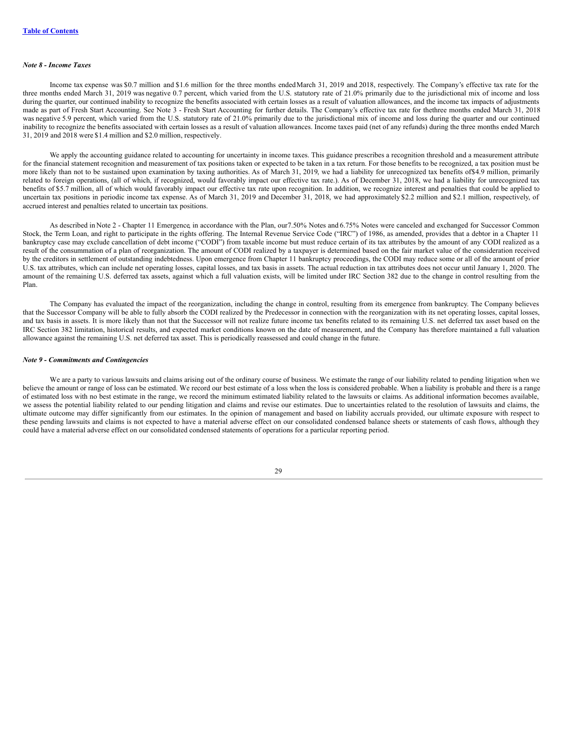# *Note 8 - Income Taxes*

Income tax expense was \$0.7 million and \$1.6 million for the three months ended March 31, 2019 and 2018, respectively. The Company's effective tax rate for the three months ended March 31, 2019 was negative 0.7 percent, which varied from the U.S. statutory rate of 21.0% primarily due to the jurisdictional mix of income and loss during the quarter, our continued inability to recognize the benefits associated with certain losses as a result of valuation allowances, and the income tax impacts of adjustments made as part of Fresh Start Accounting. See Note 3 - Fresh Start Accounting for further details. The Company's effective tax rate for thethree months ended March 31, 2018 was negative 5.9 percent, which varied from the U.S. statutory rate of 21.0% primarily due to the jurisdictional mix of income and loss during the quarter and our continued inability to recognize the benefits associated with certain losses as a result of valuation allowances. Income taxes paid (net of any refunds) during the three months ended March 31, 2019 and 2018 were \$1.4 million and \$2.0 million, respectively.

We apply the accounting guidance related to accounting for uncertainty in income taxes. This guidance prescribes a recognition threshold and a measurement attribute for the financial statement recognition and measurement of tax positions taken or expected to be taken in a tax return. For those benefits to be recognized, a tax position must be more likely than not to be sustained upon examination by taxing authorities. As of March 31, 2019, we had a liability for unrecognized tax benefits of\$4.9 million, primarily related to foreign operations, (all of which, if recognized, would favorably impact our effective tax rate.). As of December 31, 2018, we had a liability for unrecognized tax benefits of \$5.7 million, all of which would favorably impact our effective tax rate upon recognition. In addition, we recognize interest and penalties that could be applied to uncertain tax positions in periodic income tax expense. As of March 31, 2019 and December 31, 2018, we had approximately \$2.2 million and \$2.1 million, respectively, of accrued interest and penalties related to uncertain tax positions.

As described in Note 2 - Chapter 11 Emergence, in accordance with the Plan, our7.50% Notes and 6.75% Notes were canceled and exchanged for Successor Common Stock, the Term Loan, and right to participate in the rights offering. The Internal Revenue Service Code ("IRC") of 1986, as amended, provides that a debtor in a Chapter 11 bankruptcy case may exclude cancellation of debt income ("CODI") from taxable income but must reduce certain of its tax attributes by the amount of any CODI realized as a result of the consummation of a plan of reorganization. The amount of CODI realized by a taxpayer is determined based on the fair market value of the consideration received by the creditors in settlement of outstanding indebtedness. Upon emergence from Chapter 11 bankruptcy proceedings, the CODI may reduce some or all of the amount of prior U.S. tax attributes, which can include net operating losses, capital losses, and tax basis in assets. The actual reduction in tax attributes does not occur until January 1, 2020. The amount of the remaining U.S. deferred tax assets, against which a full valuation exists, will be limited under IRC Section 382 due to the change in control resulting from the Plan.

The Company has evaluated the impact of the reorganization, including the change in control, resulting from its emergence from bankruptcy. The Company believes that the Successor Company will be able to fully absorb the CODI realized by the Predecessor in connection with the reorganization with its net operating losses, capital losses, and tax basis in assets. It is more likely than not that the Successor will not realize future income tax benefits related to its remaining U.S. net deferred tax asset based on the IRC Section 382 limitation, historical results, and expected market conditions known on the date of measurement, and the Company has therefore maintained a full valuation allowance against the remaining U.S. net deferred tax asset. This is periodically reassessed and could change in the future.

#### *Note 9 - Commitments and Contingencies*

We are a party to various lawsuits and claims arising out of the ordinary course of business. We estimate the range of our liability related to pending litigation when we believe the amount or range of loss can be estimated. We record our best estimate of a loss when the loss is considered probable. When a liability is probable and there is a range of estimated loss with no best estimate in the range, we record the minimum estimated liability related to the lawsuits or claims. As additional information becomes available, we assess the potential liability related to our pending litigation and claims and revise our estimates. Due to uncertainties related to the resolution of lawsuits and claims, the ultimate outcome may differ significantly from our estimates. In the opinion of management and based on liability accruals provided, our ultimate exposure with respect to these pending lawsuits and claims is not expected to have a material adverse effect on our consolidated condensed balance sheets or statements of cash flows, although they could have a material adverse effect on our consolidated condensed statements of operations for a particular reporting period.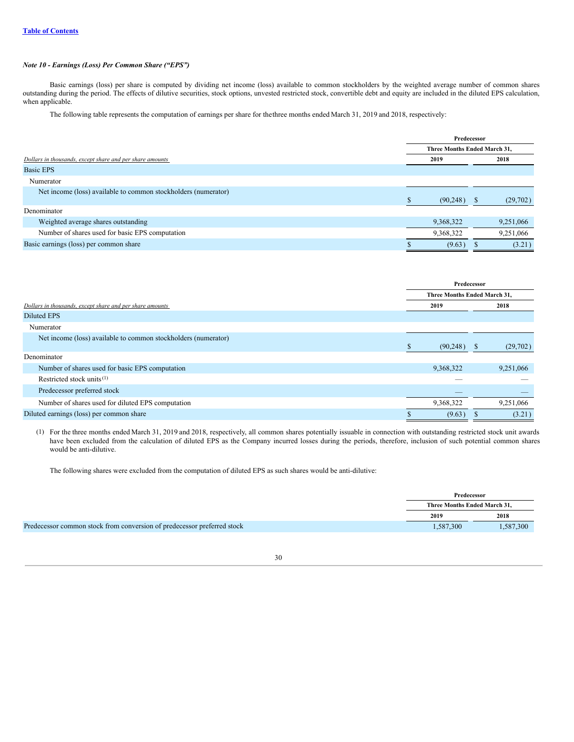# *Note 10 - Earnings (Loss) Per Common Share ("EPS")*

Basic earnings (loss) per share is computed by dividing net income (loss) available to common stockholders by the weighted average number of common shares outstanding during the period. The effects of dilutive securities, stock options, unvested restricted stock, convertible debt and equity are included in the diluted EPS calculation, when applicable.

The following table represents the computation of earnings per share for thethree months ended March 31, 2019 and 2018, respectively:

|                                                                | Predecessor                  |           |  |           |
|----------------------------------------------------------------|------------------------------|-----------|--|-----------|
|                                                                | Three Months Ended March 31, |           |  |           |
| Dollars in thousands, except share and per share amounts       |                              | 2019      |  | 2018      |
| <b>Basic EPS</b>                                               |                              |           |  |           |
| Numerator                                                      |                              |           |  |           |
| Net income (loss) available to common stockholders (numerator) |                              | (90,248)  |  | (29,702)  |
| Denominator                                                    |                              |           |  |           |
| Weighted average shares outstanding                            |                              | 9,368,322 |  | 9,251,066 |
| Number of shares used for basic EPS computation                |                              | 9,368,322 |  | 9,251,066 |
| Basic earnings (loss) per common share                         |                              | (9.63)    |  | (3.21)    |

|                                                                |          | Predecessor                  |              |           |
|----------------------------------------------------------------|----------|------------------------------|--------------|-----------|
|                                                                |          | Three Months Ended March 31, |              |           |
| Dollars in thousands, except share and per share amounts       |          | 2019                         |              | 2018      |
| <b>Diluted EPS</b>                                             |          |                              |              |           |
| Numerator                                                      |          |                              |              |           |
| Net income (loss) available to common stockholders (numerator) |          |                              |              |           |
|                                                                | <b>S</b> | (90, 248)                    | <sup>S</sup> | (29,702)  |
| Denominator                                                    |          |                              |              |           |
| Number of shares used for basic EPS computation                |          | 9,368,322                    |              | 9,251,066 |
| Restricted stock units $(1)$                                   |          |                              |              |           |
| Predecessor preferred stock                                    |          |                              |              |           |
| Number of shares used for diluted EPS computation              |          | 9,368,322                    |              | 9,251,066 |
| Diluted earnings (loss) per common share                       |          | (9.63)                       |              | (3.21)    |

(1) For the three months ended March 31, 2019 and 2018, respectively, all common shares potentially issuable in connection with outstanding restricted stock unit awards have been excluded from the calculation of diluted EPS as the Company incurred losses during the periods, therefore, inclusion of such potential common shares would be anti-dilutive.

The following shares were excluded from the computation of diluted EPS as such shares would be anti-dilutive:

|                                                                         | Predecessor                  |           |  |
|-------------------------------------------------------------------------|------------------------------|-----------|--|
|                                                                         | Three Months Ended March 31, |           |  |
|                                                                         | 2019                         | 2018      |  |
| Predecessor common stock from conversion of predecessor preferred stock | 1.587.300                    | 1,587,300 |  |

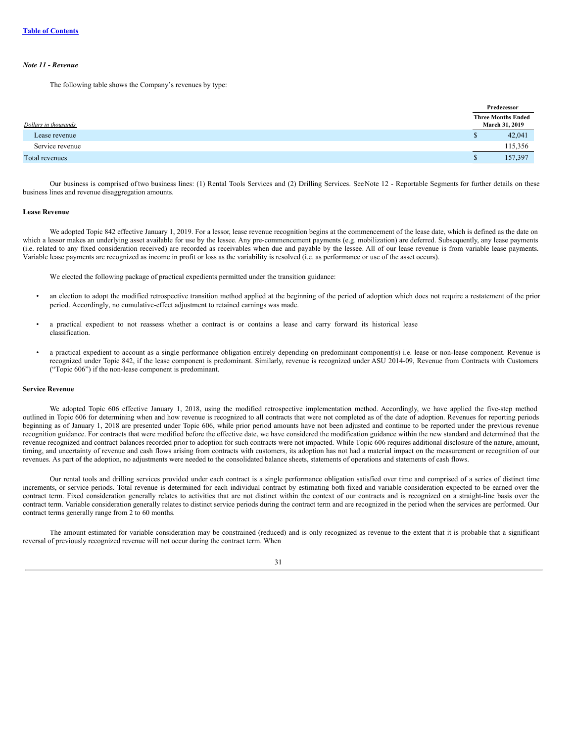# *Note 11 - Revenue*

The following table shows the Company's revenues by type:

|                      |   | Predecessor                                        |
|----------------------|---|----------------------------------------------------|
| Dollars in thousands |   | <b>Three Months Ended</b><br><b>March 31, 2019</b> |
| Lease revenue        | Φ | 42,041                                             |
| Service revenue      |   | 115,356                                            |
| Total revenues       |   | 157,397                                            |

Our business is comprised of two business lines: (1) Rental Tools Services and (2) Drilling Services. See Note 12 - Reportable Segments for further details on these business lines and revenue disaggregation amounts.

#### **Lease Revenue**

We adopted Topic 842 effective January 1, 2019. For a lessor, lease revenue recognition begins at the commencement of the lease date, which is defined as the date on which a lessor makes an underlying asset available for use by the lessee. Any pre-commencement payments (e.g. mobilization) are deferred. Subsequently, any lease payments (i.e. related to any fixed consideration received) are recorded as receivables when due and payable by the lessee. All of our lease revenue is from variable lease payments. Variable lease payments are recognized as income in profit or loss as the variability is resolved (i.e. as performance or use of the asset occurs).

We elected the following package of practical expedients permitted under the transition guidance:

- an election to adopt the modified retrospective transition method applied at the beginning of the period of adoption which does not require a restatement of the prior period. Accordingly, no cumulative-effect adjustment to retained earnings was made.
- a practical expedient to not reassess whether a contract is or contains a lease and carry forward its historical lease classification.
- a practical expedient to account as a single performance obligation entirely depending on predominant component(s) i.e. lease or non-lease component. Revenue is recognized under Topic 842, if the lease component is predominant. Similarly, revenue is recognized under ASU 2014-09, Revenue from Contracts with Customers ("Topic 606") if the non-lease component is predominant.

### **Service Revenue**

We adopted Topic 606 effective January 1, 2018, using the modified retrospective implementation method. Accordingly, we have applied the five-step method outlined in Topic 606 for determining when and how revenue is recognized to all contracts that were not completed as of the date of adoption. Revenues for reporting periods beginning as of January 1, 2018 are presented under Topic 606, while prior period amounts have not been adjusted and continue to be reported under the previous revenue recognition guidance. For contracts that were modified before the effective date, we have considered the modification guidance within the new standard and determined that the revenue recognized and contract balances recorded prior to adoption for such contracts were not impacted. While Topic 606 requires additional disclosure of the nature, amount, timing, and uncertainty of revenue and cash flows arising from contracts with customers, its adoption has not had a material impact on the measurement or recognition of our revenues. As part of the adoption, no adjustments were needed to the consolidated balance sheets, statements of operations and statements of cash flows.

Our rental tools and drilling services provided under each contract is a single performance obligation satisfied over time and comprised of a series of distinct time increments, or service periods. Total revenue is determined for each individual contract by estimating both fixed and variable consideration expected to be earned over the contract term. Fixed consideration generally relates to activities that are not distinct within the context of our contracts and is recognized on a straight-line basis over the contract term. Variable consideration generally relates to distinct service periods during the contract term and are recognized in the period when the services are performed. Our contract terms generally range from 2 to 60 months.

The amount estimated for variable consideration may be constrained (reduced) and is only recognized as revenue to the extent that it is probable that a significant reversal of previously recognized revenue will not occur during the contract term. When

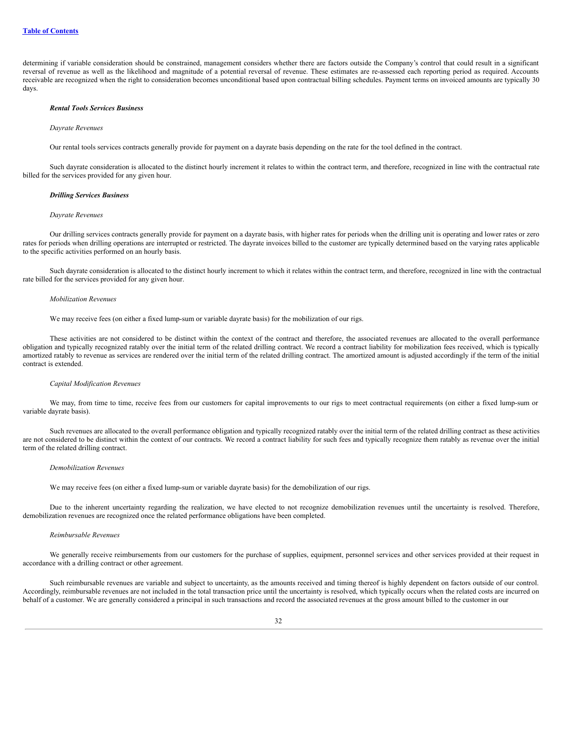determining if variable consideration should be constrained, management considers whether there are factors outside the Company's control that could result in a significant reversal of revenue as well as the likelihood and magnitude of a potential reversal of revenue. These estimates are re-assessed each reporting period as required. Accounts receivable are recognized when the right to consideration becomes unconditional based upon contractual billing schedules. Payment terms on invoiced amounts are typically 30 days.

#### *Rental Tools Services Business*

#### *Dayrate Revenues*

Our rental tools services contracts generally provide for payment on a dayrate basis depending on the rate for the tool defined in the contract.

Such dayrate consideration is allocated to the distinct hourly increment it relates to within the contract term, and therefore, recognized in line with the contractual rate billed for the services provided for any given hour.

# *Drilling Services Business*

### *Dayrate Revenues*

Our drilling services contracts generally provide for payment on a dayrate basis, with higher rates for periods when the drilling unit is operating and lower rates or zero rates for periods when drilling operations are interrupted or restricted. The dayrate invoices billed to the customer are typically determined based on the varying rates applicable to the specific activities performed on an hourly basis.

Such dayrate consideration is allocated to the distinct hourly increment to which it relates within the contract term, and therefore, recognized in line with the contractual rate billed for the services provided for any given hour.

#### *Mobilization Revenues*

We may receive fees (on either a fixed lump-sum or variable dayrate basis) for the mobilization of our rigs.

These activities are not considered to be distinct within the context of the contract and therefore, the associated revenues are allocated to the overall performance obligation and typically recognized ratably over the initial term of the related drilling contract. We record a contract liability for mobilization fees received, which is typically amortized ratably to revenue as services are rendered over the initial term of the related drilling contract. The amortized amount is adjusted accordingly if the term of the initial contract is extended.

#### *Capital Modification Revenues*

We may, from time to time, receive fees from our customers for capital improvements to our rigs to meet contractual requirements (on either a fixed lump-sum or variable dayrate basis).

Such revenues are allocated to the overall performance obligation and typically recognized ratably over the initial term of the related drilling contract as these activities are not considered to be distinct within the context of our contracts. We record a contract liability for such fees and typically recognize them ratably as revenue over the initial term of the related drilling contract.

### *Demobilization Revenues*

We may receive fees (on either a fixed lump-sum or variable dayrate basis) for the demobilization of our rigs.

Due to the inherent uncertainty regarding the realization, we have elected to not recognize demobilization revenues until the uncertainty is resolved. Therefore, demobilization revenues are recognized once the related performance obligations have been completed.

# *Reimbursable Revenues*

We generally receive reimbursements from our customers for the purchase of supplies, equipment, personnel services and other services provided at their request in accordance with a drilling contract or other agreement.

Such reimbursable revenues are variable and subject to uncertainty, as the amounts received and timing thereof is highly dependent on factors outside of our control. Accordingly, reimbursable revenues are not included in the total transaction price until the uncertainty is resolved, which typically occurs when the related costs are incurred on behalf of a customer. We are generally considered a principal in such transactions and record the associated revenues at the gross amount billed to the customer in our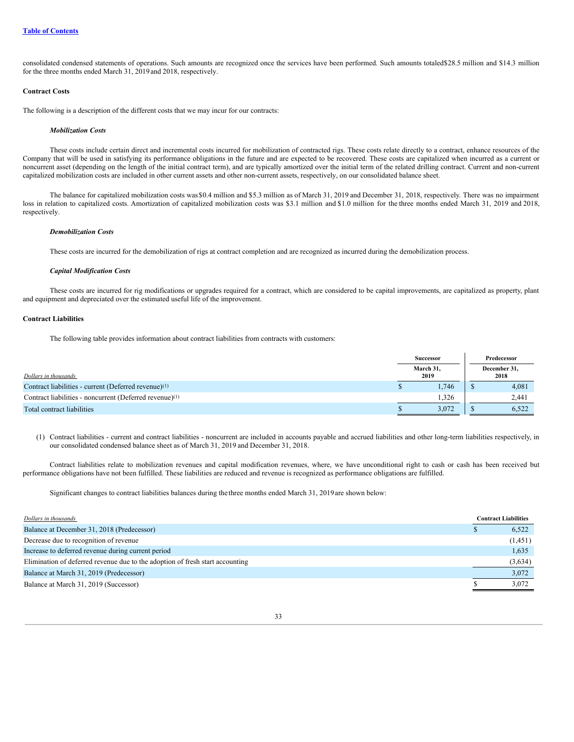consolidated condensed statements of operations. Such amounts are recognized once the services have been performed. Such amounts totaled\$28.5 million and \$14.3 million for the three months ended March 31, 2019 and 2018, respectively.

# **Contract Costs**

The following is a description of the different costs that we may incur for our contracts:

#### *Mobilization Costs*

These costs include certain direct and incremental costs incurred for mobilization of contracted rigs. These costs relate directly to a contract, enhance resources of the Company that will be used in satisfying its performance obligations in the future and are expected to be recovered. These costs are capitalized when incurred as a current or noncurrent asset (depending on the length of the initial contract term), and are typically amortized over the initial term of the related drilling contract. Current and non-current capitalized mobilization costs are included in other current assets and other non-current assets, respectively, on our consolidated balance sheet.

The balance for capitalized mobilization costs was\$0.4 million and \$5.3 million as of March 31, 2019 and December 31, 2018, respectively. There was no impairment loss in relation to capitalized costs. Amortization of capitalized mobilization costs was \$3.1 million and \$1.0 million for the three months ended March 31, 2019 and 2018, respectively.

#### *Demobilization Costs*

These costs are incurred for the demobilization of rigs at contract completion and are recognized as incurred during the demobilization process.

#### *Capital Modification Costs*

These costs are incurred for rig modifications or upgrades required for a contract, which are considered to be capital improvements, are capitalized as property, plant and equipment and depreciated over the estimated useful life of the improvement.

### **Contract Liabilities**

The following table provides information about contract liabilities from contracts with customers:

|                                                                     | <b>Successor</b>  | Predecessor |                      |  |
|---------------------------------------------------------------------|-------------------|-------------|----------------------|--|
| Dollars in thousands                                                | March 31,<br>2019 |             | December 31,<br>2018 |  |
| Contract liabilities - current (Deferred revenue) <sup>(1)</sup>    | 1.746             |             | 4,081                |  |
| Contract liabilities - noncurrent (Deferred revenue) <sup>(1)</sup> | 1,326             |             | 2.441                |  |
| Total contract liabilities                                          | 3,072             |             | 6,522                |  |

(1) Contract liabilities - current and contract liabilities - noncurrent are included in accounts payable and accrued liabilities and other long-term liabilities respectively, in our consolidated condensed balance sheet as of March 31, 2019 and December 31, 2018.

Contract liabilities relate to mobilization revenues and capital modification revenues, where, we have unconditional right to cash or cash has been received but performance obligations have not been fulfilled. These liabilities are reduced and revenue is recognized as performance obligations are fulfilled.

Significant changes to contract liabilities balances during the three months ended March 31, 2019 are shown below:

| Dollars in thousands                                                          | <b>Contract Liabilities</b> |         |
|-------------------------------------------------------------------------------|-----------------------------|---------|
| Balance at December 31, 2018 (Predecessor)                                    |                             | 6,522   |
| Decrease due to recognition of revenue                                        |                             | (1,451) |
| Increase to deferred revenue during current period                            |                             | 1,635   |
| Elimination of deferred revenue due to the adoption of fresh start accounting |                             | (3,634) |
| Balance at March 31, 2019 (Predecessor)                                       |                             | 3,072   |
| Balance at March 31, 2019 (Successor)                                         |                             | 3.072   |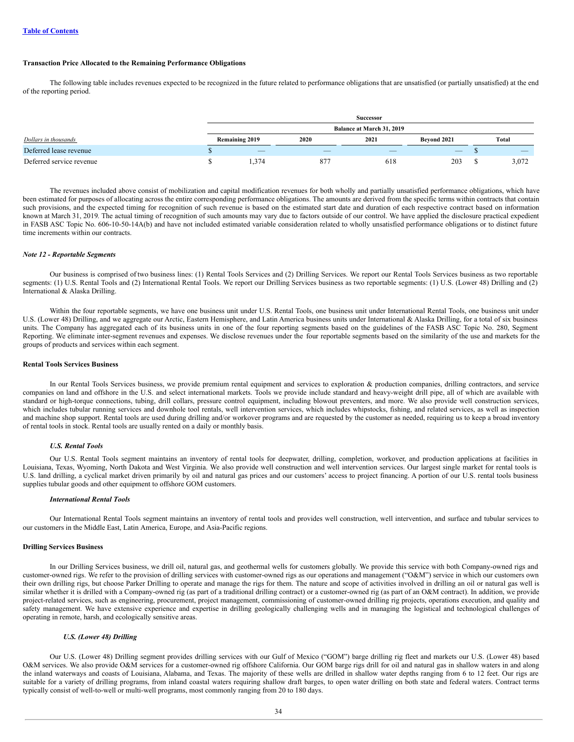# **Transaction Price Allocated to the Remaining Performance Obligations**

The following table includes revenues expected to be recognized in the future related to performance obligations that are unsatisfied (or partially unsatisfied) at the end of the reporting period.

|                          | <b>Successor</b>               |                                 |                          |                                 |       |                          |  |  |  |
|--------------------------|--------------------------------|---------------------------------|--------------------------|---------------------------------|-------|--------------------------|--|--|--|
|                          | Balance at March 31, 2019      |                                 |                          |                                 |       |                          |  |  |  |
| Dollars in thousands     | 2020<br><b>Remaining 2019</b>  |                                 | 2021                     | Bevond 2021                     | Total |                          |  |  |  |
| Deferred lease revenue   | $\overbrace{\hspace{25mm}}^{}$ | $\hspace{0.1mm}-\hspace{0.1mm}$ | $\overline{\phantom{a}}$ | $\hspace{0.1mm}-\hspace{0.1mm}$ |       | $\overline{\phantom{a}}$ |  |  |  |
| Deferred service revenue | . 374                          | 877                             | 618                      | 203                             |       | 3,072                    |  |  |  |

The revenues included above consist of mobilization and capital modification revenues for both wholly and partially unsatisfied performance obligations, which have been estimated for purposes of allocating across the entire corresponding performance obligations. The amounts are derived from the specific terms within contracts that contain such provisions, and the expected timing for recognition of such revenue is based on the estimated start date and duration of each respective contract based on information known at March 31, 2019. The actual timing of recognition of such amounts may vary due to factors outside of our control. We have applied the disclosure practical expedient in FASB ASC Topic No. 606-10-50-14A(b) and have not included estimated variable consideration related to wholly unsatisfied performance obligations or to distinct future time increments within our contracts.

#### *Note 12 - Reportable Segments*

Our business is comprised of two business lines: (1) Rental Tools Services and (2) Drilling Services. We report our Rental Tools Services business as two reportable segments: (1) U.S. Rental Tools and (2) International Rental Tools. We report our Drilling Services business as two reportable segments: (1) U.S. (Lower 48) Drilling and (2) International & Alaska Drilling.

Within the four reportable segments, we have one business unit under U.S. Rental Tools, one business unit under International Rental Tools, one business unit under U.S. (Lower 48) Drilling, and we aggregate our Arctic, Eastern Hemisphere, and Latin America business units under International & Alaska Drilling, for a total of six business units. The Company has aggregated each of its business units in one of the four reporting segments based on the guidelines of the FASB ASC Topic No. 280, Segment Reporting. We eliminate inter-segment revenues and expenses. We disclose revenues under the four reportable segments based on the similarity of the use and markets for the groups of products and services within each segment.

# **Rental Tools Services Business**

In our Rental Tools Services business, we provide premium rental equipment and services to exploration & production companies, drilling contractors, and service companies on land and offshore in the U.S. and select international markets. Tools we provide include standard and heavy-weight drill pipe, all of which are available with standard or high-torque connections, tubing, drill collars, pressure control equipment, including blowout preventers, and more. We also provide well construction services, which includes tubular running services and downhole tool rentals, well intervention services, which includes whipstocks, fishing, and related services, as well as inspection and machine shop support. Rental tools are used during drilling and/or workover programs and are requested by the customer as needed, requiring us to keep a broad inventory of rental tools in stock. Rental tools are usually rented on a daily or monthly basis.

#### *U.S. Rental Tools*

Our U.S. Rental Tools segment maintains an inventory of rental tools for deepwater, drilling, completion, workover, and production applications at facilities in Louisiana, Texas, Wyoming, North Dakota and West Virginia. We also provide well construction and well intervention services. Our largest single market for rental tools is U.S. land drilling, a cyclical market driven primarily by oil and natural gas prices and our customers' access to project financing. A portion of our U.S. rental tools business supplies tubular goods and other equipment to offshore GOM customers.

## *International Rental Tools*

Our International Rental Tools segment maintains an inventory of rental tools and provides well construction, well intervention, and surface and tubular services to our customers in the Middle East, Latin America, Europe, and Asia-Pacific regions.

# **Drilling Services Business**

In our Drilling Services business, we drill oil, natural gas, and geothermal wells for customers globally. We provide this service with both Company-owned rigs and customer-owned rigs. We refer to the provision of drilling services with customer-owned rigs as our operations and management ("O&M") service in which our customers own their own drilling rigs, but choose Parker Drilling to operate and manage the rigs for them. The nature and scope of activities involved in drilling an oil or natural gas well is similar whether it is drilled with a Company-owned rig (as part of a traditional drilling contract) or a customer-owned rig (as part of an O&M contract). In addition, we provide project-related services, such as engineering, procurement, project management, commissioning of customer-owned drilling rig projects, operations execution, and quality and safety management. We have extensive experience and expertise in drilling geologically challenging wells and in managing the logistical and technological challenges of operating in remote, harsh, and ecologically sensitive areas.

#### *U.S. (Lower 48) Drilling*

Our U.S. (Lower 48) Drilling segment provides drilling services with our Gulf of Mexico ("GOM") barge drilling rig fleet and markets our U.S. (Lower 48) based O&M services. We also provide O&M services for a customer-owned rig offshore California. Our GOM barge rigs drill for oil and natural gas in shallow waters in and along the inland waterways and coasts of Louisiana, Alabama, and Texas. The majority of these wells are drilled in shallow water depths ranging from 6 to 12 feet. Our rigs are suitable for a variety of drilling programs, from inland coastal waters requiring shallow draft barges, to open water drilling on both state and federal waters. Contract terms typically consist of well-to-well or multi-well programs, most commonly ranging from 20 to 180 days.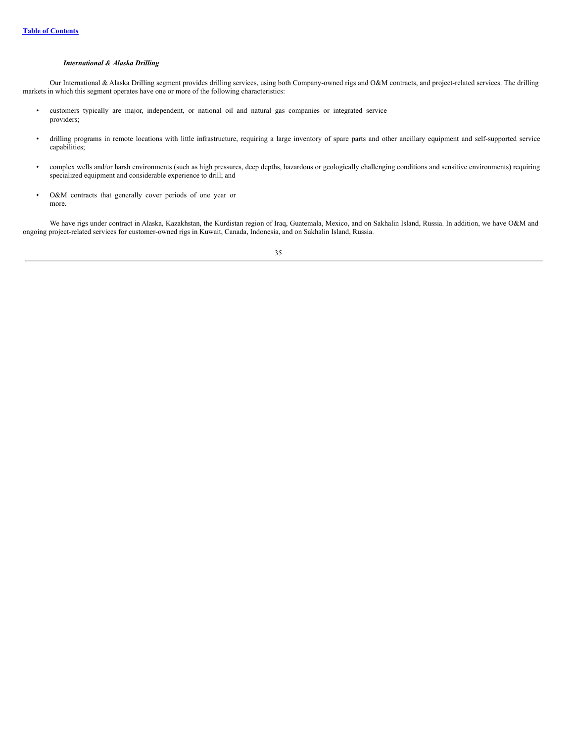## *International & Alaska Drilling*

Our International & Alaska Drilling segment provides drilling services, using both Company-owned rigs and O&M contracts, and project-related services. The drilling markets in which this segment operates have one or more of the following characteristics:

- customers typically are major, independent, or national oil and natural gas companies or integrated service providers;
- drilling programs in remote locations with little infrastructure, requiring a large inventory of spare parts and other ancillary equipment and self-supported service capabilities;
- complex wells and/or harsh environments (such as high pressures, deep depths, hazardous or geologically challenging conditions and sensitive environments) requiring specialized equipment and considerable experience to drill; and
- O&M contracts that generally cover periods of one year or more.

We have rigs under contract in Alaska, Kazakhstan, the Kurdistan region of Iraq, Guatemala, Mexico, and on Sakhalin Island, Russia. In addition, we have O&M and ongoing project-related services for customer-owned rigs in Kuwait, Canada, Indonesia, and on Sakhalin Island, Russia.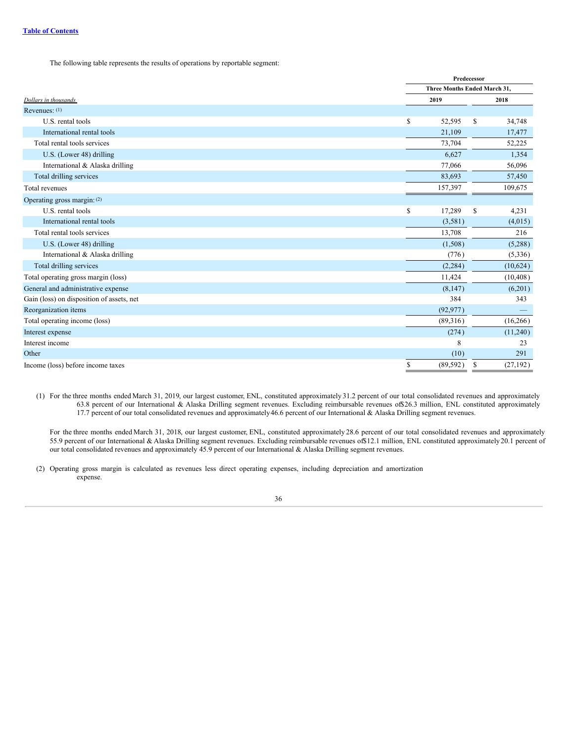The following table represents the results of operations by reportable segment:

|                                           | Predecessor |                                              |    |           |
|-------------------------------------------|-------------|----------------------------------------------|----|-----------|
|                                           |             | Three Months Ended March 31,<br>2019<br>2018 |    |           |
| Dollars in thousands                      | \$<br>\$    |                                              |    |           |
| Revenues: (1)                             |             |                                              |    |           |
| U.S. rental tools                         |             | 52,595                                       | \$ | 34,748    |
| International rental tools                |             | 21,109                                       |    | 17,477    |
| Total rental tools services               |             | 73,704                                       |    | 52,225    |
| U.S. (Lower 48) drilling                  |             | 6,627                                        |    | 1,354     |
| International & Alaska drilling           |             | 77,066                                       |    | 56,096    |
| Total drilling services                   |             | 83,693                                       |    | 57,450    |
| Total revenues                            |             | 157,397                                      |    | 109,675   |
| Operating gross margin: (2)               |             |                                              |    |           |
| U.S. rental tools                         |             | 17,289                                       | \$ | 4,231     |
| International rental tools                |             | (3,581)                                      |    | (4,015)   |
| Total rental tools services               |             | 13,708                                       |    | 216       |
| U.S. (Lower 48) drilling                  |             | (1,508)                                      |    | (5,288)   |
| International & Alaska drilling           |             | (776)                                        |    | (5, 336)  |
| Total drilling services                   |             | (2, 284)                                     |    | (10,624)  |
| Total operating gross margin (loss)       |             | 11,424                                       |    | (10, 408) |
| General and administrative expense        |             | (8,147)                                      |    | (6,201)   |
| Gain (loss) on disposition of assets, net |             | 384                                          |    | 343       |
| Reorganization items                      |             | (92, 977)                                    |    |           |
| Total operating income (loss)             |             | (89,316)                                     |    | (16, 266) |
| Interest expense                          |             | (274)                                        |    | (11,240)  |
| Interest income                           |             | 8                                            |    | 23        |
| Other                                     |             | (10)                                         |    | 291       |
| Income (loss) before income taxes         | \$          | (89, 592)                                    | \$ | (27, 192) |

(1) For the three months ended March 31, 2019, our largest customer, ENL, constituted approximately 31.2 percent of our total consolidated revenues and approximately 63.8 percent of our International & Alaska Drilling segment revenues. Excluding reimbursable revenues of\$26.3 million, ENL constituted approximately 17.7 percent of our total consolidated revenues and approximately46.6 percent of our International & Alaska Drilling segment revenues.

For the three months ended March 31, 2018, our largest customer, ENL, constituted approximately 28.6 percent of our total consolidated revenues and approximately 55.9 percent of our International & Alaska Drilling segment revenues. Excluding reimbursable revenues of\$12.1 million, ENL constituted approximately 20.1 percent of our total consolidated revenues and approximately 45.9 percent of our International & Alaska Drilling segment revenues.

(2) Operating gross margin is calculated as revenues less direct operating expenses, including depreciation and amortization expense.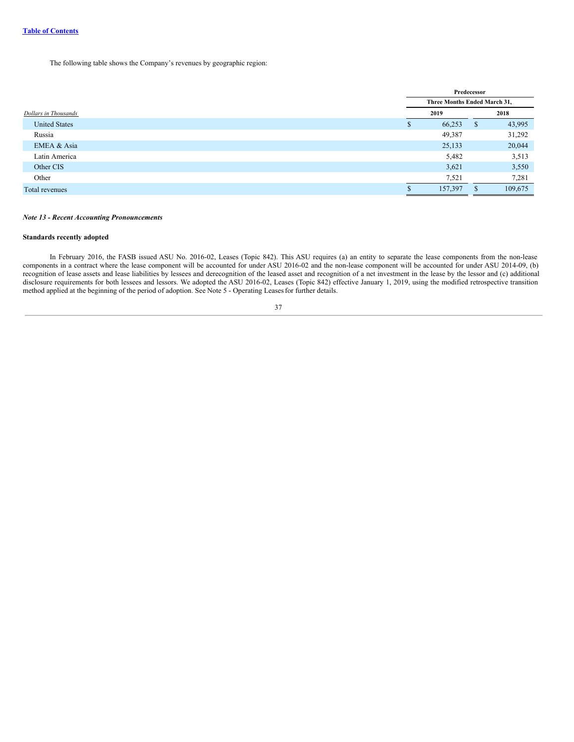The following table shows the Company's revenues by geographic region:

| Predecessor                                          |         |
|------------------------------------------------------|---------|
| Three Months Ended March 31,                         |         |
| 2019<br>Dollars in Thousands                         | 2018    |
| <b>United States</b><br>66,253<br>S<br><sup>\$</sup> | 43,995  |
| Russia<br>49,387                                     | 31,292  |
| EMEA & Asia<br>25,133                                | 20,044  |
| Latin America<br>5,482                               | 3,513   |
| 3,621<br>Other CIS                                   | 3,550   |
| Other<br>7,521                                       | 7,281   |
| 157,397<br><sup>\$</sup><br>Total revenues           | 109,675 |

# *Note 13 - Recent Accounting Pronouncements*

## **Standards recently adopted**

In February 2016, the FASB issued ASU No. 2016-02, Leases (Topic 842). This ASU requires (a) an entity to separate the lease components from the non-lease components in a contract where the lease component will be accounted for under ASU 2016-02 and the non-lease component will be accounted for under ASU 2014-09, (b) recognition of lease assets and lease liabilities by lessees and derecognition of the leased asset and recognition of a net investment in the lease by the lessor and (c) additional disclosure requirements for both lessees and lessors. We adopted the ASU 2016-02, Leases (Topic 842) effective January 1, 2019, using the modified retrospective transition method applied at the beginning of the period of adoption. See Note 5 - Operating Leases for further details.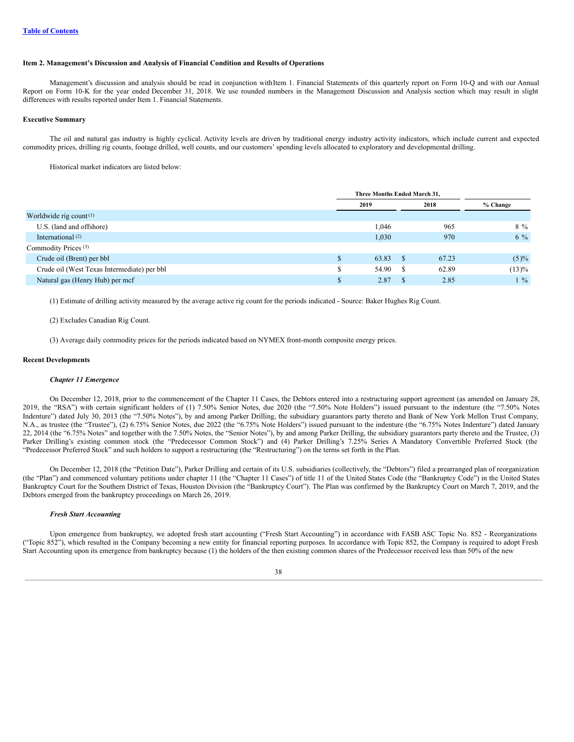#### **Item 2. Management's Discussion and Analysis of Financial Condition and Results of Operations**

Management's discussion and analysis should be read in conjunction withItem 1. Financial Statements of this quarterly report on Form 10-Q and with our Annual Report on Form 10-K for the year ended December 31, 2018. We use rounded numbers in the Management Discussion and Analysis section which may result in slight differences with results reported under Item 1. Financial Statements.

# **Executive Summary**

The oil and natural gas industry is highly cyclical. Activity levels are driven by traditional energy industry activity indicators, which include current and expected commodity prices, drilling rig counts, footage drilled, well counts, and our customers' spending levels allocated to exploratory and developmental drilling.

Historical market indicators are listed below:

|                                             |      | Three Months Ended March 31, |       |               |  |  |
|---------------------------------------------|------|------------------------------|-------|---------------|--|--|
|                                             | 2019 |                              | 2018  | % Change      |  |  |
| Worldwide rig count $(1)$                   |      |                              |       |               |  |  |
| U.S. (land and offshore)                    |      | 1,046                        | 965   | $8\%$         |  |  |
| International <sup>(2)</sup>                |      | 1,030                        | 970   | $6\%$         |  |  |
| Commodity Prices <sup>(3)</sup>             |      |                              |       |               |  |  |
| Crude oil (Brent) per bbl                   | \$   | 63.83<br>- \$                | 67.23 | $(5)\%$       |  |  |
| Crude oil (West Texas Intermediate) per bbl | S    | 54.90<br>- \$                | 62.89 | $(13)\%$      |  |  |
| Natural gas (Henry Hub) per mcf             |      | 2.87                         | 2.85  | $\frac{9}{6}$ |  |  |

(1) Estimate of drilling activity measured by the average active rig count for the periods indicated - Source: Baker Hughes Rig Count.

(2) Excludes Canadian Rig Count.

(3) Average daily commodity prices for the periods indicated based on NYMEX front-month composite energy prices.

#### **Recent Developments**

## *Chapter 11 Emergence*

On December 12, 2018, prior to the commencement of the Chapter 11 Cases, the Debtors entered into a restructuring support agreement (as amended on January 28, 2019, the "RSA") with certain significant holders of (1) 7.50% Senior Notes, due 2020 (the "7.50% Note Holders") issued pursuant to the indenture (the "7.50% Notes Indenture") dated July 30, 2013 (the "7.50% Notes"), by and among Parker Drilling, the subsidiary guarantors party thereto and Bank of New York Mellon Trust Company, N.A., as trustee (the "Trustee"), (2) 6.75% Senior Notes, due 2022 (the "6.75% Note Holders") issued pursuant to the indenture (the "6.75% Notes Indenture") dated January 22, 2014 (the "6.75% Notes" and together with the 7.50% Notes, the "Senior Notes"), by and among Parker Drilling, the subsidiary guarantors party thereto and the Trustee, (3) Parker Drilling's existing common stock (the "Predecessor Common Stock") and (4) Parker Drilling's 7.25% Series A Mandatory Convertible Preferred Stock (the "Predecessor Preferred Stock" and such holders to support a restructuring (the "Restructuring") on the terms set forth in the Plan.

On December 12, 2018 (the "Petition Date"), Parker Drilling and certain of its U.S. subsidiaries (collectively, the "Debtors") filed a prearranged plan of reorganization (the "Plan") and commenced voluntary petitions under chapter 11 (the "Chapter 11 Cases") of title 11 of the United States Code (the "Bankruptcy Code") in the United States Bankruptcy Court for the Southern District of Texas, Houston Division (the "Bankruptcy Court"). The Plan was confirmed by the Bankruptcy Court on March 7, 2019, and the Debtors emerged from the bankruptcy proceedings on March 26, 2019.

# *Fresh Start Accounting*

Upon emergence from bankruptcy, we adopted fresh start accounting ("Fresh Start Accounting") in accordance with FASB ASC Topic No. 852 - Reorganizations ("Topic 852"), which resulted in the Company becoming a new entity for financial reporting purposes. In accordance with Topic 852, the Company is required to adopt Fresh Start Accounting upon its emergence from bankruptcy because (1) the holders of the then existing common shares of the Predecessor received less than 50% of the new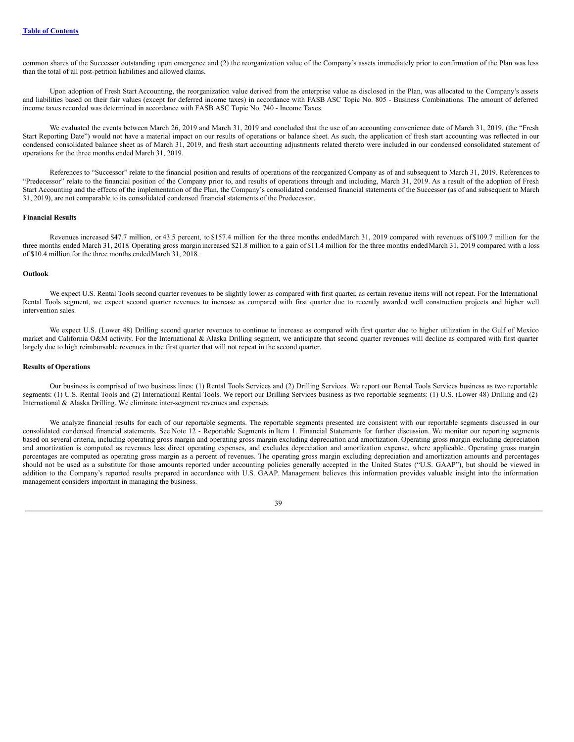common shares of the Successor outstanding upon emergence and (2) the reorganization value of the Company's assets immediately prior to confirmation of the Plan was less than the total of all post-petition liabilities and allowed claims.

Upon adoption of Fresh Start Accounting, the reorganization value derived from the enterprise value as disclosed in the Plan, was allocated to the Company's assets and liabilities based on their fair values (except for deferred income taxes) in accordance with FASB ASC Topic No. 805 - Business Combinations. The amount of deferred income taxes recorded was determined in accordance with FASB ASC Topic No. 740 - Income Taxes.

We evaluated the events between March 26, 2019 and March 31, 2019 and concluded that the use of an accounting convenience date of March 31, 2019, (the "Fresh Start Reporting Date") would not have a material impact on our results of operations or balance sheet. As such, the application of fresh start accounting was reflected in our condensed consolidated balance sheet as of March 31, 2019, and fresh start accounting adjustments related thereto were included in our condensed consolidated statement of operations for the three months ended March 31, 2019.

References to "Successor" relate to the financial position and results of operations of the reorganized Company as of and subsequent to March 31, 2019. References to "Predecessor" relate to the financial position of the Company prior to, and results of operations through and including, March 31, 2019. As a result of the adoption of Fresh Start Accounting and the effects of the implementation of the Plan, the Company's consolidated condensed financial statements of the Successor (as of and subsequent to March 31, 2019), are not comparable to its consolidated condensed financial statements of the Predecessor.

# **Financial Results**

Revenues increased \$47.7 million, or 43.5 percent, to \$157.4 million for the three months endedMarch 31, 2019 compared with revenues of \$109.7 million for the three months ended March 31, 2018. Operating gross margin increased \$21.8 million to a gain of \$11.4 million for the three months endedMarch 31, 2019 compared with a loss of \$10.4 million for the three months endedMarch 31, 2018.

#### **Outlook**

We expect U.S. Rental Tools second quarter revenues to be slightly lower as compared with first quarter, as certain revenue items will not repeat. For the International Rental Tools segment, we expect second quarter revenues to increase as compared with first quarter due to recently awarded well construction projects and higher well intervention sales.

We expect U.S. (Lower 48) Drilling second quarter revenues to continue to increase as compared with first quarter due to higher utilization in the Gulf of Mexico market and California O&M activity. For the International & Alaska Drilling segment, we anticipate that second quarter revenues will decline as compared with first quarter largely due to high reimbursable revenues in the first quarter that will not repeat in the second quarter.

## **Results of Operations**

Our business is comprised of two business lines: (1) Rental Tools Services and (2) Drilling Services. We report our Rental Tools Services business as two reportable segments: (1) U.S. Rental Tools and (2) International Rental Tools. We report our Drilling Services business as two reportable segments: (1) U.S. (Lower 48) Drilling and (2) International & Alaska Drilling. We eliminate inter-segment revenues and expenses.

We analyze financial results for each of our reportable segments. The reportable segments presented are consistent with our reportable segments discussed in our consolidated condensed financial statements. See Note 12 - Reportable Segments in Item 1. Financial Statements for further discussion. We monitor our reporting segments based on several criteria, including operating gross margin and operating gross margin excluding depreciation and amortization. Operating gross margin excluding depreciation and amortization is computed as revenues less direct operating expenses, and excludes depreciation and amortization expense, where applicable. Operating gross margin percentages are computed as operating gross margin as a percent of revenues. The operating gross margin excluding depreciation and amortization amounts and percentages should not be used as a substitute for those amounts reported under accounting policies generally accepted in the United States ("U.S. GAAP"), but should be viewed in addition to the Company's reported results prepared in accordance with U.S. GAAP. Management believes this information provides valuable insight into the information management considers important in managing the business.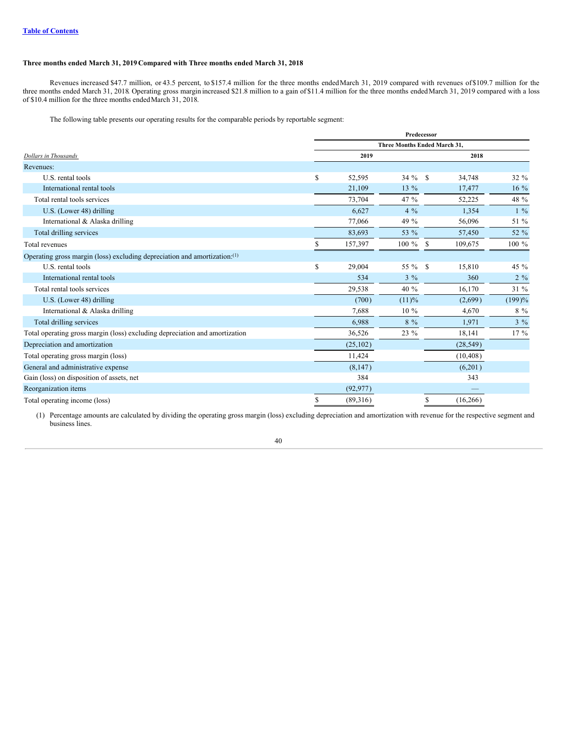# **Three months ended March 31, 2019Compared with Three months ended March 31, 2018**

Revenues increased \$47.7 million, or 43.5 percent, to \$157.4 million for the three months endedMarch 31, 2019 compared with revenues of \$109.7 million for the three months ended March 31, 2018. Operating gross margin increased \$21.8 million to a gain of \$11.4 million for the three months endedMarch 31, 2019 compared with a loss of \$10.4 million for the three months endedMarch 31, 2018.

The following table presents our operating results for the comparable periods by reportable segment:

|                                                                             | Predecessor |           |          |                              |           |         |  |  |
|-----------------------------------------------------------------------------|-------------|-----------|----------|------------------------------|-----------|---------|--|--|
|                                                                             |             |           |          | Three Months Ended March 31, |           |         |  |  |
| Dollars in Thousands                                                        |             | 2019      |          |                              | 2018      |         |  |  |
| Revenues:                                                                   |             |           |          |                              |           |         |  |  |
| U.S. rental tools                                                           | \$          | 52,595    | $34\%$   | -S                           | 34,748    | $32 \%$ |  |  |
| International rental tools                                                  |             | 21,109    | $13\%$   |                              | 17,477    | $16\%$  |  |  |
| Total rental tools services                                                 |             | 73,704    | 47 $%$   |                              | 52,225    | 48 %    |  |  |
| U.S. (Lower 48) drilling                                                    |             | 6,627     | $4\%$    |                              | 1,354     | $1\%$   |  |  |
| International & Alaska drilling                                             |             | 77,066    | 49 %     |                              | 56,096    | 51 %    |  |  |
| Total drilling services                                                     |             | 83,693    | 53 %     |                              | 57,450    | 52 %    |  |  |
| Total revenues                                                              | \$.         | 157,397   | $100 \%$ | S.                           | 109,675   | 100 %   |  |  |
| Operating gross margin (loss) excluding depreciation and amortization:(1)   |             |           |          |                              |           |         |  |  |
| U.S. rental tools                                                           | $\mathbf S$ | 29,004    | 55 %     | <sup>S</sup>                 | 15,810    | 45 %    |  |  |
| International rental tools                                                  |             | 534       | $3\%$    |                              | 360       | $2\%$   |  |  |
| Total rental tools services                                                 |             | 29,538    | 40 %     |                              | 16,170    | 31 %    |  |  |
| U.S. (Lower 48) drilling                                                    |             | (700)     | $(11)\%$ |                              | (2,699)   | (199)%  |  |  |
| International & Alaska drilling                                             |             | 7,688     | $10\%$   |                              | 4,670     | $8\%$   |  |  |
| Total drilling services                                                     |             | 6,988     | $8\%$    |                              | 1,971     | $3\%$   |  |  |
| Total operating gross margin (loss) excluding depreciation and amortization |             | 36,526    | 23 %     |                              | 18,141    | $17\%$  |  |  |
| Depreciation and amortization                                               |             | (25, 102) |          |                              | (28, 549) |         |  |  |
| Total operating gross margin (loss)                                         |             | 11,424    |          |                              | (10, 408) |         |  |  |
| General and administrative expense                                          |             | (8,147)   |          |                              | (6,201)   |         |  |  |
| Gain (loss) on disposition of assets, net                                   |             | 384       |          |                              | 343       |         |  |  |
| Reorganization items                                                        |             | (92, 977) |          |                              |           |         |  |  |
| Total operating income (loss)                                               | \$          | (89,316)  |          | \$                           | (16,266)  |         |  |  |

(1) Percentage amounts are calculated by dividing the operating gross margin (loss) excluding depreciation and amortization with revenue for the respective segment and business lines.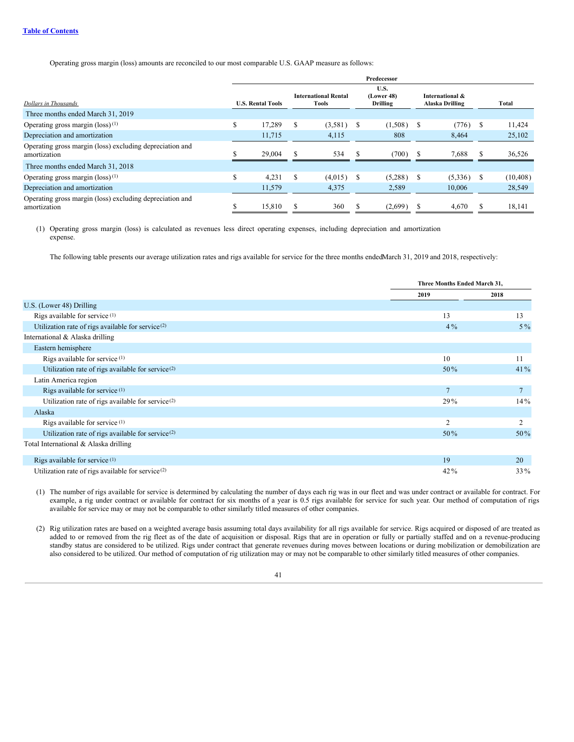Operating gross margin (loss) amounts are reconciled to our most comparable U.S. GAAP measure as follows:

|                                                                          | Predecessor                                                      |        |   |                                       |                                    |         |     |         |   |           |
|--------------------------------------------------------------------------|------------------------------------------------------------------|--------|---|---------------------------------------|------------------------------------|---------|-----|---------|---|-----------|
| Dollars in Thousands                                                     | <b>International Rental</b><br><b>U.S. Rental Tools</b><br>Tools |        |   | U.S.<br>(Lower 48)<br><b>Drilling</b> | International &<br>Alaska Drilling |         |     | Total   |   |           |
| Three months ended March 31, 2019                                        |                                                                  |        |   |                                       |                                    |         |     |         |   |           |
| Operating gross margin $(\text{loss})^{(1)}$                             | S                                                                | 17.289 | S | (3,581)                               | <sup>\$</sup>                      | (1,508) | - S | (776)   | S | 11,424    |
| Depreciation and amortization                                            |                                                                  | 11,715 |   | 4,115                                 |                                    | 808     |     | 8,464   |   | 25,102    |
| Operating gross margin (loss) excluding depreciation and<br>amortization |                                                                  | 29,004 |   | 534                                   |                                    | (700)   | S   | 7,688   |   | 36,526    |
| Three months ended March 31, 2018                                        |                                                                  |        |   |                                       |                                    |         |     |         |   |           |
| Operating gross margin $(\text{loss})^{(1)}$                             | S                                                                | 4,231  | S | (4,015)                               | <sup>\$</sup>                      | (5,288) | -S  | (5,336) | S | (10, 408) |
| Depreciation and amortization                                            |                                                                  | 11,579 |   | 4,375                                 |                                    | 2,589   |     | 10,006  |   | 28,549    |
| Operating gross margin (loss) excluding depreciation and<br>amortization |                                                                  | 15,810 |   | 360                                   | \$.                                | (2,699) | \$. | 4,670   |   | 18,141    |

(1) Operating gross margin (loss) is calculated as revenues less direct operating expenses, including depreciation and amortization expense.

The following table presents our average utilization rates and rigs available for service for the three months endedMarch 31, 2019 and 2018, respectively:

|                                                               |                | Three Months Ended March 31, |  |  |
|---------------------------------------------------------------|----------------|------------------------------|--|--|
|                                                               | 2019           | 2018                         |  |  |
| U.S. (Lower 48) Drilling                                      |                |                              |  |  |
| Rigs available for service (1)                                | 13             | 13                           |  |  |
| Utilization rate of rigs available for service <sup>(2)</sup> | $4\%$          | $5\%$                        |  |  |
| International & Alaska drilling                               |                |                              |  |  |
| Eastern hemisphere                                            |                |                              |  |  |
| Rigs available for service <sup>(1)</sup>                     | 10             | 11                           |  |  |
| Utilization rate of rigs available for service <sup>(2)</sup> | $50\%$         | 41%                          |  |  |
| Latin America region                                          |                |                              |  |  |
| Rigs available for service $(1)$                              | $\overline{7}$ | $\overline{7}$               |  |  |
| Utilization rate of rigs available for service <sup>(2)</sup> | 29%            | 14%                          |  |  |
| Alaska                                                        |                |                              |  |  |
| Rigs available for service (1)                                | 2              | 2                            |  |  |
| Utilization rate of rigs available for service $(2)$          | $50\%$         | $50\%$                       |  |  |
| Total International & Alaska drilling                         |                |                              |  |  |
| Rigs available for service $(1)$                              | 19             | 20                           |  |  |
| Utilization rate of rigs available for service <sup>(2)</sup> | $42\%$         | $33\%$                       |  |  |

(1) The number of rigs available for service is determined by calculating the number of days each rig was in our fleet and was under contract or available for contract. For example, a rig under contract or available for contract for six months of a year is 0.5 rigs available for service for such year. Our method of computation of rigs available for service may or may not be comparable to other similarly titled measures of other companies.

(2) Rig utilization rates are based on a weighted average basis assuming total days availability for all rigs available for service. Rigs acquired or disposed of are treated as added to or removed from the rig fleet as of the date of acquisition or disposal. Rigs that are in operation or fully or partially staffed and on a revenue-producing standby status are considered to be utilized. Rigs under contract that generate revenues during moves between locations or during mobilization or demobilization are also considered to be utilized. Our method of computation of rig utilization may or may not be comparable to other similarly titled measures of other companies.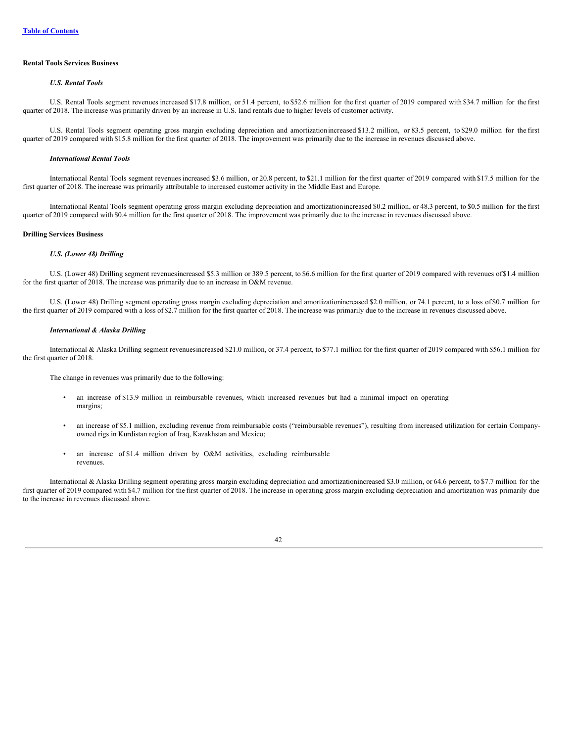# **Rental Tools Services Business**

### *U.S. Rental Tools*

U.S. Rental Tools segment revenues increased \$17.8 million, or 51.4 percent, to \$52.6 million for the first quarter of 2019 compared with \$34.7 million for the first quarter of 2018. The increase was primarily driven by an increase in U.S. land rentals due to higher levels of customer activity.

U.S. Rental Tools segment operating gross margin excluding depreciation and amortizationincreased \$13.2 million, or 83.5 percent, to \$29.0 million for the first quarter of 2019 compared with \$15.8 million for the first quarter of 2018. The improvement was primarily due to the increase in revenues discussed above.

#### *International Rental Tools*

International Rental Tools segment revenues increased \$3.6 million, or 20.8 percent, to \$21.1 million for the first quarter of 2019 compared with \$17.5 million for the first quarter of 2018. The increase was primarily attributable to increased customer activity in the Middle East and Europe.

International Rental Tools segment operating gross margin excluding depreciation and amortizationincreased \$0.2 million, or 48.3 percent, to \$0.5 million for the first quarter of 2019 compared with \$0.4 million for the first quarter of 2018. The improvement was primarily due to the increase in revenues discussed above.

#### **Drilling Services Business**

#### *U.S. (Lower 48) Drilling*

U.S. (Lower 48) Drilling segment revenuesincreased \$5.3 million or 389.5 percent, to \$6.6 million for the first quarter of 2019 compared with revenues of \$1.4 million for the first quarter of 2018. The increase was primarily due to an increase in O&M revenue.

U.S. (Lower 48) Drilling segment operating gross margin excluding depreciation and amortizationincreased \$2.0 million, or 74.1 percent, to a loss of \$0.7 million for the first quarter of 2019 compared with a loss of \$2.7 million for the first quarter of 2018. The increase was primarily due to the increase in revenues discussed above.

# *International & Alaska Drilling*

International & Alaska Drilling segment revenuesincreased \$21.0 million, or 37.4 percent, to \$77.1 million for the first quarter of 2019 compared with \$56.1 million for the first quarter of 2018.

The change in revenues was primarily due to the following:

- an increase of \$13.9 million in reimbursable revenues, which increased revenues but had a minimal impact on operating margins;
- an increase of \$5.1 million, excluding revenue from reimbursable costs ("reimbursable revenues"), resulting from increased utilization for certain Companyowned rigs in Kurdistan region of Iraq, Kazakhstan and Mexico;
- an increase of \$1.4 million driven by O&M activities, excluding reimbursable revenues.

International & Alaska Drilling segment operating gross margin excluding depreciation and amortizationincreased \$3.0 million, or 64.6 percent, to \$7.7 million for the first quarter of 2019 compared with \$4.7 million for the first quarter of 2018. The increase in operating gross margin excluding depreciation and amortization was primarily due to the increase in revenues discussed above.

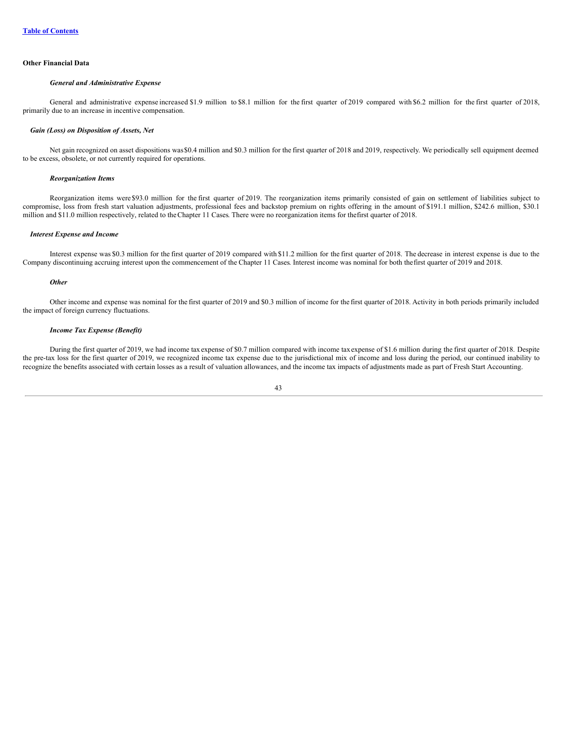### **Other Financial Data**

# *General and Administrative Expense*

General and administrative expense increased \$1.9 million to \$8.1 million for the first quarter of 2019 compared with \$6.2 million for the first quarter of 2018, primarily due to an increase in incentive compensation.

#### *Gain (Loss) on Disposition of Assets, Net*

Net gain recognized on asset dispositions was\$0.4 million and \$0.3 million for the first quarter of 2018 and 2019, respectively. We periodically sell equipment deemed to be excess, obsolete, or not currently required for operations.

#### *Reorganization Items*

Reorganization items were \$93.0 million for the first quarter of 2019. The reorganization items primarily consisted of gain on settlement of liabilities subject to compromise, loss from fresh start valuation adjustments, professional fees and backstop premium on rights offering in the amount of \$191.1 million, \$242.6 million, \$30.1 million and \$11.0 million respectively, related to theChapter 11 Cases. There were no reorganization items for thefirst quarter of 2018.

#### *Interest Expense and Income*

Interest expense was \$0.3 million for the first quarter of 2019 compared with \$11.2 million for the first quarter of 2018. The decrease in interest expense is due to the Company discontinuing accruing interest upon the commencement of the Chapter 11 Cases. Interest income was nominal for both thefirst quarter of 2019 and 2018.

#### *Other*

Other income and expense was nominal for the first quarter of 2019 and \$0.3 million of income for the first quarter of 2018. Activity in both periods primarily included the impact of foreign currency fluctuations.

# *Income Tax Expense (Benefit)*

During the first quarter of 2019, we had income tax expense of \$0.7 million compared with income taxexpense of \$1.6 million during the first quarter of 2018. Despite the pre-tax loss for the first quarter of 2019, we recognized income tax expense due to the jurisdictional mix of income and loss during the period, our continued inability to recognize the benefits associated with certain losses as a result of valuation allowances, and the income tax impacts of adjustments made as part of Fresh Start Accounting.

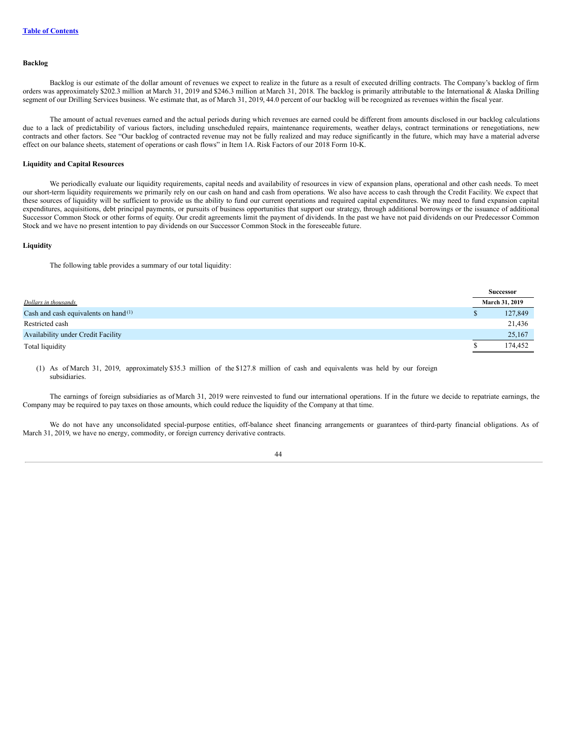# **Backlog**

Backlog is our estimate of the dollar amount of revenues we expect to realize in the future as a result of executed drilling contracts. The Company's backlog of firm orders was approximately \$202.3 million at March 31, 2019 and \$246.3 million at March 31, 2018. The backlog is primarily attributable to the International & Alaska Drilling segment of our Drilling Services business. We estimate that, as of March 31, 2019, 44.0 percent of our backlog will be recognized as revenues within the fiscal year.

The amount of actual revenues earned and the actual periods during which revenues are earned could be different from amounts disclosed in our backlog calculations due to a lack of predictability of various factors, including unscheduled repairs, maintenance requirements, weather delays, contract terminations or renegotiations, new contracts and other factors. See "Our backlog of contracted revenue may not be fully realized and may reduce significantly in the future, which may have a material adverse effect on our balance sheets, statement of operations or cash flows" in Item 1A. Risk Factors of our 2018 Form 10-K.

# **Liquidity and Capital Resources**

We periodically evaluate our liquidity requirements, capital needs and availability of resources in view of expansion plans, operational and other cash needs. To meet our short-term liquidity requirements we primarily rely on our cash on hand and cash from operations. We also have access to cash through the Credit Facility. We expect that these sources of liquidity will be sufficient to provide us the ability to fund our current operations and required capital expenditures. We may need to fund expansion capital expenditures, acquisitions, debt principal payments, or pursuits of business opportunities that support our strategy, through additional borrowings or the issuance of additional Successor Common Stock or other forms of equity. Our credit agreements limit the payment of dividends. In the past we have not paid dividends on our Predecessor Common Stock and we have no present intention to pay dividends on our Successor Common Stock in the foreseeable future.

# **Liquidity**

The following table provides a summary of our total liquidity:

|                                         | <b>Successor</b> |  |
|-----------------------------------------|------------------|--|
| Dollars in thousands                    | March 31, 2019   |  |
| Cash and cash equivalents on hand $(1)$ | 127,849          |  |
| Restricted cash                         | 21,436           |  |
| Availability under Credit Facility      | 25,167           |  |
| Total liquidity                         | 174.452          |  |

(1) As of March 31, 2019, approximately \$35.3 million of the \$127.8 million of cash and equivalents was held by our foreign subsidiaries.

The earnings of foreign subsidiaries as of March 31, 2019 were reinvested to fund our international operations. If in the future we decide to repatriate earnings, the Company may be required to pay taxes on those amounts, which could reduce the liquidity of the Company at that time.

We do not have any unconsolidated special-purpose entities, off-balance sheet financing arrangements or guarantees of third-party financial obligations. As of March 31, 2019, we have no energy, commodity, or foreign currency derivative contracts.

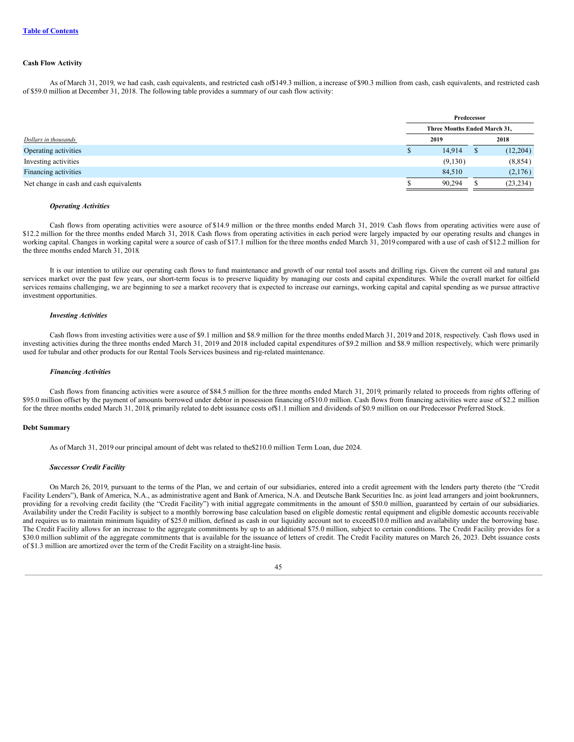# **Cash Flow Activity**

As of March 31, 2019, we had cash, cash equivalents, and restricted cash of\$149.3 million, a increase of \$90.3 million from cash, cash equivalents, and restricted cash of \$59.0 million at December 31, 2018. The following table provides a summary of our cash flow activity:

|                                         | Predecessor                  |   |           |  |
|-----------------------------------------|------------------------------|---|-----------|--|
|                                         | Three Months Ended March 31, |   |           |  |
| Dollars in thousands                    | 2019                         |   | 2018      |  |
| Operating activities                    | 14,914                       | ъ | (12,204)  |  |
| Investing activities                    | (9,130)                      |   | (8,854)   |  |
| Financing activities                    | 84,510                       |   | (2,176)   |  |
| Net change in cash and cash equivalents | 90.294                       |   | (23, 234) |  |

# *Operating Activities*

Cash flows from operating activities were a source of \$14.9 million or the three months ended March 31, 2019. Cash flows from operating activities were ause of \$12.2 million for the three months ended March 31, 2018. Cash flows from operating activities in each period were largely impacted by our operating results and changes in working capital. Changes in working capital were a source of cash of \$17.1 million for the three months ended March 31, 2019 compared with a use of cash of \$12.2 million for the three months ended March 31, 2018.

It is our intention to utilize our operating cash flows to fund maintenance and growth of our rental tool assets and drilling rigs. Given the current oil and natural gas services market over the past few years, our short-term focus is to preserve liquidity by managing our costs and capital expenditures. While the overall market for oilfield services remains challenging, we are beginning to see a market recovery that is expected to increase our earnings, working capital and capital spending as we pursue attractive investment opportunities.

#### *Investing Activities*

Cash flows from investing activities were a use of \$9.1 million and \$8.9 million for the three months ended March 31, 2019 and 2018, respectively. Cash flows used in investing activities during the three months ended March 31, 2019 and 2018 included capital expenditures of \$9.2 million and \$8.9 million respectively, which were primarily used for tubular and other products for our Rental Tools Services business and rig-related maintenance.

# *Financing Activities*

Cash flows from financing activities were a source of \$84.5 million for the three months ended March 31, 2019, primarily related to proceeds from rights offering of \$95.0 million offset by the payment of amounts borrowed under debtor in possession financing of\$10.0 million. Cash flows from financing activities were ause of \$2.2 million for the three months ended March 31, 2018, primarily related to debt issuance costs of \$1.1 million and dividends of \$0.9 million on our Predecessor Preferred Stock.

#### **Debt Summary**

As of March 31, 2019 our principal amount of debt was related to the\$210.0 million Term Loan, due 2024.

#### *Successor Credit Facility*

On March 26, 2019, pursuant to the terms of the Plan, we and certain of our subsidiaries, entered into a credit agreement with the lenders party thereto (the "Credit Facility Lenders"), Bank of America, N.A., as administrative agent and Bank of America, N.A. and Deutsche Bank Securities Inc. as joint lead arrangers and joint bookrunners, providing for a revolving credit facility (the "Credit Facility") with initial aggregate commitments in the amount of \$50.0 million, guaranteed by certain of our subsidiaries. Availability under the Credit Facility is subject to a monthly borrowing base calculation based on eligible domestic rental equipment and eligible domestic accounts receivable and requires us to maintain minimum liquidity of \$25.0 million, defined as cash in our liquidity account not to exceed\$10.0 million and availability under the borrowing base. The Credit Facility allows for an increase to the aggregate commitments by up to an additional \$75.0 million, subject to certain conditions. The Credit Facility provides for a \$30.0 million sublimit of the aggregate commitments that is available for the issuance of letters of credit. The Credit Facility matures on March 26, 2023. Debt issuance costs of \$1.3 million are amortized over the term of the Credit Facility on a straight-line basis.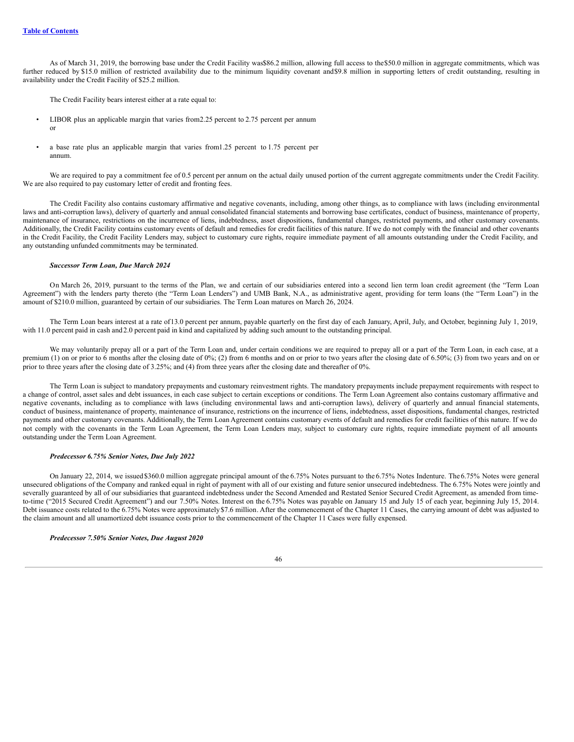As of March 31, 2019, the borrowing base under the Credit Facility was\$86.2 million, allowing full access to the\$50.0 million in aggregate commitments, which was further reduced by \$15.0 million of restricted availability due to the minimum liquidity covenant and\$9.8 million in supporting letters of credit outstanding, resulting in availability under the Credit Facility of \$25.2 million.

The Credit Facility bears interest either at a rate equal to:

- LIBOR plus an applicable margin that varies from 2.25 percent to 2.75 percent per annum or
- a base rate plus an applicable margin that varies from1.25 percent to 1.75 percent per annum.

We are required to pay a commitment fee of 0.5 percent per annum on the actual daily unused portion of the current aggregate commitments under the Credit Facility. We are also required to pay customary letter of credit and fronting fees.

The Credit Facility also contains customary affirmative and negative covenants, including, among other things, as to compliance with laws (including environmental laws and anti-corruption laws), delivery of quarterly and annual consolidated financial statements and borrowing base certificates, conduct of business, maintenance of property, maintenance of insurance, restrictions on the incurrence of liens, indebtedness, asset dispositions, fundamental changes, restricted payments, and other customary covenants. Additionally, the Credit Facility contains customary events of default and remedies for credit facilities of this nature. If we do not comply with the financial and other covenants in the Credit Facility, the Credit Facility Lenders may, subject to customary cure rights, require immediate payment of all amounts outstanding under the Credit Facility, and any outstanding unfunded commitments may be terminated.

# *Successor Term Loan, Due March 2024*

On March 26, 2019, pursuant to the terms of the Plan, we and certain of our subsidiaries entered into a second lien term loan credit agreement (the "Term Loan Agreement") with the lenders party thereto (the "Term Loan Lenders") and UMB Bank, N.A., as administrative agent, providing for term loans (the "Term Loan") in the amount of \$210.0 million, guaranteed by certain of our subsidiaries. The Term Loan matures on March 26, 2024.

The Term Loan bears interest at a rate of13.0 percent per annum, payable quarterly on the first day of each January, April, July, and October, beginning July 1, 2019, with 11.0 percent paid in cash and 2.0 percent paid in kind and capitalized by adding such amount to the outstanding principal.

We may voluntarily prepay all or a part of the Term Loan and, under certain conditions we are required to prepay all or a part of the Term Loan, in each case, at a premium (1) on or prior to 6 months after the closing date of 0%; (2) from 6 months and on or prior to two years after the closing date of 6.50%; (3) from two years and on or prior to three years after the closing date of 3.25%; and (4) from three years after the closing date and thereafter of 0%.

The Term Loan is subject to mandatory prepayments and customary reinvestment rights. The mandatory prepayments include prepayment requirements with respect to a change of control, asset sales and debt issuances, in each case subject to certain exceptions or conditions. The Term Loan Agreement also contains customary affirmative and negative covenants, including as to compliance with laws (including environmental laws and anti-corruption laws), delivery of quarterly and annual financial statements, conduct of business, maintenance of property, maintenance of insurance, restrictions on the incurrence of liens, indebtedness, asset dispositions, fundamental changes, restricted payments and other customary covenants. Additionally, the Term Loan Agreement contains customary events of default and remedies for credit facilities of this nature. If we do not comply with the covenants in the Term Loan Agreement, the Term Loan Lenders may, subject to customary cure rights, require immediate payment of all amounts outstanding under the Term Loan Agreement.

#### *Predecessor 6.75% Senior Notes, Due July 2022*

On January 22, 2014, we issued \$360.0 million aggregate principal amount of the 6.75% Notes pursuant to the 6.75% Notes Indenture. The 6.75% Notes were general unsecured obligations of the Company and ranked equal in right of payment with all of our existing and future senior unsecured indebtedness. The 6.75% Notes were jointly and severally guaranteed by all of our subsidiaries that guaranteed indebtedness under the Second Amended and Restated Senior Secured Credit Agreement, as amended from timeto-time ("2015 Secured Credit Agreement") and our 7.50% Notes. Interest on the 6.75% Notes was payable on January 15 and July 15 of each year, beginning July 15, 2014. Debt issuance costs related to the 6.75% Notes were approximately \$7.6 million. After the commencement of the Chapter 11 Cases, the carrying amount of debt was adjusted to the claim amount and all unamortized debt issuance costs prior to the commencement of the Chapter 11 Cases were fully expensed.

#### *Predecessor 7.50% Senior Notes, Due August 2020*

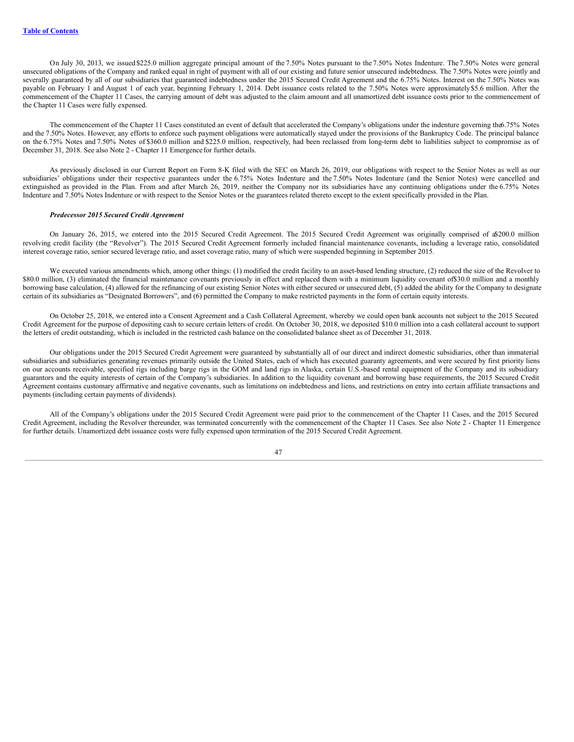On July 30, 2013, we issued \$225.0 million aggregate principal amount of the 7.50% Notes pursuant to the 7.50% Notes Indenture. The 7.50% Notes were general unsecured obligations of the Company and ranked equal in right of payment with all of our existing and future senior unsecured indebtedness. The 7.50% Notes were jointly and severally guaranteed by all of our subsidiaries that guaranteed indebtedness under the 2015 Secured Credit Agreement and the 6.75% Notes. Interest on the 7.50% Notes was payable on February 1 and August 1 of each year, beginning February 1, 2014. Debt issuance costs related to the 7.50% Notes were approximately \$5.6 million. After the commencement of the Chapter 11 Cases, the carrying amount of debt was adjusted to the claim amount and all unamortized debt issuance costs prior to the commencement of the Chapter 11 Cases were fully expensed.

The commencement of the Chapter 11 Cases constituted an event of default that accelerated the Company's obligations under the indenture governing the6.75% Notes and the 7.50% Notes. However, any efforts to enforce such payment obligations were automatically stayed under the provisions of the Bankruptcy Code. The principal balance on the 6.75% Notes and 7.50% Notes of \$360.0 million and \$225.0 million, respectively, had been reclassed from long-term debt to liabilities subject to compromise as of December 31, 2018. See also Note 2 - Chapter 11 Emergencefor further details.

As previously disclosed in our Current Report on Form 8-K filed with the SEC on March 26, 2019, our obligations with respect to the Senior Notes as well as our subsidiaries' obligations under their respective guarantees under the 6.75% Notes Indenture and the 7.50% Notes Indenture (and the Senior Notes) were cancelled and extinguished as provided in the Plan. From and after March 26, 2019, neither the Company nor its subsidiaries have any continuing obligations under the 6.75% Notes Indenture and 7.50% Notes Indenture or with respect to the Senior Notes or the guarantees related thereto except to the extent specifically provided in the Plan.

# *Predecessor 2015 Secured Credit Agreement*

On January 26, 2015, we entered into the 2015 Secured Credit Agreement. The 2015 Secured Credit Agreement was originally comprised of a\$200.0 million revolving credit facility (the "Revolver"). The 2015 Secured Credit Agreement formerly included financial maintenance covenants, including a leverage ratio, consolidated interest coverage ratio, senior secured leverage ratio, and asset coverage ratio, many of which were suspended beginning in September 2015.

We executed various amendments which, among other things: (1) modified the credit facility to an asset-based lending structure, (2) reduced the size of the Revolver to \$80.0 million, (3) eliminated the financial maintenance covenants previously in effect and replaced them with a minimum liquidity covenant of\$30.0 million and a monthly borrowing base calculation, (4) allowed for the refinancing of our existing Senior Notes with either secured or unsecured debt, (5) added the ability for the Company to designate certain of its subsidiaries as "Designated Borrowers", and (6) permitted the Company to make restricted payments in the form of certain equity interests.

On October 25, 2018, we entered into a Consent Agreement and a Cash Collateral Agreement, whereby we could open bank accounts not subject to the 2015 Secured Credit Agreement for the purpose of depositing cash to secure certain letters of credit. On October 30, 2018, we deposited \$10.0 million into a cash collateral account to support the letters of credit outstanding, which is included in the restricted cash balance on the consolidated balance sheet as of December 31, 2018.

Our obligations under the 2015 Secured Credit Agreement were guaranteed by substantially all of our direct and indirect domestic subsidiaries, other than immaterial subsidiaries and subsidiaries generating revenues primarily outside the United States, each of which has executed guaranty agreements, and were secured by first priority liens on our accounts receivable, specified rigs including barge rigs in the GOM and land rigs in Alaska, certain U.S.-based rental equipment of the Company and its subsidiary guarantors and the equity interests of certain of the Company's subsidiaries. In addition to the liquidity covenant and borrowing base requirements, the 2015 Secured Credit Agreement contains customary affirmative and negative covenants, such as limitations on indebtedness and liens, and restrictions on entry into certain affiliate transactions and payments (including certain payments of dividends).

All of the Company's obligations under the 2015 Secured Credit Agreement were paid prior to the commencement of the Chapter 11 Cases, and the 2015 Secured Credit Agreement, including the Revolver thereunder, was terminated concurrently with the commencement of the Chapter 11 Cases. See also Note 2 - Chapter 11 Emergence for further details. Unamortized debt issuance costs were fully expensed upon termination of the 2015 Secured Credit Agreement.

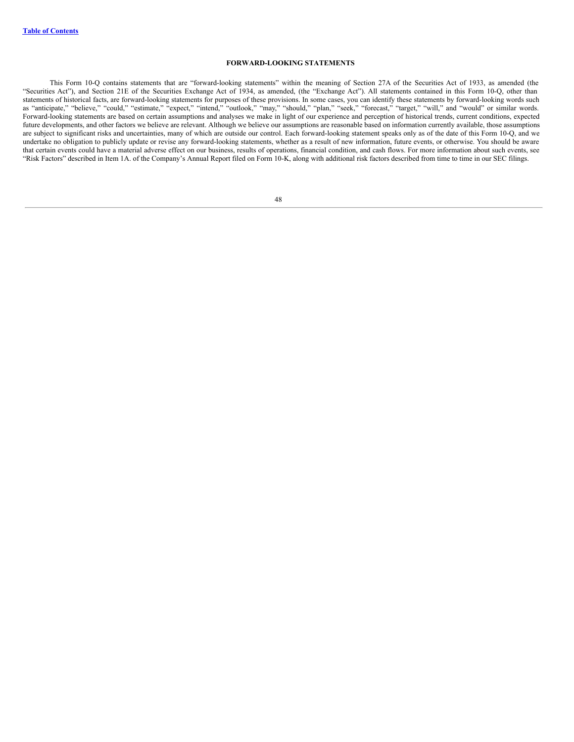# **FORWARD-LOOKING STATEMENTS**

This Form 10-Q contains statements that are "forward-looking statements" within the meaning of Section 27A of the Securities Act of 1933, as amended (the "Securities Act"), and Section 21E of the Securities Exchange Act of 1934, as amended, (the "Exchange Act"). All statements contained in this Form 10-Q, other than statements of historical facts, are forward-looking statements for purposes of these provisions. In some cases, you can identify these statements by forward-looking words such as "anticipate," "believe," "could," "estimate," "expect," "intend," "outlook," "may," "should," "plan," "seek," "forecast," "target," "will," and "would" or similar words. Forward-looking statements are based on certain assumptions and analyses we make in light of our experience and perception of historical trends, current conditions, expected future developments, and other factors we believe are relevant. Although we believe our assumptions are reasonable based on information currently available, those assumptions are subject to significant risks and uncertainties, many of which are outside our control. Each forward-looking statement speaks only as of the date of this Form 10-Q, and we undertake no obligation to publicly update or revise any forward-looking statements, whether as a result of new information, future events, or otherwise. You should be aware that certain events could have a material adverse effect on our business, results of operations, financial condition, and cash flows. For more information about such events, see "Risk Factors" described in Item 1A. of the Company's Annual Report filed on Form 10-K, along with additional risk factors described from time to time in our SEC filings.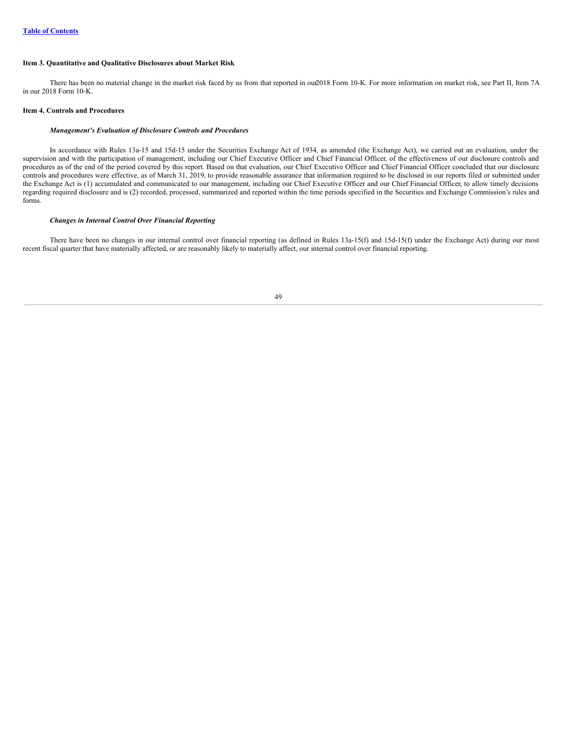# **Item 3. Quantitative and Qualitative Disclosures about Market Risk**

There has been no material change in the market risk faced by us from that reported in out 2018 Form 10-K. For more information on market risk, see Part II, Item 7A in our 2018 Form 10-K.

#### **Item 4. Controls and Procedures**

#### *Management's Evaluation of Disclosure Controls and Procedures*

In accordance with Rules 13a-15 and 15d-15 under the Securities Exchange Act of 1934, as amended (the Exchange Act), we carried out an evaluation, under the supervision and with the participation of management, including our Chief Executive Officer and Chief Financial Officer, of the effectiveness of our disclosure controls and procedures as of the end of the period covered by this report. Based on that evaluation, our Chief Executive Officer and Chief Financial Officer concluded that our disclosure controls and procedures were effective, as of March 31, 2019, to provide reasonable assurance that information required to be disclosed in our reports filed or submitted under the Exchange Act is (1) accumulated and communicated to our management, including our Chief Executive Officer and our Chief Financial Officer, to allow timely decisions regarding required disclosure and is (2) recorded, processed, summarized and reported within the time periods specified in the Securities and Exchange Commission's rules and forms.

# *Changes in Internal Control Over Financial Reporting*

There have been no changes in our internal control over financial reporting (as defined in Rules 13a-15(f) and 15d-15(f) under the Exchange Act) during our most recent fiscal quarter that have materially affected, or are reasonably likely to materially affect, our internal control over financial reporting.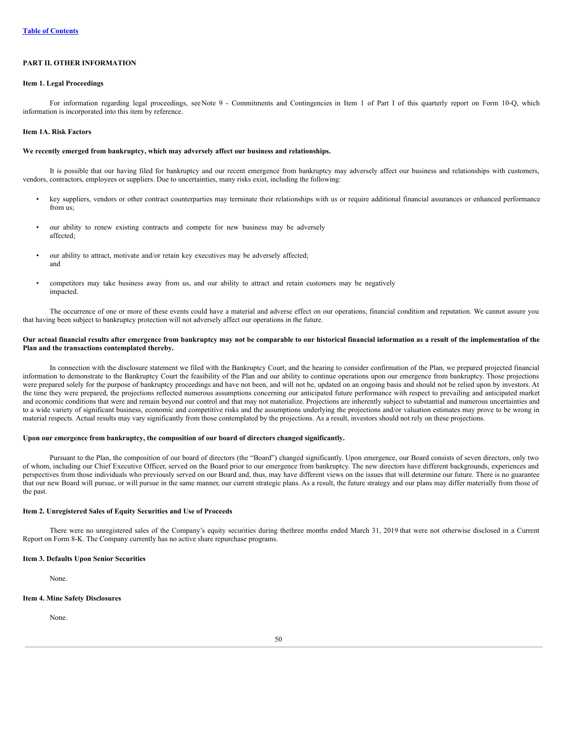# **PART II. OTHER INFORMATION**

### **Item 1. Legal Proceedings**

For information regarding legal proceedings, seeNote 9 - Commitments and Contingencies in Item 1 of Part I of this quarterly report on Form 10-Q, which information is incorporated into this item by reference.

# **Item 1A. Risk Factors**

#### **We recently emerged from bankruptcy, which may adversely affect our business and relationships.**

It is possible that our having filed for bankruptcy and our recent emergence from bankruptcy may adversely affect our business and relationships with customers, vendors, contractors, employees or suppliers. Due to uncertainties, many risks exist, including the following:

- key suppliers, vendors or other contract counterparties may terminate their relationships with us or require additional financial assurances or enhanced performance from us;
- our ability to renew existing contracts and compete for new business may be adversely affected;
- our ability to attract, motivate and/or retain key executives may be adversely affected; and
- competitors may take business away from us, and our ability to attract and retain customers may be negatively impacted.

The occurrence of one or more of these events could have a material and adverse effect on our operations, financial condition and reputation. We cannot assure you that having been subject to bankruptcy protection will not adversely affect our operations in the future.

# Our actual financial results after emergence from bankruptcy may not be comparable to our historical financial information as a result of the implementation of the **Plan and the transactions contemplated thereby.**

In connection with the disclosure statement we filed with the Bankruptcy Court, and the hearing to consider confirmation of the Plan, we prepared projected financial information to demonstrate to the Bankruptcy Court the feasibility of the Plan and our ability to continue operations upon our emergence from bankruptcy. Those projections were prepared solely for the purpose of bankruptcy proceedings and have not been, and will not be, updated on an ongoing basis and should not be relied upon by investors. At the time they were prepared, the projections reflected numerous assumptions concerning our anticipated future performance with respect to prevailing and anticipated market and economic conditions that were and remain beyond our control and that may not materialize. Projections are inherently subject to substantial and numerous uncertainties and to a wide variety of significant business, economic and competitive risks and the assumptions underlying the projections and/or valuation estimates may prove to be wrong in material respects. Actual results may vary significantly from those contemplated by the projections. As a result, investors should not rely on these projections.

# **Upon our emergence from bankruptcy, the composition of our board of directors changed significantly.**

Pursuant to the Plan, the composition of our board of directors (the "Board") changed significantly. Upon emergence, our Board consists of seven directors, only two of whom, including our Chief Executive Officer, served on the Board prior to our emergence from bankruptcy. The new directors have different backgrounds, experiences and perspectives from those individuals who previously served on our Board and, thus, may have different views on the issues that will determine our future. There is no guarantee that our new Board will pursue, or will pursue in the same manner, our current strategic plans. As a result, the future strategy and our plans may differ materially from those of the past.

#### **Item 2. Unregistered Sales of Equity Securities and Use of Proceeds**

There were no unregistered sales of the Company's equity securities during thethree months ended March 31, 2019 that were not otherwise disclosed in a Current Report on Form 8-K. The Company currently has no active share repurchase programs.

#### **Item 3. Defaults Upon Senior Securities**

None.

## **Item 4. Mine Safety Disclosures**

None.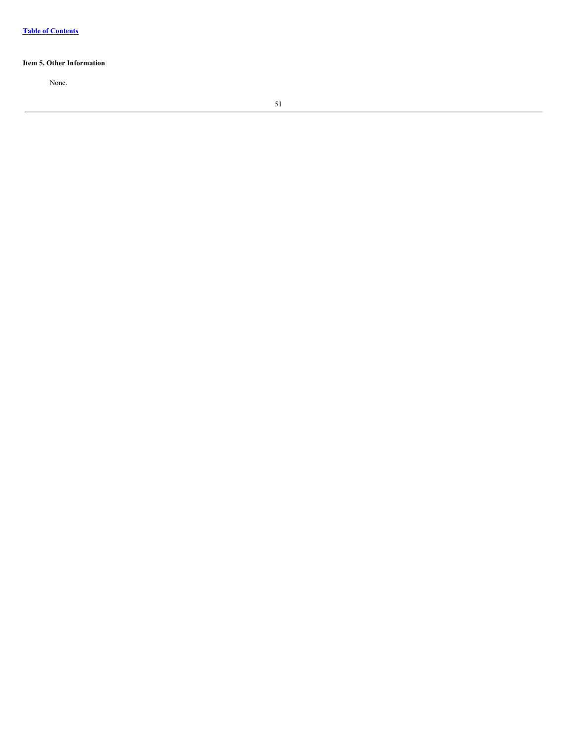# **Item 5. Other Information**

None.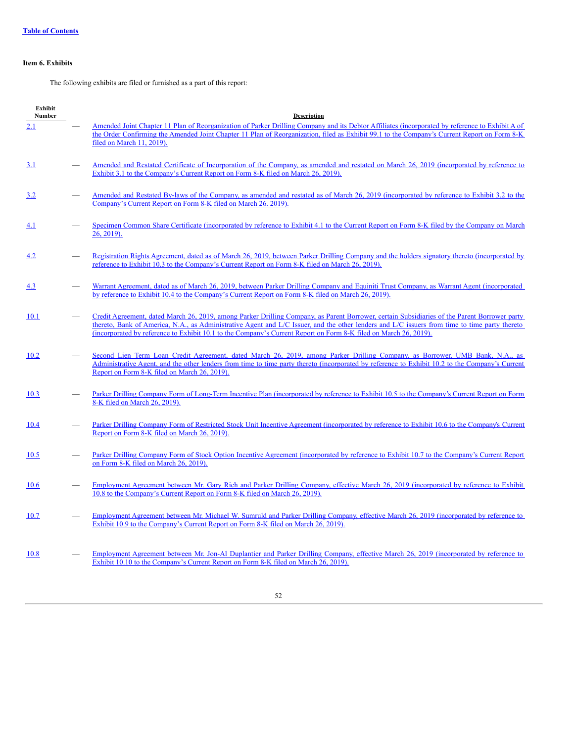# **Item 6. Exhibits**

The following exhibits are filed or furnished as a part of this report:

| Exhibit<br><b>Number</b> | <b>Description</b>                                                                                                                                                                                                                                                                                                                                                                                                |
|--------------------------|-------------------------------------------------------------------------------------------------------------------------------------------------------------------------------------------------------------------------------------------------------------------------------------------------------------------------------------------------------------------------------------------------------------------|
| 2.1                      | Amended Joint Chapter 11 Plan of Reorganization of Parker Drilling Company and its Debtor Affiliates (incorporated by reference to Exhibit A of<br>the Order Confirming the Amended Joint Chapter 11 Plan of Reorganization, filed as Exhibit 99.1 to the Company's Current Report on Form 8-K<br>filed on March 11, 2019).                                                                                       |
| <u>3.1</u>               | Amended and Restated Certificate of Incorporation of the Company, as amended and restated on March 26, 2019 (incorporated by reference to<br>Exhibit 3.1 to the Company's Current Report on Form 8-K filed on March 26, 2019).                                                                                                                                                                                    |
| 3.2                      | Amended and Restated By-laws of the Company, as amended and restated as of March 26, 2019 (incorporated by reference to Exhibit 3.2 to the<br>Company's Current Report on Form 8-K filed on March 26, 2019).                                                                                                                                                                                                      |
| <u>4.1</u>               | Specimen Common Share Certificate (incorporated by reference to Exhibit 4.1 to the Current Report on Form 8-K filed by the Company on March<br>26, 2019).                                                                                                                                                                                                                                                         |
| 4.2                      | Registration Rights Agreement, dated as of March 26, 2019, between Parker Drilling Company and the holders signatory thereto (incorporated by<br>reference to Exhibit 10.3 to the Company's Current Report on Form 8-K filed on March 26, 2019).                                                                                                                                                                  |
| <u>4.3</u>               | Warrant Agreement, dated as of March 26, 2019, between Parker Drilling Company and Equiniti Trust Company, as Warrant Agent (incorporated<br>by reference to Exhibit 10.4 to the Company's Current Report on Form 8-K filed on March 26, 2019).                                                                                                                                                                   |
| 10.1                     | Credit Agreement, dated March 26, 2019, among Parker Drilling Company, as Parent Borrower, certain Subsidiaries of the Parent Borrower party<br>thereto, Bank of America, N.A., as Administrative Agent and L/C Issuer, and the other lenders and L/C issuers from time to time party thereto<br>(incorporated by reference to Exhibit 10.1 to the Company's Current Report on Form 8-K filed on March 26, 2019). |
| 10.2                     | Second Lien Term Loan Credit Agreement, dated March 26, 2019, among Parker Drilling Company, as Borrower, UMB Bank, N.A., as<br>Administrative Agent, and the other lenders from time to time party thereto (incorporated by reference to Exhibit 10.2 to the Company's Current<br>Report on Form 8-K filed on March 26, 2019).                                                                                   |
| 10.3                     | Parker Drilling Company Form of Long-Term Incentive Plan (incorporated by reference to Exhibit 10.5 to the Company's Current Report on Form<br>8-K filed on March 26, 2019).                                                                                                                                                                                                                                      |
| <u>10.4</u>              | Parker Drilling Company Form of Restricted Stock Unit Incentive Agreement (incorporated by reference to Exhibit 10.6 to the Company's Current<br>Report on Form 8-K filed on March 26, 2019).                                                                                                                                                                                                                     |
| 10.5                     | Parker Drilling Company Form of Stock Option Incentive Agreement (incorporated by reference to Exhibit 10.7 to the Company's Current Report<br>on Form 8-K filed on March 26, 2019).                                                                                                                                                                                                                              |
| 10.6                     | Employment Agreement between Mr. Gary Rich and Parker Drilling Company, effective March 26, 2019 (incorporated by reference to Exhibit<br>10.8 to the Company's Current Report on Form 8-K filed on March 26, 2019).                                                                                                                                                                                              |
| 10.7                     | Employment Agreement between Mr. Michael W. Sumruld and Parker Drilling Company, effective March 26, 2019 (incorporated by reference to<br>Exhibit 10.9 to the Company's Current Report on Form 8-K filed on March 26, 2019).                                                                                                                                                                                     |
| 10.8                     | Employment Agreement between Mr. Jon-Al Duplantier and Parker Drilling Company, effective March 26, 2019 (incorporated by reference to<br>Exhibit 10.10 to the Company's Current Report on Form 8-K filed on March 26, 2019).                                                                                                                                                                                     |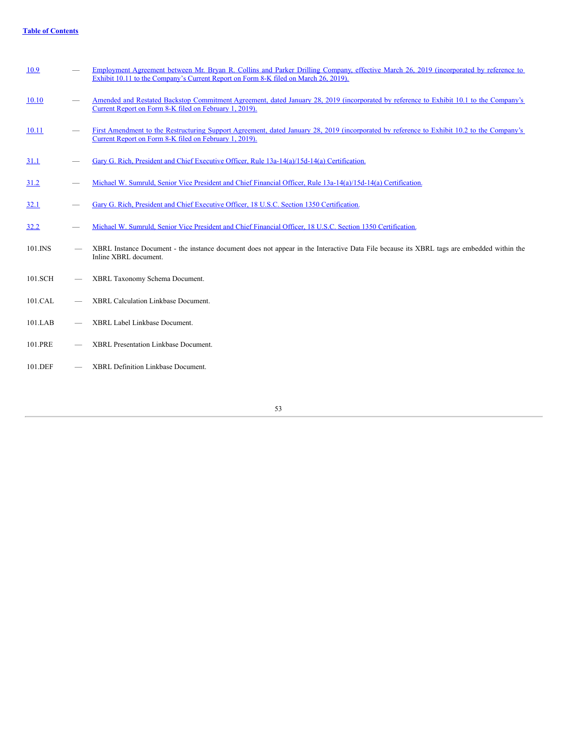| <u>10.9</u> | - Employment Agreement between Mr. Bryan R. Collins and Parker Drilling Company, effective March 26, 2019 (incorporated by reference to |  |
|-------------|-----------------------------------------------------------------------------------------------------------------------------------------|--|
|             | Exhibit 10.11 to the Company's Current Report on Form 8-K filed on March 26, 2019).                                                     |  |

- [10.10](http://www.sec.gov/Archives/edgar/data/76321/000007632119000005/ex101arbackstopcommitmenta.htm) Amended and Restated Backstop Commitment Agreement, dated January 28, 2019 [\(incorporated](http://www.sec.gov/Archives/edgar/data/76321/000007632119000005/ex101arbackstopcommitmenta.htm) by reference to Exhibit 10.1 to the Company's Current Report on Form 8-K filed on February 1, 2019).
- [10.11](http://www.sec.gov/Archives/edgar/data/76321/000007632119000005/ex102rsaamendment.htm) First Amendment to the [Restructuring](http://www.sec.gov/Archives/edgar/data/76321/000007632119000005/ex102rsaamendment.htm) Support Agreement, dated January 28, 2019 (incorporated by reference to Exhibit 10.2 to the Company's Current Report on Form 8-K filed on February 1, 2019).
- [31.1](#page-54-0) Gary G. Rich, President and Chief Executive Officer, Rule [13a-14\(a\)/15d-14\(a\)](#page-54-0) Certification.
- [31.2](#page-55-0) Michael W. Sumruld, Senior Vice President and Chief Financial Officer, Rule [13a-14\(a\)/15d-14\(a\)](#page-55-0) Certification.
- [32.1](#page-56-0) Gary G. Rich, President and Chief Executive Officer, 18 U.S.C. Section 1350 [Certification](#page-56-0).
- [32.2](#page-57-0) Michael W. Sumruld, Senior Vice President and Chief Financial Officer, 18 U.S.C. Section 1350 [Certification.](#page-57-0)
- 101.INS XBRL Instance Document the instance document does not appear in the Interactive Data File because its XBRL tags are embedded within the Inline XBRL document.
- 101.SCH XBRL Taxonomy Schema Document.
- 101.CAL XBRL Calculation Linkbase Document.
- 101.LAB XBRL Label Linkbase Document.
- 101.PRE XBRL Presentation Linkbase Document.
- 101.DEF XBRL Definition Linkbase Document.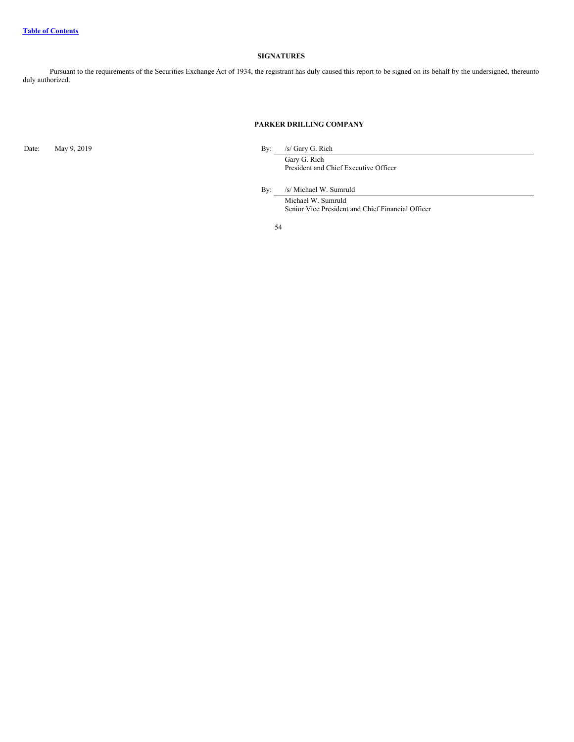# **SIGNATURES**

Pursuant to the requirements of the Securities Exchange Act of 1934, the registrant has duly caused this report to be signed on its behalf by the undersigned, thereunto duly authorized.

# **PARKER DRILLING COMPANY**

Date: May 9, 2019 By: /s/ Gary G. Rich

Gary G. Rich President and Chief Executive Officer

By: /s/ Michael W. Sumruld

Michael W. Sumruld Senior Vice President and Chief Financial Officer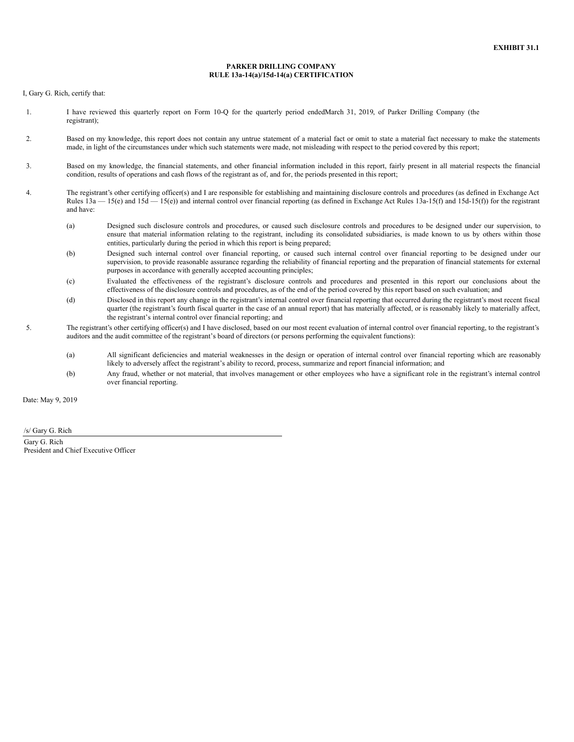# **PARKER DRILLING COMPANY RULE 13a-14(a)/15d-14(a) CERTIFICATION**

<span id="page-54-0"></span>I, Gary G. Rich, certify that:

- 1. I have reviewed this quarterly report on Form 10-Q for the quarterly period endedMarch 31, 2019, of Parker Drilling Company (the registrant);
- 2. Based on my knowledge, this report does not contain any untrue statement of a material fact or omit to state a material fact necessary to make the statements made, in light of the circumstances under which such statements were made, not misleading with respect to the period covered by this report;
- 3. Based on my knowledge, the financial statements, and other financial information included in this report, fairly present in all material respects the financial condition, results of operations and cash flows of the registrant as of, and for, the periods presented in this report;
- 4. The registrant's other certifying officer(s) and I are responsible for establishing and maintaining disclosure controls and procedures (as defined in Exchange Act Rules  $13a - 15(e)$  and  $15d - 15(e)$  and internal control over financial reporting (as defined in Exchange Act Rules  $13a - 15(f)$  and  $15d - 15(f)$ ) for the registrant and have:
	- (a) Designed such disclosure controls and procedures, or caused such disclosure controls and procedures to be designed under our supervision, to ensure that material information relating to the registrant, including its consolidated subsidiaries, is made known to us by others within those entities, particularly during the period in which this report is being prepared;
	- (b) Designed such internal control over financial reporting, or caused such internal control over financial reporting to be designed under our supervision, to provide reasonable assurance regarding the reliability of financial reporting and the preparation of financial statements for external purposes in accordance with generally accepted accounting principles;
	- (c) Evaluated the effectiveness of the registrant's disclosure controls and procedures and presented in this report our conclusions about the effectiveness of the disclosure controls and procedures, as of the end of the period covered by this report based on such evaluation; and
	- (d) Disclosed in this report any change in the registrant's internal control over financial reporting that occurred during the registrant's most recent fiscal quarter (the registrant's fourth fiscal quarter in the case of an annual report) that has materially affected, or is reasonably likely to materially affect, the registrant's internal control over financial reporting; and
- 5. The registrant's other certifying officer(s) and I have disclosed, based on our most recent evaluation of internal control over financial reporting, to the registrant's auditors and the audit committee of the registrant's board of directors (or persons performing the equivalent functions):
	- (a) All significant deficiencies and material weaknesses in the design or operation of internal control over financial reporting which are reasonably likely to adversely affect the registrant's ability to record, process, summarize and report financial information; and
	- (b) Any fraud, whether or not material, that involves management or other employees who have a significant role in the registrant's internal control over financial reporting.

Date: May 9, 2019

/s/ Gary G. Rich Gary G. Rich President and Chief Executive Officer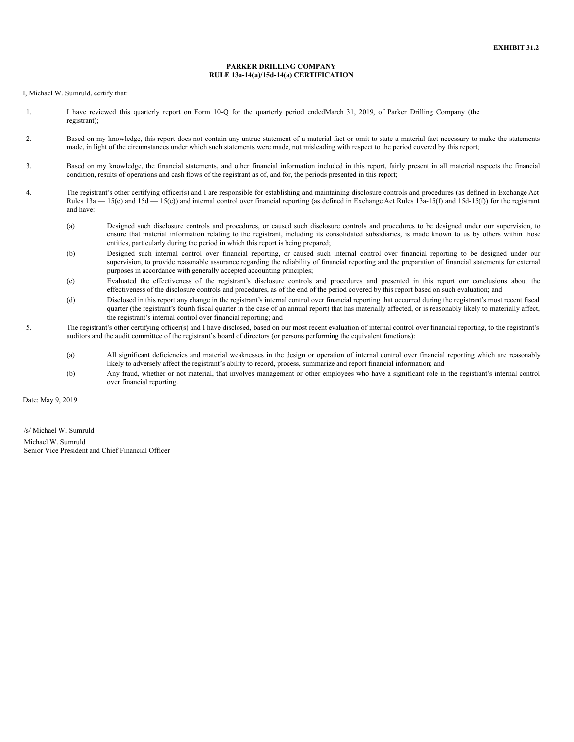# **PARKER DRILLING COMPANY RULE 13a-14(a)/15d-14(a) CERTIFICATION**

<span id="page-55-0"></span>I, Michael W. Sumruld, certify that:

- 1. I have reviewed this quarterly report on Form 10-Q for the quarterly period endedMarch 31, 2019, of Parker Drilling Company (the registrant);
- 2. Based on my knowledge, this report does not contain any untrue statement of a material fact or omit to state a material fact necessary to make the statements made, in light of the circumstances under which such statements were made, not misleading with respect to the period covered by this report;
- 3. Based on my knowledge, the financial statements, and other financial information included in this report, fairly present in all material respects the financial condition, results of operations and cash flows of the registrant as of, and for, the periods presented in this report;
- 4. The registrant's other certifying officer(s) and I are responsible for establishing and maintaining disclosure controls and procedures (as defined in Exchange Act Rules  $13a - 15(e)$  and  $15d - 15(e)$  and internal control over financial reporting (as defined in Exchange Act Rules  $13a - 15(f)$  and  $15d - 15(f)$ ) for the registrant and have:
	- (a) Designed such disclosure controls and procedures, or caused such disclosure controls and procedures to be designed under our supervision, to ensure that material information relating to the registrant, including its consolidated subsidiaries, is made known to us by others within those entities, particularly during the period in which this report is being prepared;
	- (b) Designed such internal control over financial reporting, or caused such internal control over financial reporting to be designed under our supervision, to provide reasonable assurance regarding the reliability of financial reporting and the preparation of financial statements for external purposes in accordance with generally accepted accounting principles;
	- (c) Evaluated the effectiveness of the registrant's disclosure controls and procedures and presented in this report our conclusions about the effectiveness of the disclosure controls and procedures, as of the end of the period covered by this report based on such evaluation; and
	- (d) Disclosed in this report any change in the registrant's internal control over financial reporting that occurred during the registrant's most recent fiscal quarter (the registrant's fourth fiscal quarter in the case of an annual report) that has materially affected, or is reasonably likely to materially affect, the registrant's internal control over financial reporting; and
- 5. The registrant's other certifying officer(s) and I have disclosed, based on our most recent evaluation of internal control over financial reporting, to the registrant's auditors and the audit committee of the registrant's board of directors (or persons performing the equivalent functions):
	- (a) All significant deficiencies and material weaknesses in the design or operation of internal control over financial reporting which are reasonably likely to adversely affect the registrant's ability to record, process, summarize and report financial information; and
	- (b) Any fraud, whether or not material, that involves management or other employees who have a significant role in the registrant's internal control over financial reporting.

Date: May 9, 2019

/s/ Michael W. Sumruld Michael W. Sumruld

Senior Vice President and Chief Financial Officer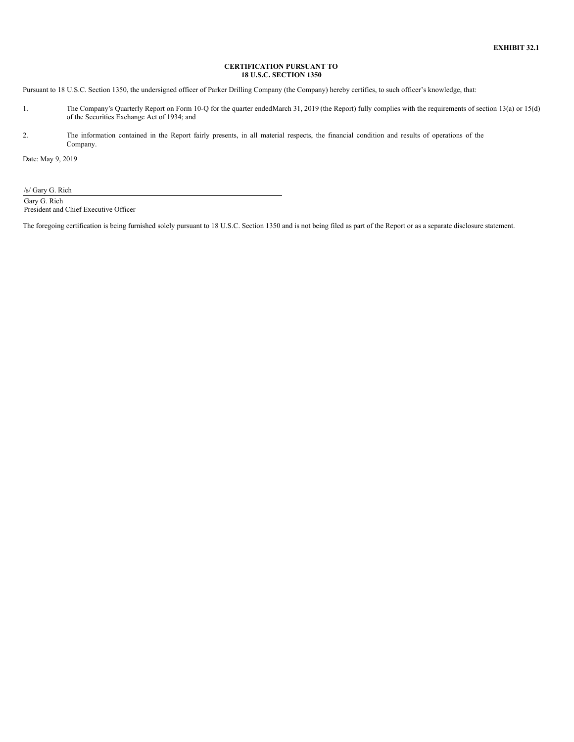# **CERTIFICATION PURSUANT TO 18 U.S.C. SECTION 1350**

<span id="page-56-0"></span>Pursuant to 18 U.S.C. Section 1350, the undersigned officer of Parker Drilling Company (the Company) hereby certifies, to such officer's knowledge, that:

- 1. The Company's Quarterly Report on Form 10-Q for the quarter endedMarch 31, 2019 (the Report) fully complies with the requirements of section 13(a) or 15(d) of the Securities Exchange Act of 1934; and
- 2. The information contained in the Report fairly presents, in all material respects, the financial condition and results of operations of the Company.

Date: May 9, 2019

/s/ Gary G. Rich Gary G. Rich

President and Chief Executive Officer

The foregoing certification is being furnished solely pursuant to 18 U.S.C. Section 1350 and is not being filed as part of the Report or as a separate disclosure statement.